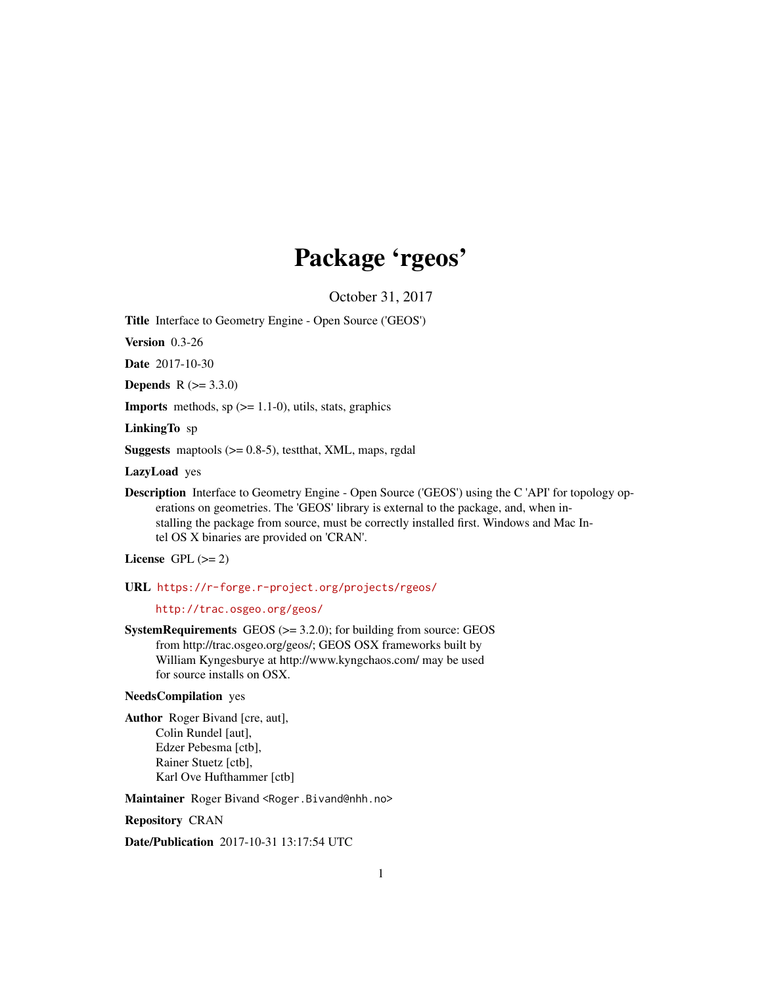# Package 'rgeos'

October 31, 2017

Title Interface to Geometry Engine - Open Source ('GEOS')

Version 0.3-26

Date 2017-10-30

**Depends**  $R (= 3.3.0)$ 

**Imports** methods,  $sp (= 1.1-0)$ , utils, stats, graphics

LinkingTo sp

Suggests maptools (>= 0.8-5), testthat, XML, maps, rgdal

LazyLoad yes

Description Interface to Geometry Engine - Open Source ('GEOS') using the C 'API' for topology operations on geometries. The 'GEOS' library is external to the package, and, when installing the package from source, must be correctly installed first. Windows and Mac Intel OS X binaries are provided on 'CRAN'.

License GPL  $(>= 2)$ 

URL <https://r-forge.r-project.org/projects/rgeos/>

<http://trac.osgeo.org/geos/>

**SystemRequirements** GEOS  $(>= 3.2.0)$ ; for building from source: GEOS from http://trac.osgeo.org/geos/; GEOS OSX frameworks built by William Kyngesburye at http://www.kyngchaos.com/ may be used for source installs on OSX.

# NeedsCompilation yes

Author Roger Bivand [cre, aut], Colin Rundel [aut], Edzer Pebesma [ctb], Rainer Stuetz [ctb], Karl Ove Hufthammer [ctb]

Maintainer Roger Bivand <Roger.Bivand@nhh.no>

Repository CRAN

Date/Publication 2017-10-31 13:17:54 UTC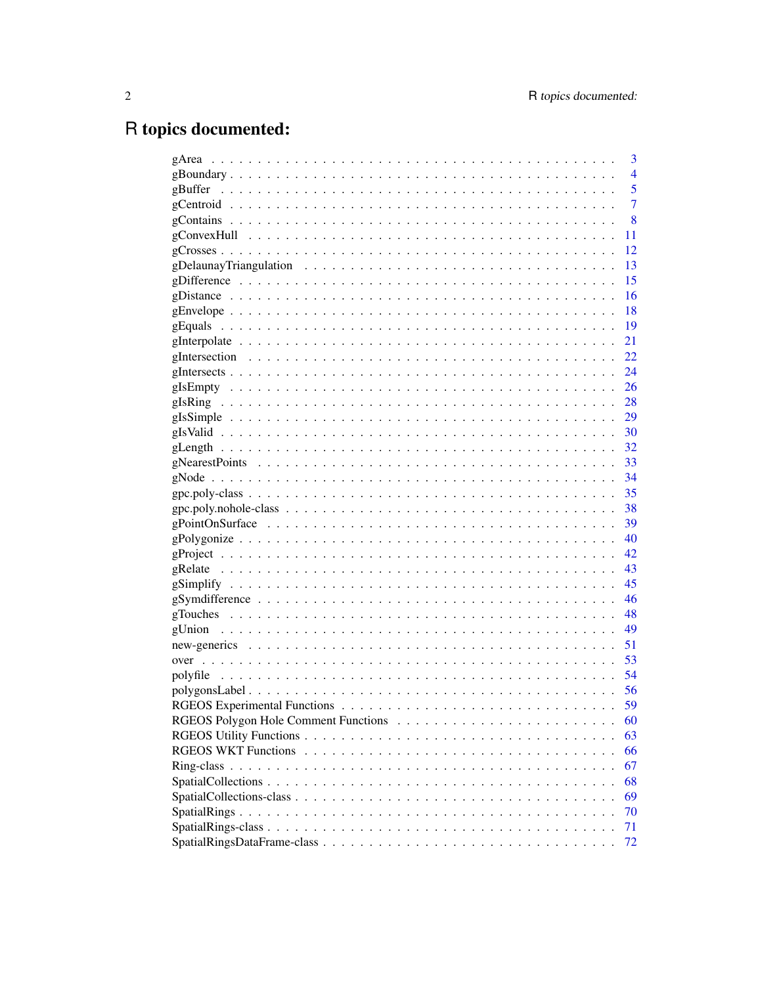# R topics documented:

| 3              |
|----------------|
| $\overline{4}$ |
| 5              |
| $\overline{7}$ |
| 8              |
| 11             |
| 12             |
| 13             |
| 15             |
| 16             |
| 18             |
| 19             |
| 21             |
| 22             |
|                |
|                |
|                |
|                |
|                |
|                |
|                |
|                |
|                |
|                |
|                |
|                |
|                |
|                |
|                |
|                |
|                |
|                |
|                |
| 51             |
| 53             |
|                |
|                |
| 59             |
| 60             |
| 63             |
| 66             |
| 67             |
| 68             |
| 69             |
| 70             |
| 71             |
| 72             |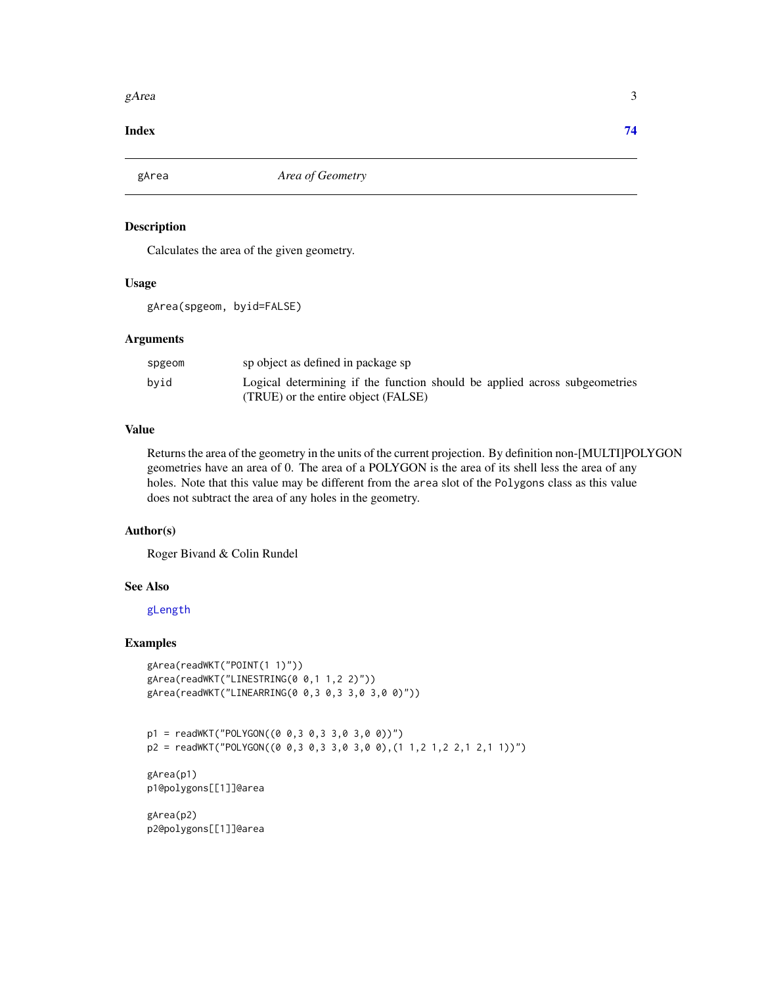#### <span id="page-2-0"></span>gArea  $\beta$  3

#### **Index** [74](#page-73-0)

<span id="page-2-1"></span>gArea *Area of Geometry*

# Description

Calculates the area of the given geometry.

## Usage

gArea(spgeom, byid=FALSE)

## Arguments

| spgeom | sp object as defined in package sp                                         |
|--------|----------------------------------------------------------------------------|
| byid   | Logical determining if the function should be applied across subgeometries |
|        | (TRUE) or the entire object (FALSE)                                        |

## Value

Returns the area of the geometry in the units of the current projection. By definition non-[MULTI]POLYGON geometries have an area of 0. The area of a POLYGON is the area of its shell less the area of any holes. Note that this value may be different from the area slot of the Polygons class as this value does not subtract the area of any holes in the geometry.

## Author(s)

Roger Bivand & Colin Rundel

# See Also

# [gLength](#page-31-1)

# Examples

```
gArea(readWKT("POINT(1 1)"))
gArea(readWKT("LINESTRING(0 0,1 1,2 2)"))
gArea(readWKT("LINEARRING(0 0,3 0,3 3,0 3,0 0)"))
```

```
p1 = readWKT("POLYGON((0 0,3 0,3 3,0 3,0 0))")
p2 = readWKT("POLYGON((0 0,3 0,3 3,0 3,0 0),(1 1,2 1,2 2,1 2,1 1))")
```

```
gArea(p1)
p1@polygons[[1]]@area
```
gArea(p2) p2@polygons[[1]]@area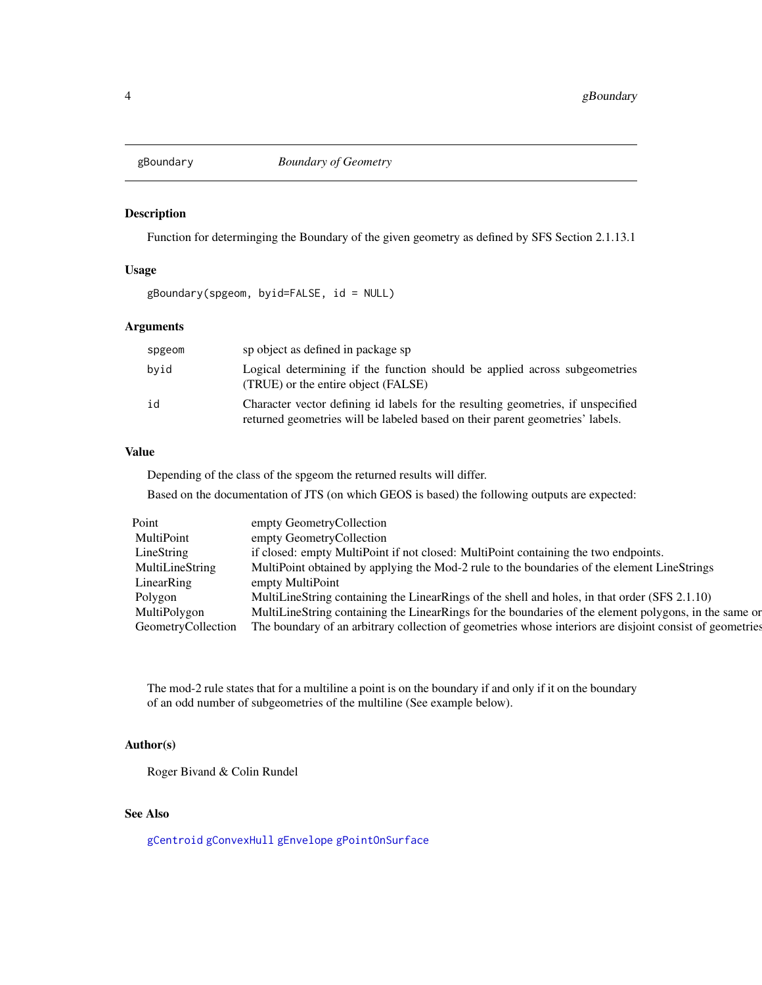<span id="page-3-1"></span><span id="page-3-0"></span>

# Description

Function for determinging the Boundary of the given geometry as defined by SFS Section 2.1.13.1

## Usage

gBoundary(spgeom, byid=FALSE, id = NULL)

# Arguments

| spgeom | sp object as defined in package sp                                                                                                                                |
|--------|-------------------------------------------------------------------------------------------------------------------------------------------------------------------|
| byid   | Logical determining if the function should be applied across subgeometries<br>(TRUE) or the entire object (FALSE)                                                 |
| id     | Character vector defining id labels for the resulting geometries, if unspecified<br>returned geometries will be labeled based on their parent geometries' labels. |

# Value

Depending of the class of the spgeom the returned results will differ.

Based on the documentation of JTS (on which GEOS is based) the following outputs are expected:

| Point              | empty GeometryCollection                                                                                 |  |
|--------------------|----------------------------------------------------------------------------------------------------------|--|
| MultiPoint         | empty GeometryCollection                                                                                 |  |
| LineString         | if closed: empty MultiPoint if not closed: MultiPoint containing the two endpoints.                      |  |
| MultiLineString    | MultiPoint obtained by applying the Mod-2 rule to the boundaries of the element LineStrings              |  |
| LinearRing         | empty MultiPoint                                                                                         |  |
| Polygon            | MultiLineString containing the LinearRings of the shell and holes, in that order (SFS 2.1.10)            |  |
| MultiPolygon       | MultiLineString containing the LinearRings for the boundaries of the element polygons, in the same or    |  |
| GeometryCollection | The boundary of an arbitrary collection of geometries whose interiors are disjoint consist of geometries |  |

The mod-2 rule states that for a multiline a point is on the boundary if and only if it on the boundary of an odd number of subgeometries of the multiline (See example below).

# Author(s)

Roger Bivand & Colin Rundel

# See Also

[gCentroid](#page-6-1) [gConvexHull](#page-10-1) [gEnvelope](#page-17-1) [gPointOnSurface](#page-38-1)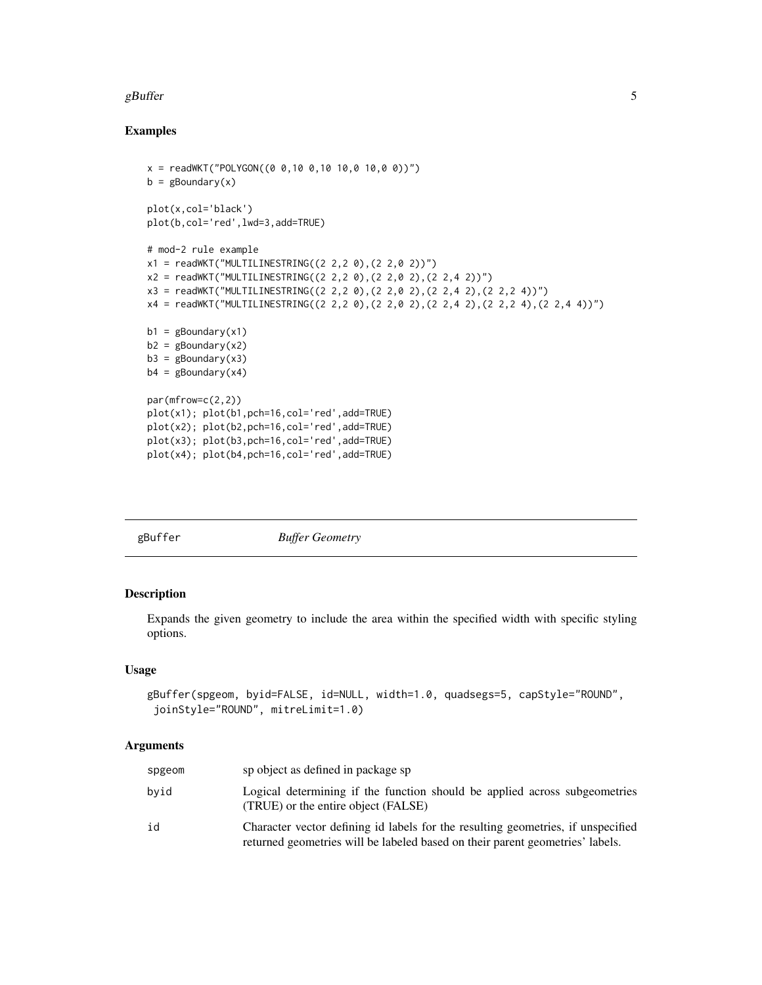#### <span id="page-4-0"></span>gBuffer  $\,$  5  $\,$

## Examples

```
x = \text{readWKT("POLYGON((0 0, 10 0, 10 10, 0 10, 0 0))")}b = gBoundary(x)plot(x,col='black')
plot(b,col='red',lwd=3,add=TRUE)
# mod-2 rule example
x1 = \text{readWKT("MULTILINESTRING((2 2, 2 0), (2 2, 0 2))")}x2 = \text{readWKT("MULTILINESTRING((2 2, 2 0), (2 2, 0 2), (2 2, 4 2))")}x3 = readWKT("MULTILINESTRING((2 2,2 0),(2 2,0 2),(2 2,4 2),(2 2,2 4))")
x4 = readWKT("MULTILINESTRING((2 2,2 0),(2 2,0 2),(2 2,4 2),(2 2,2 4),(2 2,4 4))")
b1 = gBoundary(x1)b2 = gBoundary(x2)
b3 = gBoundary(x3)
b4 = gBoundary(x4)
par(mfrow=c(2,2))
plot(x1); plot(b1,pch=16,col='red',add=TRUE)
plot(x2); plot(b2,pch=16,col='red',add=TRUE)
plot(x3); plot(b3,pch=16,col='red',add=TRUE)
plot(x4); plot(b4,pch=16,col='red',add=TRUE)
```

| gBuffer | <b>Buffer Geometry</b> |  |
|---------|------------------------|--|
|         |                        |  |

# Description

Expands the given geometry to include the area within the specified width with specific styling options.

## Usage

```
gBuffer(spgeom, byid=FALSE, id=NULL, width=1.0, quadsegs=5, capStyle="ROUND",
joinStyle="ROUND", mitreLimit=1.0)
```
# Arguments

| spgeom | sp object as defined in package sp                                                                                                                                |
|--------|-------------------------------------------------------------------------------------------------------------------------------------------------------------------|
| byid   | Logical determining if the function should be applied across subgeometries<br>(TRUE) or the entire object (FALSE)                                                 |
| id     | Character vector defining id labels for the resulting geometries, if unspecified<br>returned geometries will be labeled based on their parent geometries' labels. |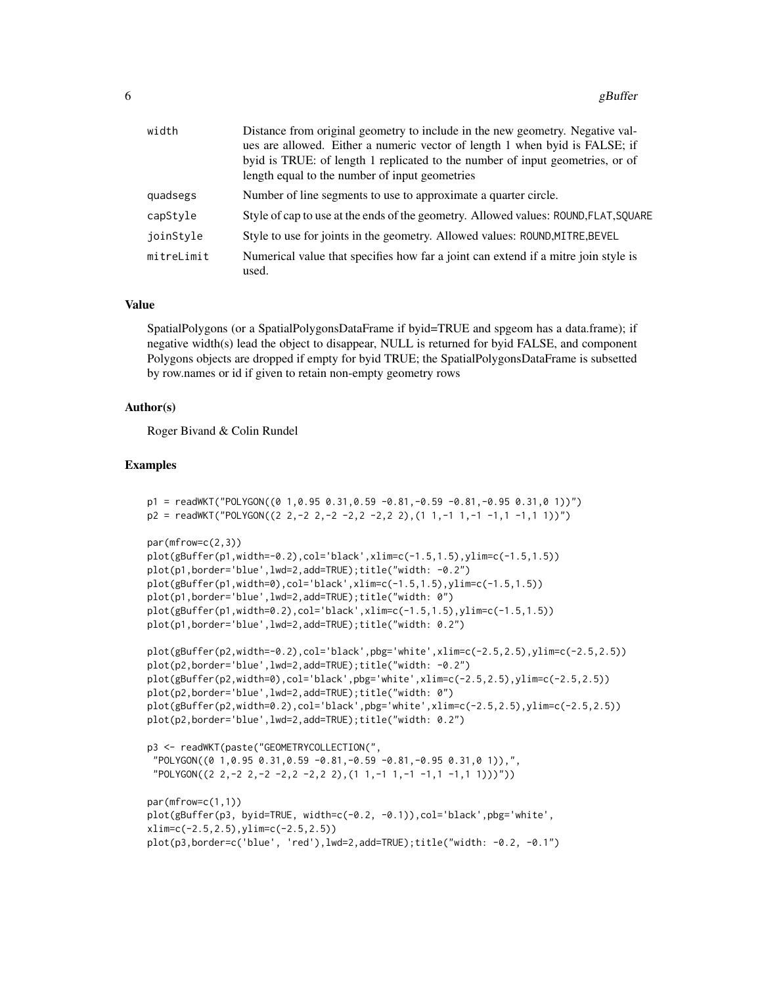| width      | Distance from original geometry to include in the new geometry. Negative val-<br>ues are allowed. Either a numeric vector of length 1 when byid is FALSE; if |
|------------|--------------------------------------------------------------------------------------------------------------------------------------------------------------|
|            | byid is TRUE: of length 1 replicated to the number of input geometries, or of<br>length equal to the number of input geometries                              |
| quadsegs   | Number of line segments to use to approximate a quarter circle.                                                                                              |
| capStyle   | Style of cap to use at the ends of the geometry. Allowed values: ROUND, FLAT, SQUARE                                                                         |
| joinStyle  | Style to use for joints in the geometry. Allowed values: ROUND, MITRE, BEVEL                                                                                 |
| mitreLimit | Numerical value that specifies how far a joint can extend if a mitre join style is<br>used.                                                                  |

#### Value

SpatialPolygons (or a SpatialPolygonsDataFrame if byid=TRUE and spgeom has a data.frame); if negative width(s) lead the object to disappear, NULL is returned for byid FALSE, and component Polygons objects are dropped if empty for byid TRUE; the SpatialPolygonsDataFrame is subsetted by row.names or id if given to retain non-empty geometry rows

## Author(s)

Roger Bivand & Colin Rundel

```
p1 = readWKT("POLYGON((0 1, 0.95 0.31, 0.59 -0.81, -0.59 -0.81, -0.95 0.31, 0 1))")p2 = \text{readWKT}("POLYGON((2 2,-2 2,-2 -2,2 -2,2 2), (1 1,-1 1,-1 -1,1 -1,1 1))^T)
```

```
par(mfrow=c(2,3))
```

```
plot(gBuffer(p1,width=-0.2),col='black',xlim=c(-1.5,1.5),ylim=c(-1.5,1.5))
plot(p1,border='blue',lwd=2,add=TRUE);title("width: -0.2")
plot(gBuffer(p1,width=0),col='black',xlim=c(-1.5,1.5),ylim=c(-1.5,1.5))
plot(p1,border='blue',lwd=2,add=TRUE);title("width: 0")
plot(gBuffer(p1,width=0.2),col='black',xlim=c(-1.5,1.5),ylim=c(-1.5,1.5))
plot(p1,border='blue',lwd=2,add=TRUE);title("width: 0.2")
```

```
plot(gBuffer(p2,width=-0.2),col='black',pbg='white',xlim=c(-2.5,2.5),ylim=c(-2.5,2.5))
plot(p2,border='blue',lwd=2,add=TRUE);title("width: -0.2")
plot(gBuffer(p2,width=0),col='black',pbg='white',xlim=c(-2.5,2.5),ylim=c(-2.5,2.5))
plot(p2,border='blue',lwd=2,add=TRUE);title("width: 0")
plot(gBuffer(p2,width=0.2),col='black',pbg='white',xlim=c(-2.5,2.5),ylim=c(-2.5,2.5))
plot(p2,border='blue',lwd=2,add=TRUE);title("width: 0.2")
```

```
p3 <- readWKT(paste("GEOMETRYCOLLECTION(",
"POLYGON((0 1,0.95 0.31,0.59 -0.81,-0.59 -0.81,-0.95 0.31,0 1)),",
"POLYGON((2 2,-2 2,-2 -2,2 -2,2 2), (1 1,-1 1,-1 -1,1 -1,1 1)))")
```

```
par(mfrow=c(1,1))
plot(gBuffer(p3, byid=TRUE, width=c(-0.2, -0.1)),col='black',pbg='white',
xlim=c(-2.5,2.5),ylim=c(-2.5,2.5))
plot(p3,border=c('blue', 'red'),lwd=2,add=TRUE);title("width: -0.2, -0.1")
```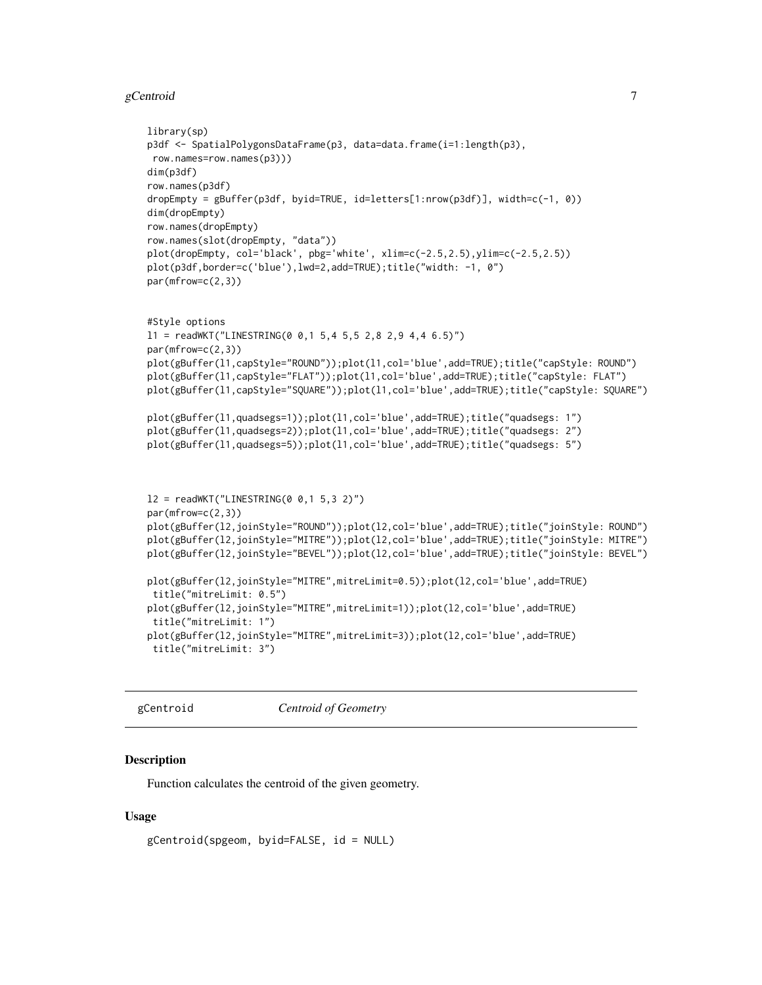#### <span id="page-6-0"></span> $gC$ entroid  $\overline{\phantom{a}}$

```
library(sp)
p3df <- SpatialPolygonsDataFrame(p3, data=data.frame(i=1:length(p3),
row.names=row.names(p3)))
dim(p3df)
row.names(p3df)
dropEmpty = gBuffer(p3df, byid=TRUE, id=letters[1:nrow(p3df)], width=c(-1, 0))
dim(dropEmpty)
row.names(dropEmpty)
row.names(slot(dropEmpty, "data"))
plot(dropEmpty, col='black', pbg='white', xlim=c(-2.5,2.5),ylim=c(-2.5,2.5))
plot(p3df,border=c('blue'),lwd=2,add=TRUE);title("width: -1, 0")
par(mfrow=c(2,3))
#Style options
11 = \text{readWKT("LINESTRING(0 0, 1 5, 4 5, 5 2, 8 2, 9 4, 4 6.5)")}par(mfrow=c(2,3))
plot(gBuffer(l1,capStyle="ROUND"));plot(l1,col='blue',add=TRUE);title("capStyle: ROUND")
plot(gBuffer(l1,capStyle="FLAT"));plot(l1,col='blue',add=TRUE);title("capStyle: FLAT")
plot(gBuffer(l1,capStyle="SQUARE"));plot(l1,col='blue',add=TRUE);title("capStyle: SQUARE")
plot(gBuffer(l1,quadsegs=1));plot(l1,col='blue',add=TRUE);title("quadsegs: 1")
plot(gBuffer(l1,quadsegs=2));plot(l1,col='blue',add=TRUE);title("quadsegs: 2")
plot(gBuffer(l1,quadsegs=5));plot(l1,col='blue',add=TRUE);title("quadsegs: 5")
12 = \text{readWKT}("LINESTRING(0 0, 1 5, 3 2)")par(mfrow=c(2,3))
plot(gBuffer(l2,joinStyle="ROUND"));plot(l2,col='blue',add=TRUE);title("joinStyle: ROUND")
plot(gBuffer(l2,joinStyle="MITRE"));plot(l2,col='blue',add=TRUE);title("joinStyle: MITRE")
plot(gBuffer(l2,joinStyle="BEVEL"));plot(l2,col='blue',add=TRUE);title("joinStyle: BEVEL")
plot(gBuffer(l2,joinStyle="MITRE",mitreLimit=0.5));plot(l2,col='blue',add=TRUE)
title("mitreLimit: 0.5")
plot(gBuffer(l2,joinStyle="MITRE",mitreLimit=1));plot(l2,col='blue',add=TRUE)
title("mitreLimit: 1")
plot(gBuffer(l2,joinStyle="MITRE",mitreLimit=3));plot(l2,col='blue',add=TRUE)
title("mitreLimit: 3")
```
<span id="page-6-1"></span>gCentroid *Centroid of Geometry*

## Description

Function calculates the centroid of the given geometry.

## Usage

```
gCentroid(spgeom, byid=FALSE, id = NULL)
```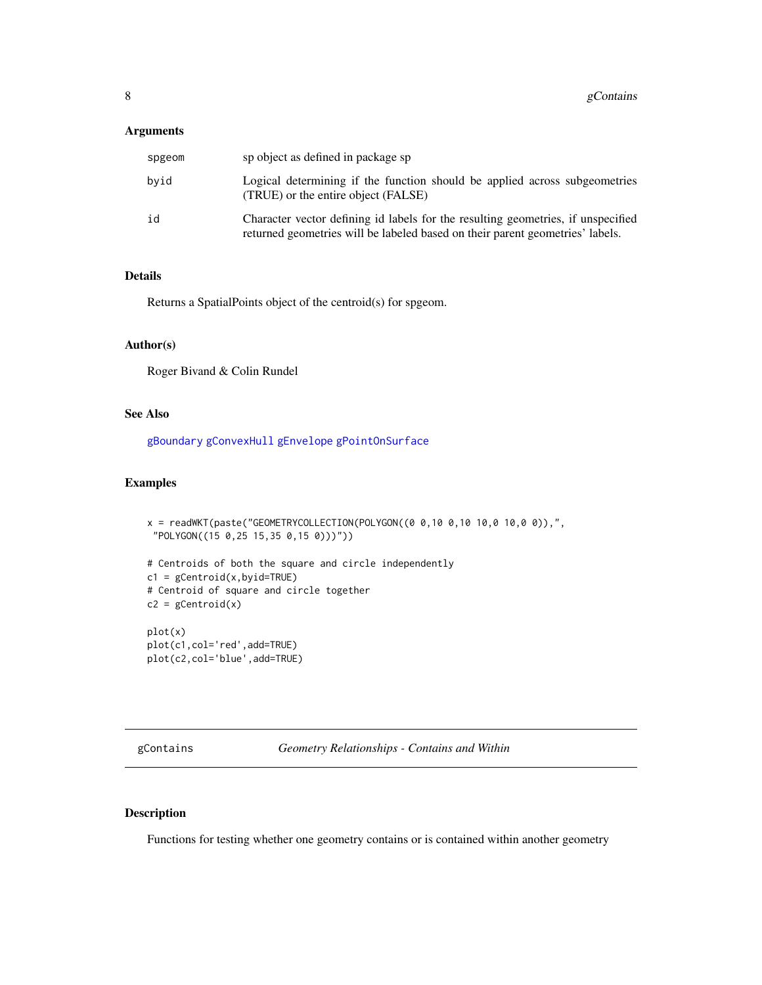## <span id="page-7-0"></span>Arguments

| spgeom | sp object as defined in package sp                                                                                                                                |
|--------|-------------------------------------------------------------------------------------------------------------------------------------------------------------------|
| bvid   | Logical determining if the function should be applied across subgeometries<br>(TRUE) or the entire object (FALSE)                                                 |
| id     | Character vector defining id labels for the resulting geometries, if unspecified<br>returned geometries will be labeled based on their parent geometries' labels. |

## Details

Returns a SpatialPoints object of the centroid(s) for spgeom.

#### Author(s)

Roger Bivand & Colin Rundel

#### See Also

[gBoundary](#page-3-1) [gConvexHull](#page-10-1) [gEnvelope](#page-17-1) [gPointOnSurface](#page-38-1)

#### Examples

```
x = readWKT(paste("GEOMETRYCOLLECTION(POLYGON((0 0,10 0,10 10,0 10,0 0)),",
 "POLYGON((15 0,25 15,35 0,15 0)))"))
# Centroids of both the square and circle independently
c1 = gCentroid(x, byid=True)# Centroid of square and circle together
c2 = gCentroid(x)plot(x)
plot(c1,col='red',add=TRUE)
plot(c2,col='blue',add=TRUE)
```
<span id="page-7-1"></span>gContains *Geometry Relationships - Contains and Within*

# <span id="page-7-2"></span>Description

Functions for testing whether one geometry contains or is contained within another geometry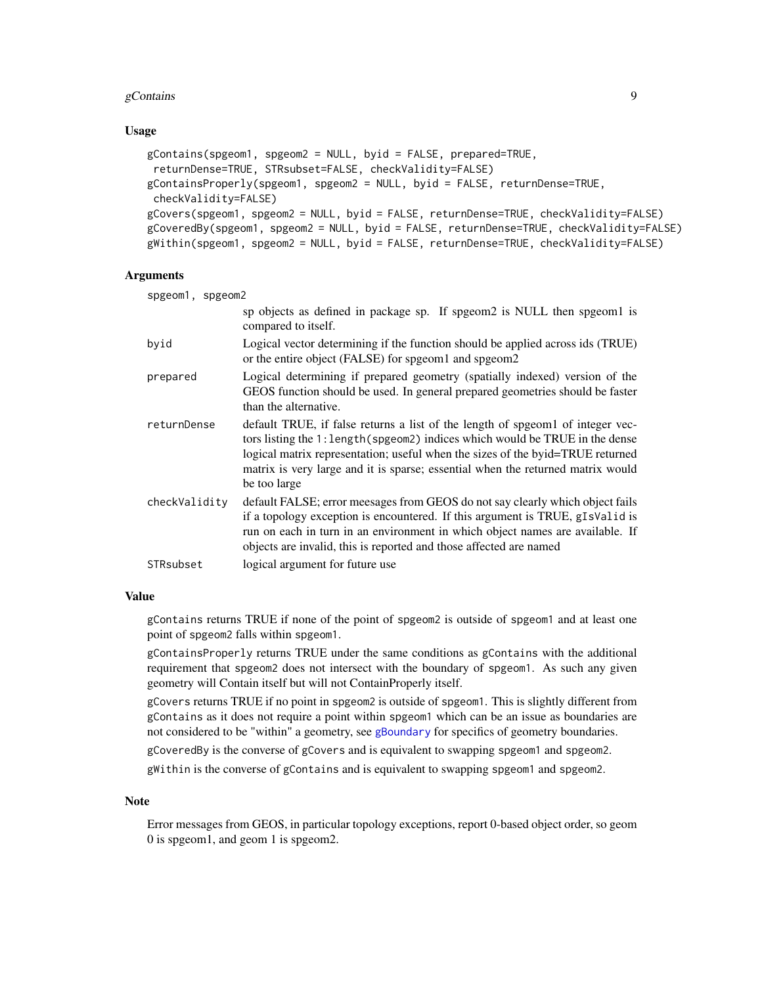## gContains  $\qquad \qquad 9$

## Usage

```
gContains(spgeom1, spgeom2 = NULL, byid = FALSE, prepared=TRUE,
returnDense=TRUE, STRsubset=FALSE, checkValidity=FALSE)
gContainsProperly(spgeom1, spgeom2 = NULL, byid = FALSE, returnDense=TRUE,
checkValidity=FALSE)
gCovers(spgeom1, spgeom2 = NULL, byid = FALSE, returnDense=TRUE, checkValidity=FALSE)
gCoveredBy(spgeom1, spgeom2 = NULL, byid = FALSE, returnDense=TRUE, checkValidity=FALSE)
gWithin(spgeom1, spgeom2 = NULL, byid = FALSE, returnDense=TRUE, checkValidity=FALSE)
```
# **Arguments**

| spgeom1, spgeom2 |                                                                                                                                                                                                                                                                                                                                                      |  |
|------------------|------------------------------------------------------------------------------------------------------------------------------------------------------------------------------------------------------------------------------------------------------------------------------------------------------------------------------------------------------|--|
|                  | sp objects as defined in package sp. If spgeom2 is NULL then spgeom1 is<br>compared to itself.                                                                                                                                                                                                                                                       |  |
| byid             | Logical vector determining if the function should be applied across ids (TRUE)<br>or the entire object (FALSE) for spgeom1 and spgeom2                                                                                                                                                                                                               |  |
| prepared         | Logical determining if prepared geometry (spatially indexed) version of the<br>GEOS function should be used. In general prepared geometries should be faster<br>than the alternative.                                                                                                                                                                |  |
| returnDense      | default TRUE, if false returns a list of the length of spgeom1 of integer vec-<br>tors listing the 1: length (spgeom2) indices which would be TRUE in the dense<br>logical matrix representation; useful when the sizes of the byid=TRUE returned<br>matrix is very large and it is sparse; essential when the returned matrix would<br>be too large |  |
| checkValidity    | default FALSE; error meesages from GEOS do not say clearly which object fails<br>if a topology exception is encountered. If this argument is TRUE, gIsValid is<br>run on each in turn in an environment in which object names are available. If<br>objects are invalid, this is reported and those affected are named                                |  |
| STRsubset        | logical argument for future use                                                                                                                                                                                                                                                                                                                      |  |

#### Value

gContains returns TRUE if none of the point of spgeom2 is outside of spgeom1 and at least one point of spgeom2 falls within spgeom1.

gContainsProperly returns TRUE under the same conditions as gContains with the additional requirement that spgeom2 does not intersect with the boundary of spgeom1. As such any given geometry will Contain itself but will not ContainProperly itself.

gCovers returns TRUE if no point in spgeom2 is outside of spgeom1. This is slightly different from gContains as it does not require a point within spgeom1 which can be an issue as boundaries are not considered to be "within" a geometry, see [gBoundary](#page-3-1) for specifics of geometry boundaries.

gCoveredBy is the converse of gCovers and is equivalent to swapping spgeom1 and spgeom2.

gWithin is the converse of gContains and is equivalent to swapping spgeom1 and spgeom2.

#### **Note**

Error messages from GEOS, in particular topology exceptions, report 0-based object order, so geom 0 is spgeom1, and geom 1 is spgeom2.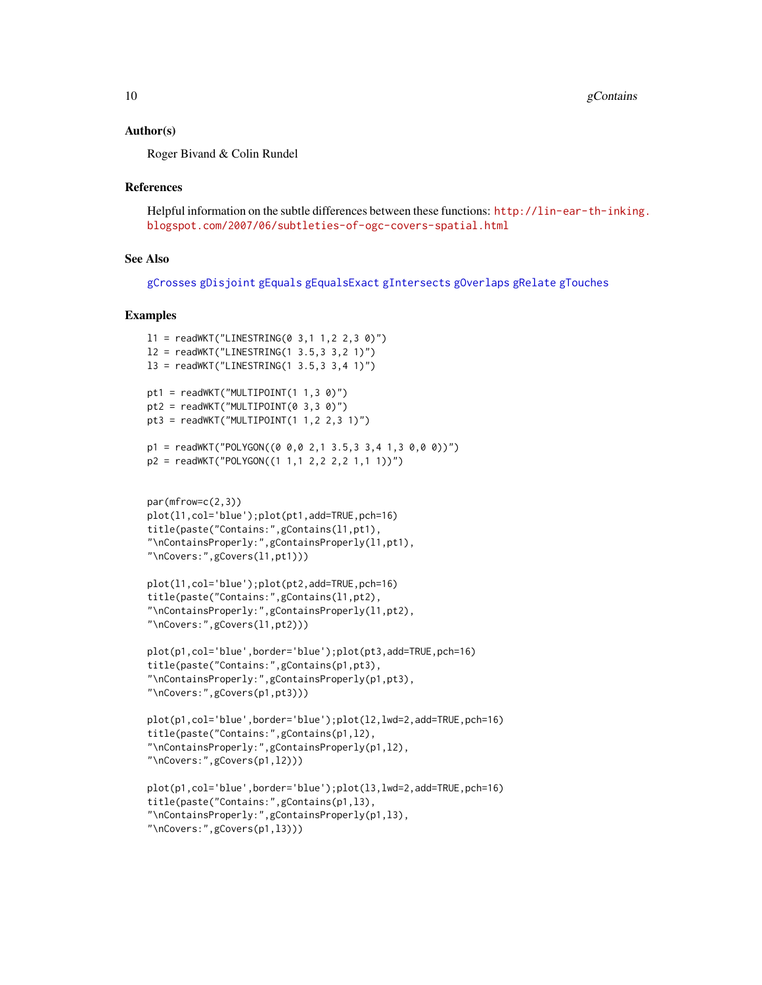#### Author(s)

Roger Bivand & Colin Rundel

#### References

Helpful information on the subtle differences between these functions: [http://lin-ear-th-inkin](http://lin-ear-th-inking.blogspot.com/2007/06/subtleties-of-ogc-covers-spatial.html)g. [blogspot.com/2007/06/subtleties-of-ogc-covers-spatial.html](http://lin-ear-th-inking.blogspot.com/2007/06/subtleties-of-ogc-covers-spatial.html)

#### See Also

[gCrosses](#page-11-1) [gDisjoint](#page-23-1) [gEquals](#page-18-1) [gEqualsExact](#page-18-2) [gIntersects](#page-23-2) [gOverlaps](#page-11-2) [gRelate](#page-42-1) [gTouches](#page-47-1)

```
11 = \text{readWKT}("LINESTRING(0 3, 1 1, 2 2, 3 0)")12 = \text{readWKT}("LINESTRING(1 3.5, 3 3, 2 1)")l3 = readWKT("LINESTRING(1 3.5,3 3,4 1)")
pt1 = readWKT("MULTIPOINT(1 1, 3 0)")pt2 = readWKT("MULTIPOINT(0 3, 3 0)")pt3 = readWKT("MULTIPOINT(1 1, 2 2, 3 1)")p1 = \text{readWKT}("POLYGON((0 0, 0 2, 1 3.5, 3 3, 4 1, 3 0, 0 0))")p2 = \text{readWKT("POLYGON((1 1, 1 2, 2 2, 2 1, 1 1))")}
```

```
par(mfrow=c(2,3))
plot(l1,col='blue');plot(pt1,add=TRUE,pch=16)
title(paste("Contains:",gContains(l1,pt1),
"\nContainsProperly:",gContainsProperly(l1,pt1),
"\nCovers:",gCovers(l1,pt1)))
```

```
plot(l1,col='blue');plot(pt2,add=TRUE,pch=16)
title(paste("Contains:",gContains(l1,pt2),
"\nContainsProperly:",gContainsProperly(l1,pt2),
"\nCovers:",gCovers(l1,pt2)))
```

```
plot(p1,col='blue',border='blue');plot(pt3,add=TRUE,pch=16)
title(paste("Contains:",gContains(p1,pt3),
"\nContainsProperly:",gContainsProperly(p1,pt3),
"\nCovers:",gCovers(p1,pt3)))
```

```
plot(p1,col='blue',border='blue');plot(l2,lwd=2,add=TRUE,pch=16)
title(paste("Contains:",gContains(p1,l2),
"\nContainsProperly:",gContainsProperly(p1,l2),
"\nCovers:",gCovers(p1,l2)))
```

```
plot(p1,col='blue',border='blue');plot(l3,lwd=2,add=TRUE,pch=16)
title(paste("Contains:",gContains(p1,l3),
"\nContainsProperly:",gContainsProperly(p1,l3),
"\nCovers:",gCovers(p1,l3)))
```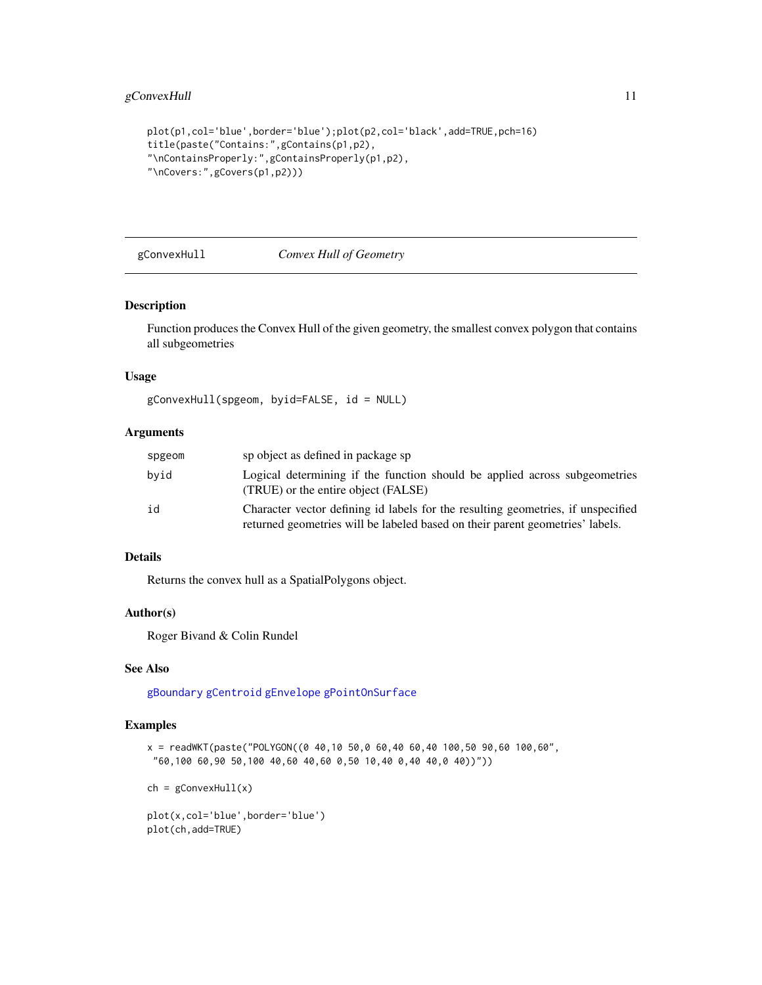```
plot(p1,col='blue',border='blue');plot(p2,col='black',add=TRUE,pch=16)
title(paste("Contains:",gContains(p1,p2),
"\nContainsProperly:",gContainsProperly(p1,p2),
"\nCovers:",gCovers(p1,p2)))
```
# <span id="page-10-1"></span>gConvexHull *Convex Hull of Geometry*

#### Description

Function produces the Convex Hull of the given geometry, the smallest convex polygon that contains all subgeometries

# Usage

```
gConvexHull(spgeom, byid=FALSE, id = NULL)
```
# Arguments

| spgeom | sp object as defined in package sp                                                                                                                                |
|--------|-------------------------------------------------------------------------------------------------------------------------------------------------------------------|
| bvid   | Logical determining if the function should be applied across subgeometries<br>(TRUE) or the entire object (FALSE)                                                 |
| id     | Character vector defining id labels for the resulting geometries, if unspecified<br>returned geometries will be labeled based on their parent geometries' labels. |

# Details

Returns the convex hull as a SpatialPolygons object.

# Author(s)

Roger Bivand & Colin Rundel

# See Also

[gBoundary](#page-3-1) [gCentroid](#page-6-1) [gEnvelope](#page-17-1) [gPointOnSurface](#page-38-1)

```
x = \text{readWKT}(\text{paste("POLYGON}((0 40, 10 50, 0 60, 40 60, 40 100, 50 90, 60 100, 60"60,100 60,90 50,100 40,60 40,60 0,50 10,40 0,40 40,0 40))"))
```

```
ch = gConvexHull(x)
```

```
plot(x,col='blue',border='blue')
plot(ch,add=TRUE)
```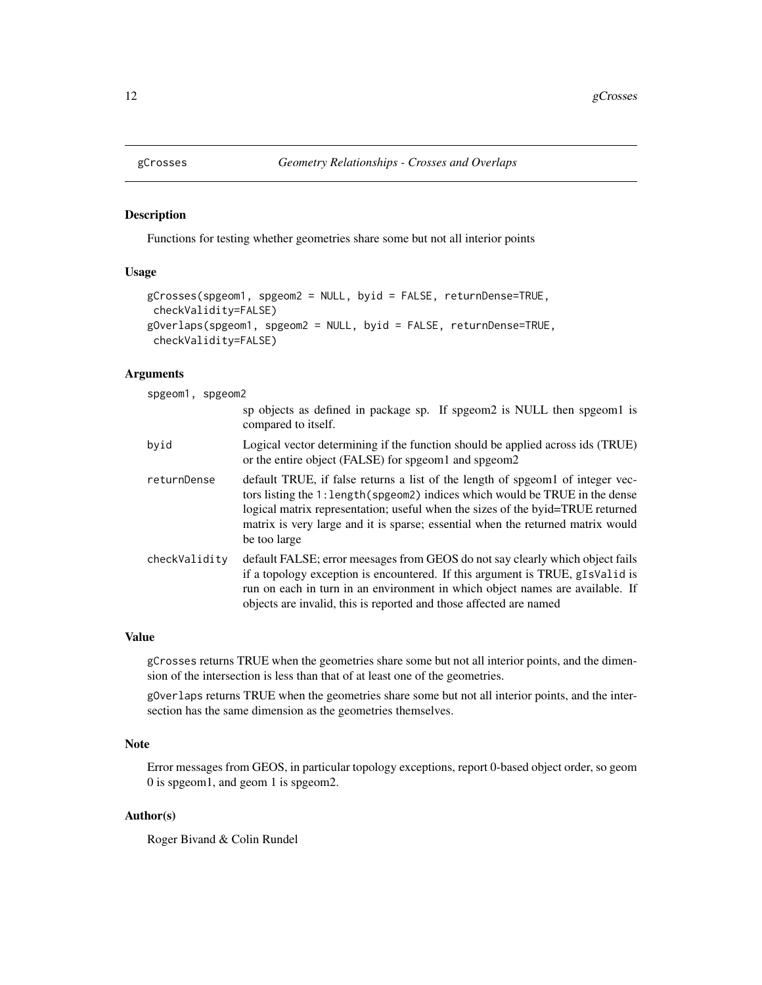<span id="page-11-1"></span><span id="page-11-0"></span>

#### <span id="page-11-2"></span>Description

Functions for testing whether geometries share some but not all interior points

# Usage

```
gCrosses(spgeom1, spgeom2 = NULL, byid = FALSE, returnDense=TRUE,
checkValidity=FALSE)
gOverlaps(spgeom1, spgeom2 = NULL, byid = FALSE, returnDense=TRUE,
checkValidity=FALSE)
```
#### Arguments

spgeom1, spgeom2

|               | sp objects as defined in package sp. If spgeom2 is NULL then spgeom1 is<br>compared to itself.                                                                                                                                                                                                                                                     |
|---------------|----------------------------------------------------------------------------------------------------------------------------------------------------------------------------------------------------------------------------------------------------------------------------------------------------------------------------------------------------|
| byid          | Logical vector determining if the function should be applied across ids (TRUE)<br>or the entire object (FALSE) for spgeom1 and spgeom2                                                                                                                                                                                                             |
| returnDense   | default TRUE, if false returns a list of the length of speed of integer vec-<br>tors listing the 1: length (spgeom2) indices which would be TRUE in the dense<br>logical matrix representation; useful when the sizes of the byid=TRUE returned<br>matrix is very large and it is sparse; essential when the returned matrix would<br>be too large |
| checkValidity | default FALSE; error meesages from GEOS do not say clearly which object fails<br>if a topology exception is encountered. If this argument is TRUE, gIsValid is<br>run on each in turn in an environment in which object names are available. If<br>objects are invalid, this is reported and those affected are named                              |

## Value

gCrosses returns TRUE when the geometries share some but not all interior points, and the dimension of the intersection is less than that of at least one of the geometries.

gOverlaps returns TRUE when the geometries share some but not all interior points, and the intersection has the same dimension as the geometries themselves.

# Note

Error messages from GEOS, in particular topology exceptions, report 0-based object order, so geom 0 is spgeom1, and geom 1 is spgeom2.

# Author(s)

Roger Bivand & Colin Rundel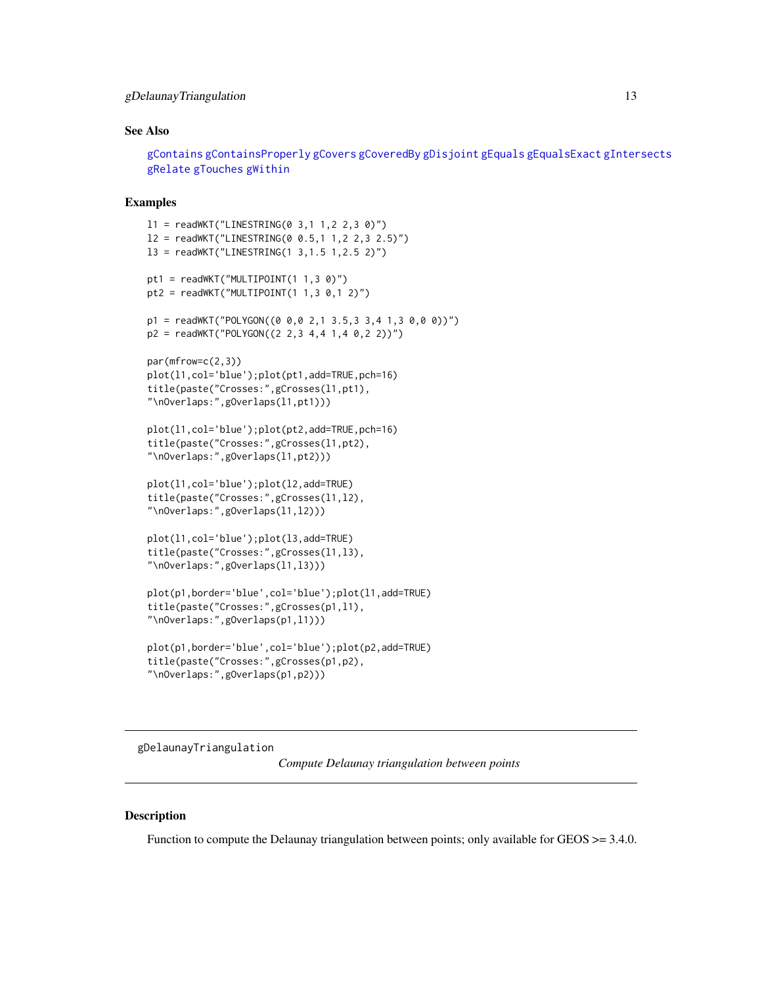## <span id="page-12-0"></span>gDelaunayTriangulation 13

#### See Also

[gContains](#page-7-1) [gContainsProperly](#page-7-2) [gCovers](#page-7-2) [gCoveredBy](#page-7-2) [gDisjoint](#page-23-1) [gEquals](#page-18-1) [gEqualsExact](#page-18-2) [gIntersects](#page-23-2) [gRelate](#page-42-1) [gTouches](#page-47-1) [gWithin](#page-7-2)

#### Examples

```
11 = \text{readWKT("LINESTRING(0 3, 1 1, 2 2, 3 0)")}l2 = readWKT("LINESTRING(0 0.5,1 1,2 2,3 2.5)")
l3 = readWKT("LINESTRING(1 3,1.5 1,2.5 2)")
pt1 = readWKT("MULTIPOINT(1 1, 3 0)")pt2 = readWKT("MULTIPOINT(1 1, 3 0, 1 2)")p1 = \text{readWKT("POLYGON((0 0, 0 2, 1 3.5, 3 3, 4 1, 3 0, 0 0))")}p2 = \text{readWKT("POLYGON((2 2, 3 4, 4 1, 4 0, 2 2))")}par(mfrow=c(2,3))plot(l1,col='blue');plot(pt1,add=TRUE,pch=16)
title(paste("Crosses:",gCrosses(l1,pt1),
"\nOverlaps:",gOverlaps(l1,pt1)))
plot(l1,col='blue');plot(pt2,add=TRUE,pch=16)
title(paste("Crosses:",gCrosses(l1,pt2),
"\nOverlaps:",gOverlaps(l1,pt2)))
plot(l1,col='blue');plot(l2,add=TRUE)
title(paste("Crosses:",gCrosses(l1,l2),
"\nOverlaps:",gOverlaps(l1,l2)))
plot(l1,col='blue');plot(l3,add=TRUE)
title(paste("Crosses:",gCrosses(l1,l3),
"\nOverlaps:",gOverlaps(l1,l3)))
plot(p1,border='blue',col='blue');plot(l1,add=TRUE)
title(paste("Crosses:",gCrosses(p1,l1),
"\nOverlaps:",gOverlaps(p1,l1)))
plot(p1,border='blue',col='blue');plot(p2,add=TRUE)
```

```
title(paste("Crosses:",gCrosses(p1,p2),
"\nOverlaps:",gOverlaps(p1,p2)))
```
gDelaunayTriangulation

*Compute Delaunay triangulation between points*

#### **Description**

Function to compute the Delaunay triangulation between points; only available for GEOS  $\geq$  3.4.0.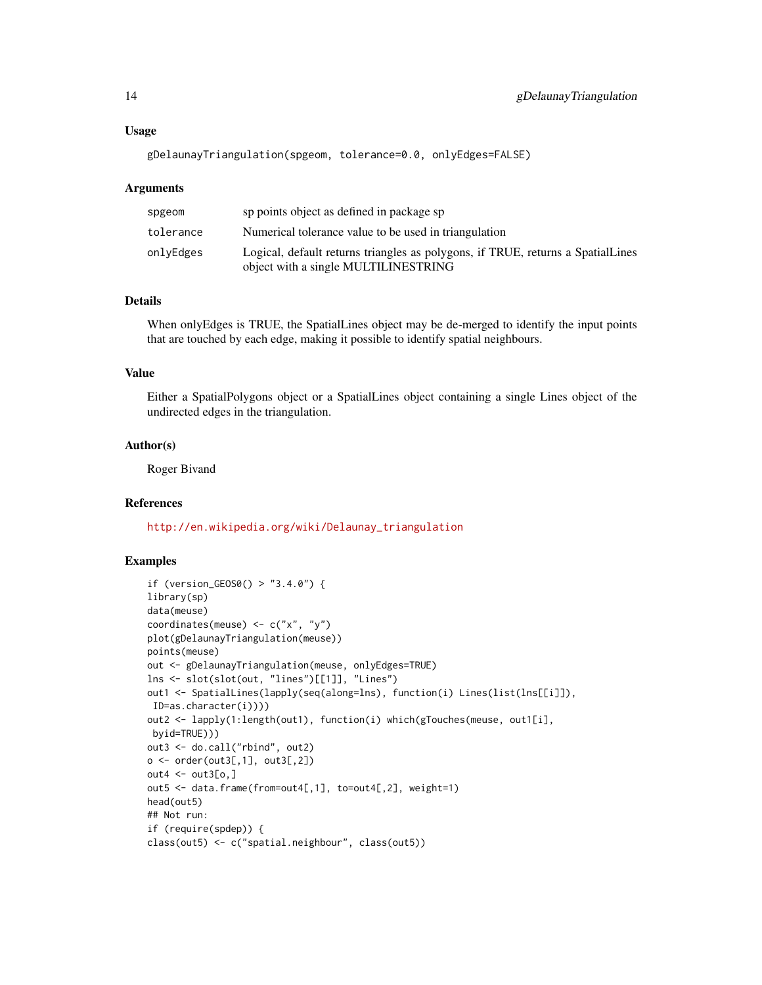#### Usage

gDelaunayTriangulation(spgeom, tolerance=0.0, onlyEdges=FALSE)

#### Arguments

| spgeom    | sp points object as defined in package sp                                                                               |
|-----------|-------------------------------------------------------------------------------------------------------------------------|
| tolerance | Numerical tolerance value to be used in triangulation                                                                   |
| onlvEdges | Logical, default returns triangles as polygons, if TRUE, returns a SpatialLines<br>object with a single MULTILINESTRING |

# Details

When onlyEdges is TRUE, the SpatialLines object may be de-merged to identify the input points that are touched by each edge, making it possible to identify spatial neighbours.

## Value

Either a SpatialPolygons object or a SpatialLines object containing a single Lines object of the undirected edges in the triangulation.

#### Author(s)

Roger Bivand

## References

[http://en.wikipedia.org/wiki/Delaunay\\_triangulation](http://en.wikipedia.org/wiki/Delaunay_triangulation)

```
if (version_GEOS0() > "3.4.0") {
library(sp)
data(meuse)
coordinates(meuse) <- c("x", "y")
plot(gDelaunayTriangulation(meuse))
points(meuse)
out <- gDelaunayTriangulation(meuse, onlyEdges=TRUE)
lns <- slot(slot(out, "lines")[[1]], "Lines")
out1 <- SpatialLines(lapply(seq(along=lns), function(i) Lines(list(lns[[i]]),
ID=as.character(i))))
out2 <- lapply(1:length(out1), function(i) which(gTouches(meuse, out1[i],
byid=TRUE)))
out3 <- do.call("rbind", out2)
o \leftarrow order(out3[, 1], out3[, 2])out4 \leq out3[o,]
out5 <- data.frame(from=out4[,1], to=out4[,2], weight=1)
head(out5)
## Not run:
if (require(spdep)) {
class(out5) <- c("spatial.neighbour", class(out5))
```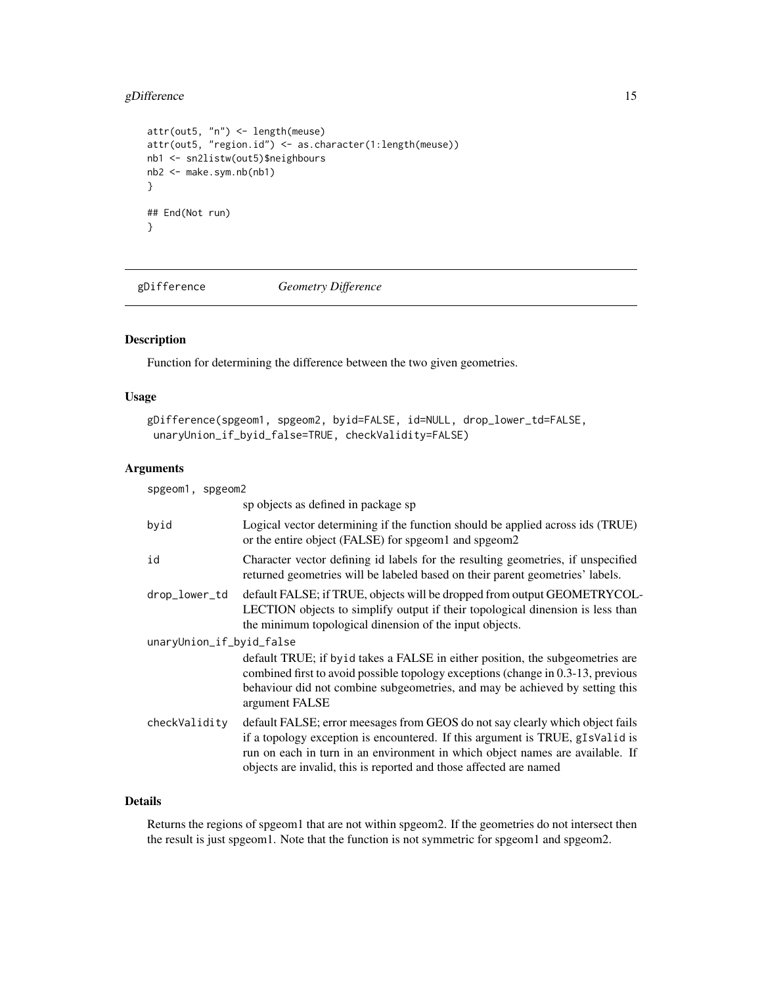# <span id="page-14-0"></span>gDifference 15

```
attr(out5, "n") <- length(meuse)
attr(out5, "region.id") <- as.character(1:length(meuse))
nb1 <- sn2listw(out5)$neighbours
nb2 <- make.sym.nb(nb1)
}
## End(Not run)
}
```
<span id="page-14-1"></span>gDifference *Geometry Difference*

# Description

Function for determining the difference between the two given geometries.

# Usage

```
gDifference(spgeom1, spgeom2, byid=FALSE, id=NULL, drop_lower_td=FALSE,
unaryUnion_if_byid_false=TRUE, checkValidity=FALSE)
```
# Arguments

| spgeom1, spgeom2         |                                                                                                                                                                                                                                                                                                                       |
|--------------------------|-----------------------------------------------------------------------------------------------------------------------------------------------------------------------------------------------------------------------------------------------------------------------------------------------------------------------|
|                          | sp objects as defined in package sp                                                                                                                                                                                                                                                                                   |
| byid                     | Logical vector determining if the function should be applied across ids (TRUE)<br>or the entire object (FALSE) for spgeom1 and spgeom2                                                                                                                                                                                |
| id                       | Character vector defining id labels for the resulting geometries, if unspecified<br>returned geometries will be labeled based on their parent geometries' labels.                                                                                                                                                     |
| drop_lower_td            | default FALSE; if TRUE, objects will be dropped from output GEOMETRYCOL-<br>LECTION objects to simplify output if their topological dinension is less than<br>the minimum topological dinension of the input objects.                                                                                                 |
| unaryUnion_if_byid_false |                                                                                                                                                                                                                                                                                                                       |
|                          | default TRUE; if byid takes a FALSE in either position, the subgeometries are<br>combined first to avoid possible topology exceptions (change in 0.3-13, previous<br>behaviour did not combine subgeometries, and may be achieved by setting this<br>argument FALSE                                                   |
| checkValidity            | default FALSE; error meesages from GEOS do not say clearly which object fails<br>if a topology exception is encountered. If this argument is TRUE, gIsValid is<br>run on each in turn in an environment in which object names are available. If<br>objects are invalid, this is reported and those affected are named |

# Details

Returns the regions of spgeom1 that are not within spgeom2. If the geometries do not intersect then the result is just spgeom1. Note that the function is not symmetric for spgeom1 and spgeom2.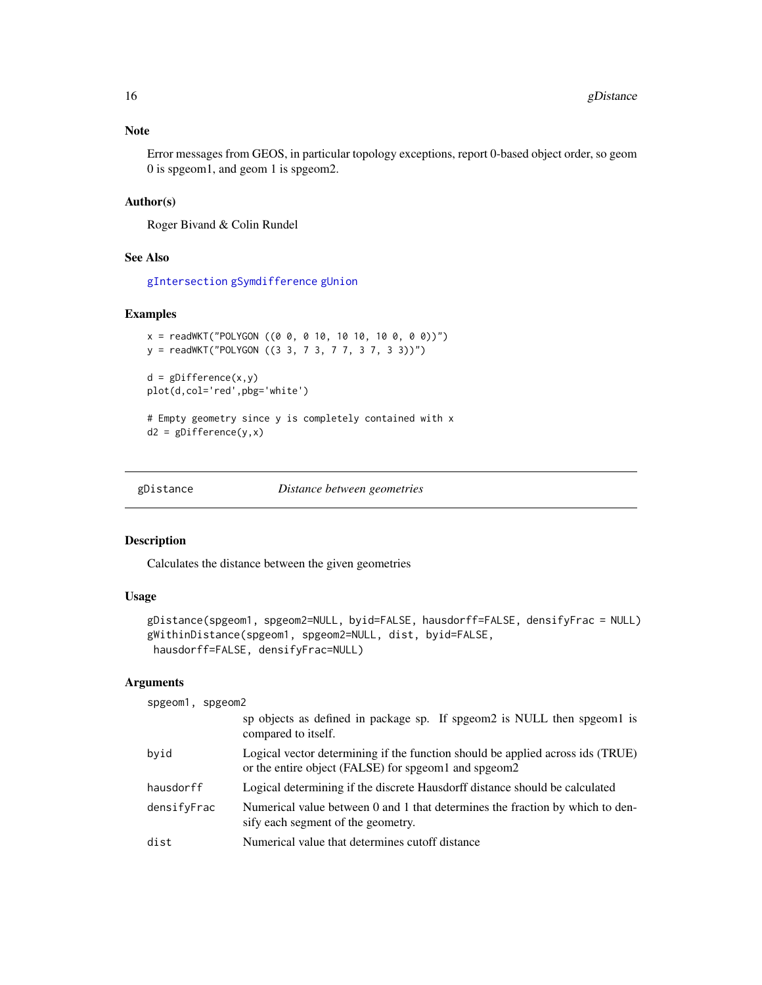## <span id="page-15-0"></span>Note

Error messages from GEOS, in particular topology exceptions, report 0-based object order, so geom 0 is spgeom1, and geom 1 is spgeom2.

## Author(s)

Roger Bivand & Colin Rundel

## See Also

[gIntersection](#page-21-1) [gSymdifference](#page-45-1) [gUnion](#page-48-1)

# Examples

```
x = \text{readWKT("POLYGON ((0 0, 0 10, 10 10, 10 0, 0 0))")}y = readWKT("POLYGON ((3 3, 7 3, 7 7, 3 7, 3 3))")
d = gDifference(x, y)plot(d,col='red',pbg='white')
# Empty geometry since y is completely contained with x
d2 = gDifference(y, x)
```
<span id="page-15-2"></span>gDistance *Distance between geometries*

# <span id="page-15-1"></span>Description

Calculates the distance between the given geometries

## Usage

```
gDistance(spgeom1, spgeom2=NULL, byid=FALSE, hausdorff=FALSE, densifyFrac = NULL)
gWithinDistance(spgeom1, spgeom2=NULL, dist, byid=FALSE,
hausdorff=FALSE, densifyFrac=NULL)
```
## Arguments

```
spgeom1, spgeom2
```

|             | sp objects as defined in package sp. If spgeom2 is NULL then spgeom1 is<br>compared to itself.                                         |
|-------------|----------------------------------------------------------------------------------------------------------------------------------------|
| bvid        | Logical vector determining if the function should be applied across ids (TRUE)<br>or the entire object (FALSE) for spgeom1 and spgeom2 |
| hausdorff   | Logical determining if the discrete Hausdorff distance should be calculated                                                            |
| densifyFrac | Numerical value between 0 and 1 that determines the fraction by which to den-<br>sify each segment of the geometry.                    |
| dist        | Numerical value that determines cutoff distance                                                                                        |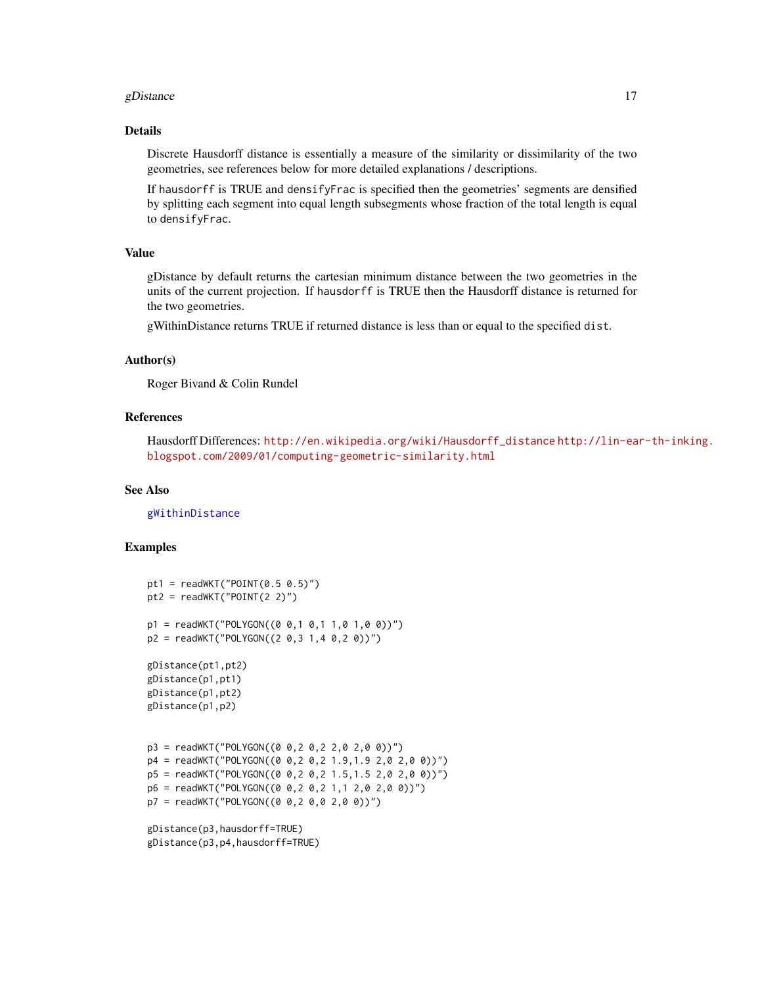#### gDistance  $17$

#### Details

Discrete Hausdorff distance is essentially a measure of the similarity or dissimilarity of the two geometries, see references below for more detailed explanations / descriptions.

If hausdorff is TRUE and densifyFrac is specified then the geometries' segments are densified by splitting each segment into equal length subsegments whose fraction of the total length is equal to densifyFrac.

## Value

gDistance by default returns the cartesian minimum distance between the two geometries in the units of the current projection. If hausdorff is TRUE then the Hausdorff distance is returned for the two geometries.

gWithinDistance returns TRUE if returned distance is less than or equal to the specified dist.

#### Author(s)

Roger Bivand & Colin Rundel

# References

Hausdorff Differences: [http://en.wikipedia.org/wiki/Hausdorff\\_distance](http://en.wikipedia.org/wiki/Hausdorff_distance) [http://lin-ea](http://lin-ear-th-inking.blogspot.com/2009/01/computing-geometric-similarity.html)r-th-inking. [blogspot.com/2009/01/computing-geometric-similarity.html](http://lin-ear-th-inking.blogspot.com/2009/01/computing-geometric-similarity.html)

## See Also

[gWithinDistance](#page-15-1)

## Examples

```
pt1 = readWKT("POINT(0.5 0.5)")pt2 = readWKT("POINT(2 2)")p1 = \text{readWKT}("POLYGON((0 0, 1 0, 1 1, 0 1, 0 0))")p2 = \text{readWKT("POLYGON((2 0, 3 1, 4 0, 2 0))")}gDistance(pt1,pt2)
gDistance(p1,pt1)
gDistance(p1,pt2)
gDistance(p1,p2)
p3 = readWKT("POLYGON((0 0,2 0,2 2,0 2,0 0))")
p4 = \text{readWKT("POLYGON((0 0, 2 0, 2 1.9, 1.9 2, 0 2, 0 0))")}p5 = \text{readWKT("POLYGON((0 0, 2 0, 2 1.5, 1.5 2, 0 2, 0 0))")}p6 = readWKT("POLYGON((0 0,2 0,2 1,1 2,0 2,0 0))")
p7 = \text{readWKT("POLYGON((0 0, 2 0, 0 2, 0 0))")}gDistance(p3,hausdorff=TRUE)
```
gDistance(p3,p4,hausdorff=TRUE)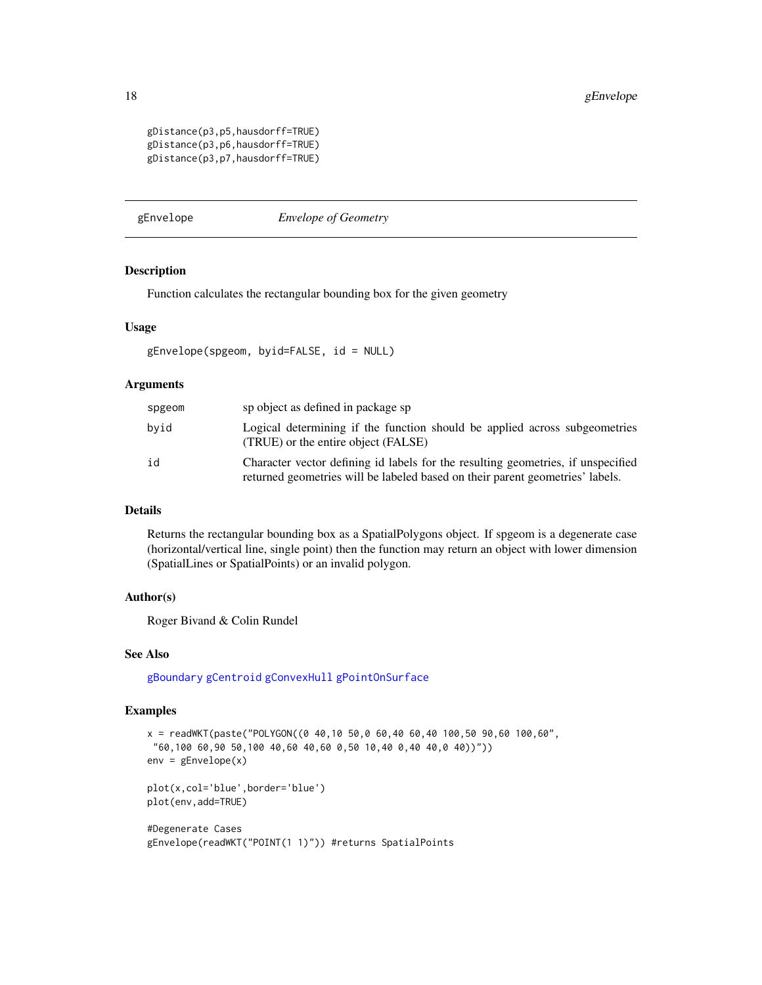```
gDistance(p3,p5,hausdorff=TRUE)
gDistance(p3,p6,hausdorff=TRUE)
gDistance(p3,p7,hausdorff=TRUE)
```
<span id="page-17-1"></span>gEnvelope *Envelope of Geometry*

#### Description

Function calculates the rectangular bounding box for the given geometry

# Usage

```
gEnvelope(spgeom, byid=FALSE, id = NULL)
```
## Arguments

| spgeom | sp object as defined in package sp                                                                                                                                |
|--------|-------------------------------------------------------------------------------------------------------------------------------------------------------------------|
| bvid   | Logical determining if the function should be applied across subgeometries<br>(TRUE) or the entire object (FALSE)                                                 |
| id     | Character vector defining id labels for the resulting geometries, if unspecified<br>returned geometries will be labeled based on their parent geometries' labels. |

## Details

Returns the rectangular bounding box as a SpatialPolygons object. If spgeom is a degenerate case (horizontal/vertical line, single point) then the function may return an object with lower dimension (SpatialLines or SpatialPoints) or an invalid polygon.

#### Author(s)

Roger Bivand & Colin Rundel

#### See Also

[gBoundary](#page-3-1) [gCentroid](#page-6-1) [gConvexHull](#page-10-1) [gPointOnSurface](#page-38-1)

```
x = \text{readWKT}(\text{paste("POLYGON}((0 40, 10 50, 0 60, 40 60, 40 100, 50 90, 60 100, 60"60,100 60,90 50,100 40,60 40,60 0,50 10,40 0,40 40,0 40))"))
env = gEnvelope(x)
plot(x,col='blue',border='blue')
plot(env,add=TRUE)
#Degenerate Cases
gEnvelope(readWKT("POINT(1 1)")) #returns SpatialPoints
```
<span id="page-17-0"></span>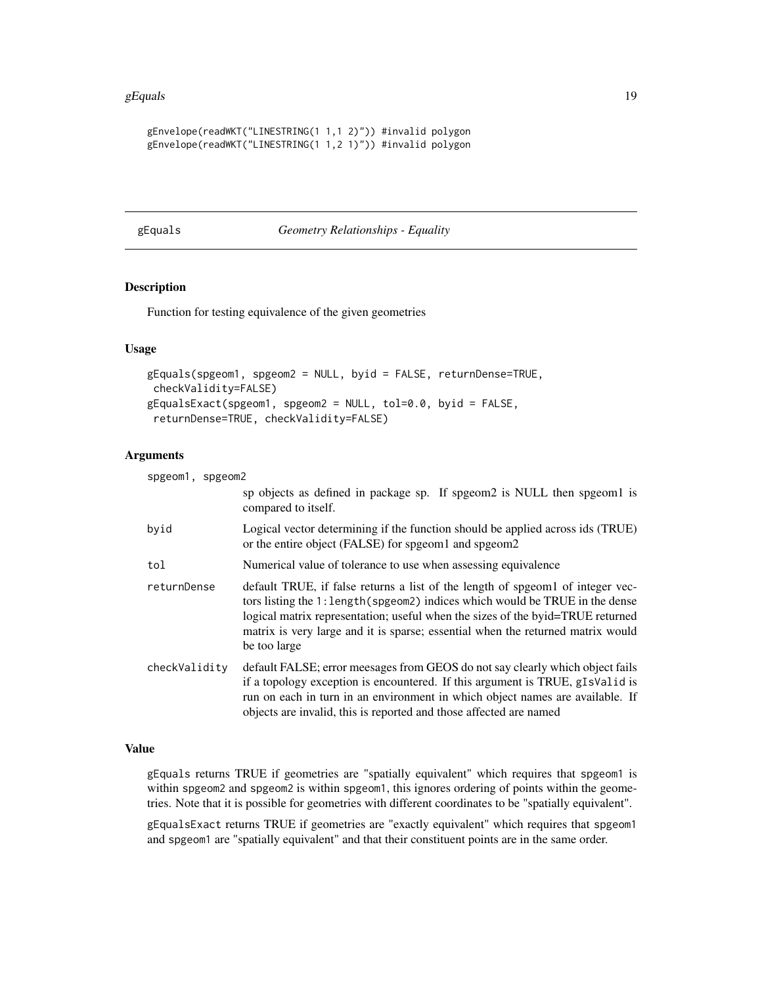#### <span id="page-18-0"></span>gEquals  $19$

```
gEnvelope(readWKT("LINESTRING(1 1,1 2)")) #invalid polygon
gEnvelope(readWKT("LINESTRING(1 1,2 1)")) #invalid polygon
```
<span id="page-18-1"></span>gEquals *Geometry Relationships - Equality*

# <span id="page-18-2"></span>Description

Function for testing equivalence of the given geometries

# Usage

```
gEquals(spgeom1, spgeom2 = NULL, byid = FALSE, returnDense=TRUE,
checkValidity=FALSE)
gEqualsExact(spgeom1, spgeom2 = NULL, tol=0.0, byid = FALSE,
returnDense=TRUE, checkValidity=FALSE)
```
#### Arguments

| spgeom1, spgeom2 |                                                                                                                                                                                                                                                                                                                                                    |
|------------------|----------------------------------------------------------------------------------------------------------------------------------------------------------------------------------------------------------------------------------------------------------------------------------------------------------------------------------------------------|
|                  | sp objects as defined in package sp. If spgeom <sub>2</sub> is NULL then spgeom1 is<br>compared to itself.                                                                                                                                                                                                                                         |
| byid             | Logical vector determining if the function should be applied across ids (TRUE)<br>or the entire object (FALSE) for spgeom1 and spgeom2                                                                                                                                                                                                             |
| tol              | Numerical value of tolerance to use when assessing equivalence                                                                                                                                                                                                                                                                                     |
| returnDense      | default TRUE, if false returns a list of the length of speed of integer vec-<br>tors listing the 1: length (spgeom2) indices which would be TRUE in the dense<br>logical matrix representation; useful when the sizes of the byid=TRUE returned<br>matrix is very large and it is sparse; essential when the returned matrix would<br>be too large |
| checkValidity    | default FALSE; error meesages from GEOS do not say clearly which object fails<br>if a topology exception is encountered. If this argument is TRUE, gIsValid is<br>run on each in turn in an environment in which object names are available. If<br>objects are invalid, this is reported and those affected are named                              |

#### Value

gEquals returns TRUE if geometries are "spatially equivalent" which requires that spgeom1 is within spgeom2 and spgeom2 is within spgeom1, this ignores ordering of points within the geometries. Note that it is possible for geometries with different coordinates to be "spatially equivalent".

gEqualsExact returns TRUE if geometries are "exactly equivalent" which requires that spgeom1 and spgeom1 are "spatially equivalent" and that their constituent points are in the same order.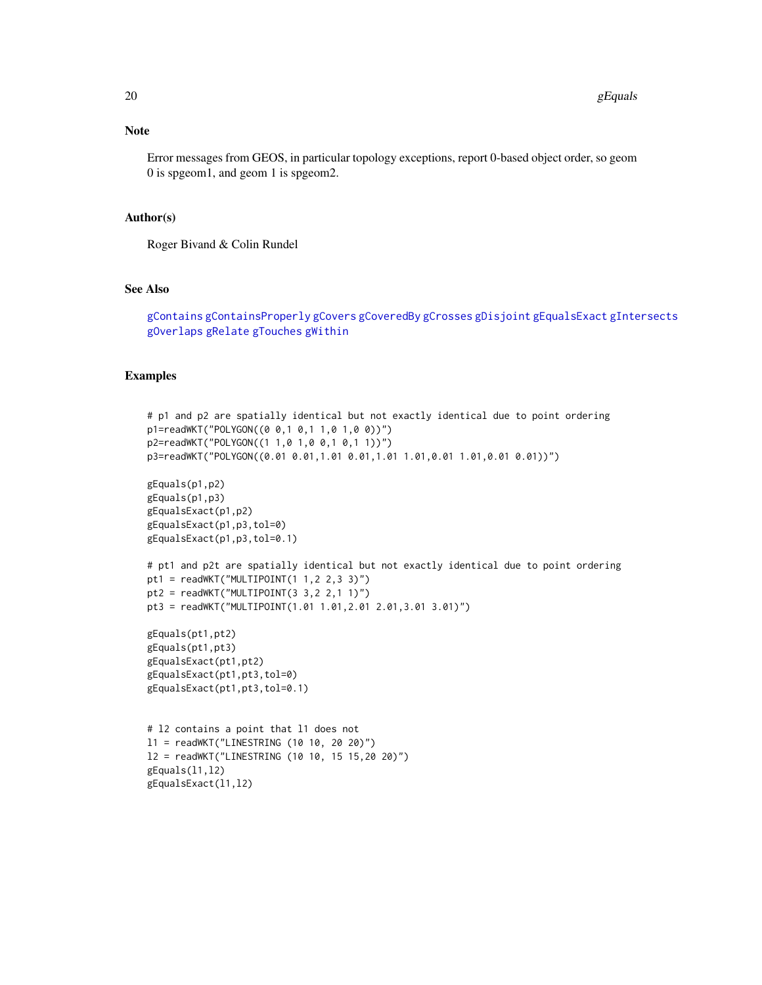## Note

Error messages from GEOS, in particular topology exceptions, report 0-based object order, so geom 0 is spgeom1, and geom 1 is spgeom2.

### Author(s)

Roger Bivand & Colin Rundel

#### See Also

[gContains](#page-7-1) [gContainsProperly](#page-7-2) [gCovers](#page-7-2) [gCoveredBy](#page-7-2) [gCrosses](#page-11-1) [gDisjoint](#page-23-1) [gEqualsExact](#page-18-2) [gIntersects](#page-23-2) [gOverlaps](#page-11-2) [gRelate](#page-42-1) [gTouches](#page-47-1) [gWithin](#page-7-2)

```
# p1 and p2 are spatially identical but not exactly identical due to point ordering
p1=readWKT("POLYGON((0 0,1 0,1 1,0 1,0 0))")
p2=readWKT("POLYGON((1 1,0 1,0 0,1 0,1 1))")
p3=readWKT("POLYGON((0.01 0.01,1.01 0.01,1.01 1.01,0.01 1.01,0.01 0.01))")
gEquals(p1,p2)
gEquals(p1,p3)
gEqualsExact(p1,p2)
gEqualsExact(p1,p3,tol=0)
gEqualsExact(p1,p3,tol=0.1)
# pt1 and p2t are spatially identical but not exactly identical due to point ordering
pt1 = readWKT("MULTIPOINT(1 1,2 2,3 3)")
pt2 = readWKT("MULTIPOINT(3 3, 2 2, 1 1)")pt3 = readWKT("MULTIPOINT(1.01 1.01,2.01 2.01,3.01 3.01)")
gEquals(pt1,pt2)
gEquals(pt1,pt3)
gEqualsExact(pt1,pt2)
gEqualsExact(pt1,pt3,tol=0)
gEqualsExact(pt1,pt3,tol=0.1)
# l2 contains a point that l1 does not
l1 = readWKT("LINESTRING (10 10, 20 20)")
l2 = readWKT("LINESTRING (10 10, 15 15,20 20)")
gEquals(l1,l2)
gEqualsExact(l1,l2)
```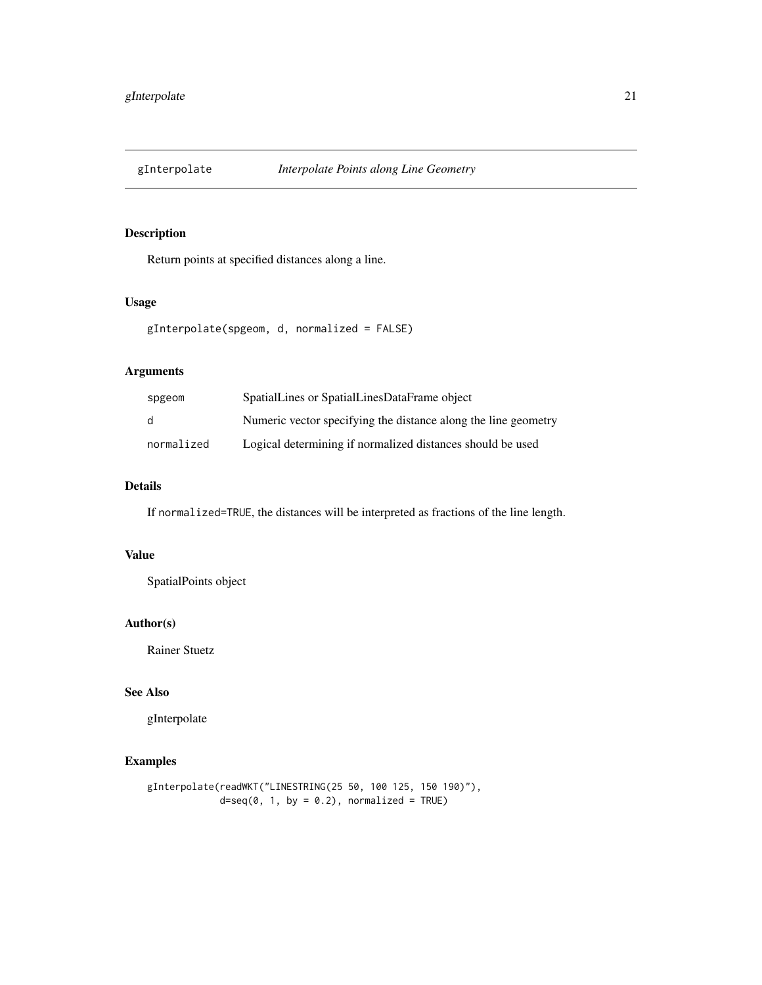<span id="page-20-0"></span>

# Description

Return points at specified distances along a line.

# Usage

```
gInterpolate(spgeom, d, normalized = FALSE)
```
# Arguments

| spgeom     | SpatialLines or SpatialLinesDataFrame object                   |
|------------|----------------------------------------------------------------|
| d          | Numeric vector specifying the distance along the line geometry |
| normalized | Logical determining if normalized distances should be used     |

# Details

If normalized=TRUE, the distances will be interpreted as fractions of the line length.

# Value

SpatialPoints object

## Author(s)

Rainer Stuetz

# See Also

gInterpolate

```
gInterpolate(readWKT("LINESTRING(25 50, 100 125, 150 190)"),
            d=seq(0, 1, by = 0.2), normalized = TRUE)
```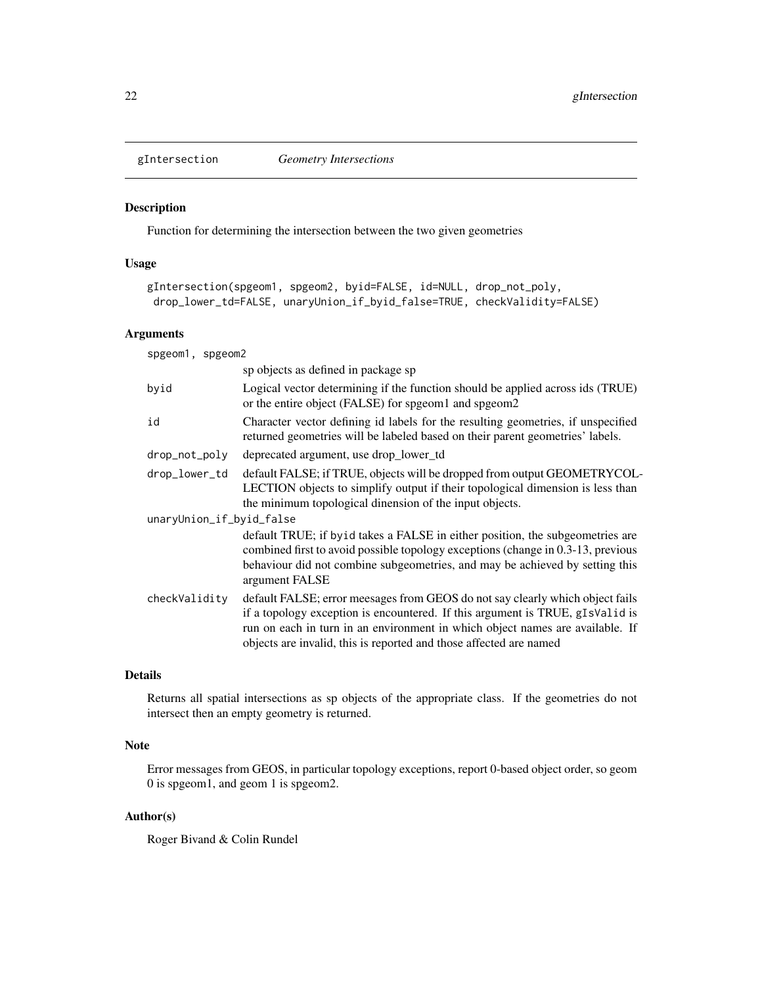<span id="page-21-1"></span><span id="page-21-0"></span>

## Description

Function for determining the intersection between the two given geometries

## Usage

```
gIntersection(spgeom1, spgeom2, byid=FALSE, id=NULL, drop_not_poly,
drop_lower_td=FALSE, unaryUnion_if_byid_false=TRUE, checkValidity=FALSE)
```
#### Arguments

| spgeom1, spgeom2         |                                                                                                                                                                                                                                                                                                                       |
|--------------------------|-----------------------------------------------------------------------------------------------------------------------------------------------------------------------------------------------------------------------------------------------------------------------------------------------------------------------|
|                          | sp objects as defined in package sp                                                                                                                                                                                                                                                                                   |
| byid                     | Logical vector determining if the function should be applied across ids (TRUE)<br>or the entire object (FALSE) for spgeom1 and spgeom2                                                                                                                                                                                |
| id                       | Character vector defining id labels for the resulting geometries, if unspecified<br>returned geometries will be labeled based on their parent geometries' labels.                                                                                                                                                     |
| drop_not_poly            | deprecated argument, use drop_lower_td                                                                                                                                                                                                                                                                                |
| drop_lower_td            | default FALSE; if TRUE, objects will be dropped from output GEOMETRYCOL-<br>LECTION objects to simplify output if their topological dimension is less than<br>the minimum topological dinension of the input objects.                                                                                                 |
| unaryUnion_if_byid_false |                                                                                                                                                                                                                                                                                                                       |
|                          | default TRUE; if by id takes a FALSE in either position, the subgeometries are<br>combined first to avoid possible topology exceptions (change in 0.3-13, previous<br>behaviour did not combine subgeometries, and may be achieved by setting this<br>argument FALSE                                                  |
| checkValidity            | default FALSE; error meesages from GEOS do not say clearly which object fails<br>if a topology exception is encountered. If this argument is TRUE, gIsValid is<br>run on each in turn in an environment in which object names are available. If<br>objects are invalid, this is reported and those affected are named |
|                          |                                                                                                                                                                                                                                                                                                                       |

## Details

Returns all spatial intersections as sp objects of the appropriate class. If the geometries do not intersect then an empty geometry is returned.

# Note

Error messages from GEOS, in particular topology exceptions, report 0-based object order, so geom 0 is spgeom1, and geom 1 is spgeom2.

# Author(s)

Roger Bivand & Colin Rundel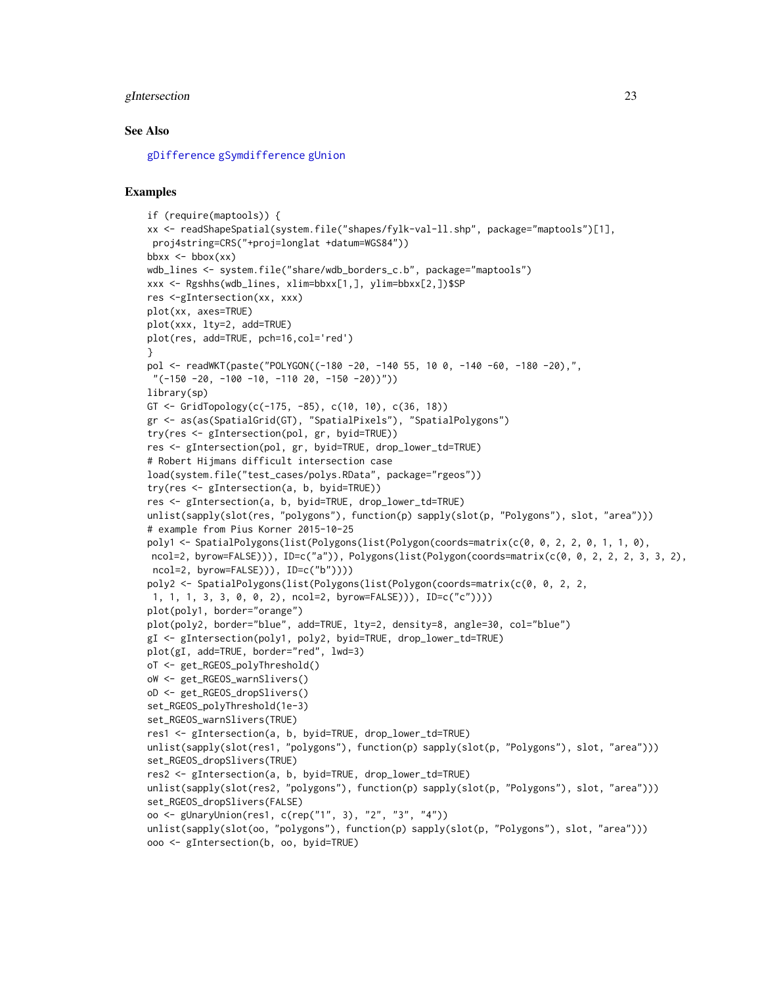#### gIntersection 23

#### See Also

[gDifference](#page-14-1) [gSymdifference](#page-45-1) [gUnion](#page-48-1)

```
if (require(maptools)) {
xx <- readShapeSpatial(system.file("shapes/fylk-val-ll.shp", package="maptools")[1],
proj4string=CRS("+proj=longlat +datum=WGS84"))
bbx \le - bbox(xx)wdb_lines <- system.file("share/wdb_borders_c.b", package="maptools")
xxx <- Rgshhs(wdb_lines, xlim=bbxx[1,], ylim=bbxx[2,])$SP
res <-gIntersection(xx, xxx)
plot(xx, axes=TRUE)
plot(xxx, lty=2, add=TRUE)
plot(res, add=TRUE, pch=16,col='red')
}
pol <- readWKT(paste("POLYGON((-180 -20, -140 55, 10 0, -140 -60, -180 -20),",
 "(-150 -20, -100 -10, -110 20, -150 -20)")library(sp)
GT <- GridTopology(c(-175, -85), c(10, 10), c(36, 18))
gr <- as(as(SpatialGrid(GT), "SpatialPixels"), "SpatialPolygons")
try(res <- gIntersection(pol, gr, byid=TRUE))
res <- gIntersection(pol, gr, byid=TRUE, drop_lower_td=TRUE)
# Robert Hijmans difficult intersection case
load(system.file("test_cases/polys.RData", package="rgeos"))
try(res <- gIntersection(a, b, byid=TRUE))
res <- gIntersection(a, b, byid=TRUE, drop_lower_td=TRUE)
unlist(sapply(slot(res, "polygons"), function(p) sapply(slot(p, "Polygons"), slot, "area")))
# example from Pius Korner 2015-10-25
poly1 <- SpatialPolygons(list(Polygons(list(Polygon(coords=matrix(c(0, 0, 2, 2, 0, 1, 1, 0),
ncol=2, byrow=FALSE))), ID=c("a")), Polygons(list(Polygon(coords=matrix(c(0, 0, 2, 2, 2, 3, 3, 2),
ncol=2, byrow=FALSE))), ID=c("b"))))
poly2 <- SpatialPolygons(list(Polygons(list(Polygon(coords=matrix(c(0, 0, 2, 2,
1, 1, 1, 3, 3, 0, 0, 2), ncol=2, byrow=FALSE))), ID=c("c"))))
plot(poly1, border="orange")
plot(poly2, border="blue", add=TRUE, lty=2, density=8, angle=30, col="blue")
gI <- gIntersection(poly1, poly2, byid=TRUE, drop_lower_td=TRUE)
plot(gI, add=TRUE, border="red", lwd=3)
oT <- get_RGEOS_polyThreshold()
oW <- get_RGEOS_warnSlivers()
oD <- get_RGEOS_dropSlivers()
set_RGEOS_polyThreshold(1e-3)
set_RGEOS_warnSlivers(TRUE)
res1 <- gIntersection(a, b, byid=TRUE, drop_lower_td=TRUE)
unlist(sapply(slot(res1, "polygons"), function(p) sapply(slot(p, "Polygons"), slot, "area")))
set_RGEOS_dropSlivers(TRUE)
res2 <- gIntersection(a, b, byid=TRUE, drop_lower_td=TRUE)
unlist(sapply(slot(res2, "polygons"), function(p) sapply(slot(p, "Polygons"), slot, "area")))
set_RGEOS_dropSlivers(FALSE)
oo <- gUnaryUnion(res1, c(rep("1", 3), "2", "3", "4"))
unlist(sapply(slot(oo, "polygons"), function(p) sapply(slot(p, "Polygons"), slot, "area")))
ooo <- gIntersection(b, oo, byid=TRUE)
```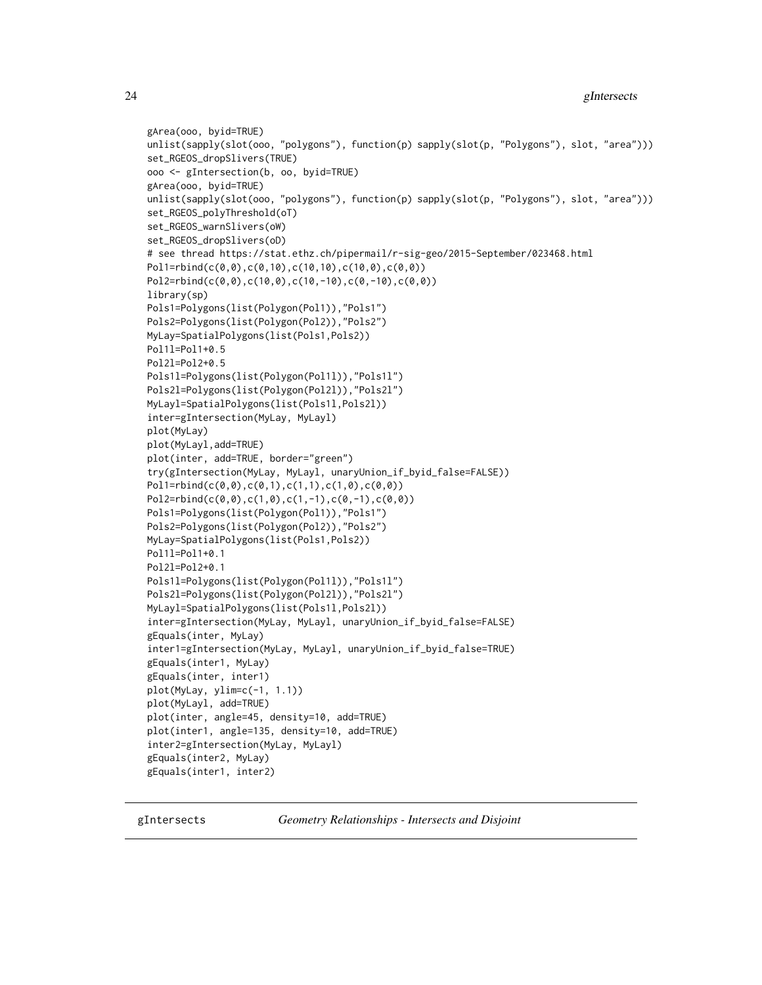```
gArea(ooo, byid=TRUE)
unlist(sapply(slot(ooo, "polygons"), function(p) sapply(slot(p, "Polygons"), slot, "area")))
set_RGEOS_dropSlivers(TRUE)
ooo <- gIntersection(b, oo, byid=TRUE)
gArea(ooo, byid=TRUE)
unlist(sapply(slot(ooo, "polygons"), function(p) sapply(slot(p, "Polygons"), slot, "area")))
set_RGEOS_polyThreshold(oT)
set_RGEOS_warnSlivers(oW)
set_RGEOS_dropSlivers(oD)
# see thread https://stat.ethz.ch/pipermail/r-sig-geo/2015-September/023468.html
Pol1=rbind(c(0,0),c(0,10),c(10,10),c(10,0),c(0,0))
Pol2=rbind(c(0,0),c(10,0),c(10,-10),c(0,-10),c(0,0))
library(sp)
Pols1=Polygons(list(Polygon(Pol1)),"Pols1")
Pols2=Polygons(list(Polygon(Pol2)),"Pols2")
MyLay=SpatialPolygons(list(Pols1,Pols2))
Pol1l=Pol1+0.5
Pol2l=Pol2+0.5
Pols1l=Polygons(list(Polygon(Pol1l)),"Pols1l")
Pols2l=Polygons(list(Polygon(Pol2l)),"Pols2l")
MyLayl=SpatialPolygons(list(Pols1l,Pols2l))
inter=gIntersection(MyLay, MyLayl)
plot(MyLay)
plot(MyLayl,add=TRUE)
plot(inter, add=TRUE, border="green")
try(gIntersection(MyLay, MyLayl, unaryUnion_if_byid_false=FALSE))
Pol1=rbind(c(0,0),c(0,1),c(1,1),c(1,0),c(0,0))
Pol2=rbind(c(0,0),c(1,0),c(1,-1),c(0,-1),c(0,0))
Pols1=Polygons(list(Polygon(Pol1)),"Pols1")
Pols2=Polygons(list(Polygon(Pol2)),"Pols2")
MyLay=SpatialPolygons(list(Pols1,Pols2))
Pol1l=Pol1+0.1
Pol2l=Pol2+0.1
Pols1l=Polygons(list(Polygon(Pol1l)),"Pols1l")
Pols2l=Polygons(list(Polygon(Pol2l)),"Pols2l")
MyLayl=SpatialPolygons(list(Pols1l,Pols2l))
inter=gIntersection(MyLay, MyLayl, unaryUnion_if_byid_false=FALSE)
gEquals(inter, MyLay)
inter1=gIntersection(MyLay, MyLayl, unaryUnion_if_byid_false=TRUE)
gEquals(inter1, MyLay)
gEquals(inter, inter1)
plot(MyLay, ylim=c(-1, 1.1))
plot(MyLayl, add=TRUE)
plot(inter, angle=45, density=10, add=TRUE)
plot(inter1, angle=135, density=10, add=TRUE)
inter2=gIntersection(MyLay, MyLayl)
gEquals(inter2, MyLay)
gEquals(inter1, inter2)
```
gIntersects *Geometry Relationships - Intersects and Disjoint*

<span id="page-23-0"></span>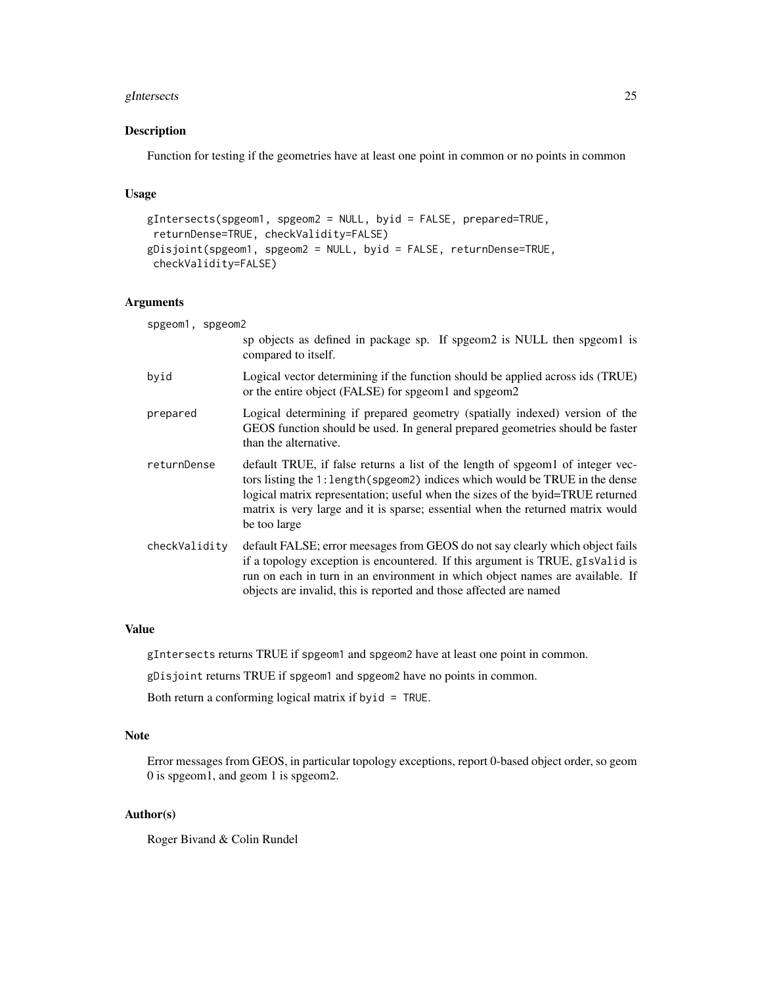# gIntersects 25

# Description

Function for testing if the geometries have at least one point in common or no points in common

#### Usage

```
gIntersects(spgeom1, spgeom2 = NULL, byid = FALSE, prepared=TRUE,
returnDense=TRUE, checkValidity=FALSE)
gDisjoint(spgeom1, spgeom2 = NULL, byid = FALSE, returnDense=TRUE,
checkValidity=FALSE)
```
# Arguments

| spgeom1, spgeom2 |                                                                                                                                                                                                                                                                                                                                                    |
|------------------|----------------------------------------------------------------------------------------------------------------------------------------------------------------------------------------------------------------------------------------------------------------------------------------------------------------------------------------------------|
|                  | sp objects as defined in package sp. If spgeom2 is NULL then spgeom1 is<br>compared to itself.                                                                                                                                                                                                                                                     |
| byid             | Logical vector determining if the function should be applied across ids (TRUE)<br>or the entire object (FALSE) for spgeom1 and spgeom2                                                                                                                                                                                                             |
| prepared         | Logical determining if prepared geometry (spatially indexed) version of the<br>GEOS function should be used. In general prepared geometries should be faster<br>than the alternative.                                                                                                                                                              |
| returnDense      | default TRUE, if false returns a list of the length of speed of integer vec-<br>tors listing the 1: length (spgeom2) indices which would be TRUE in the dense<br>logical matrix representation; useful when the sizes of the byid=TRUE returned<br>matrix is very large and it is sparse; essential when the returned matrix would<br>be too large |
| checkValidity    | default FALSE; error meesages from GEOS do not say clearly which object fails<br>if a topology exception is encountered. If this argument is TRUE, gIsValid is<br>run on each in turn in an environment in which object names are available. If<br>objects are invalid, this is reported and those affected are named                              |

# Value

gIntersects returns TRUE if spgeom1 and spgeom2 have at least one point in common.

gDisjoint returns TRUE if spgeom1 and spgeom2 have no points in common.

Both return a conforming logical matrix if byid = TRUE.

#### Note

Error messages from GEOS, in particular topology exceptions, report 0-based object order, so geom 0 is spgeom1, and geom 1 is spgeom2.

# Author(s)

Roger Bivand & Colin Rundel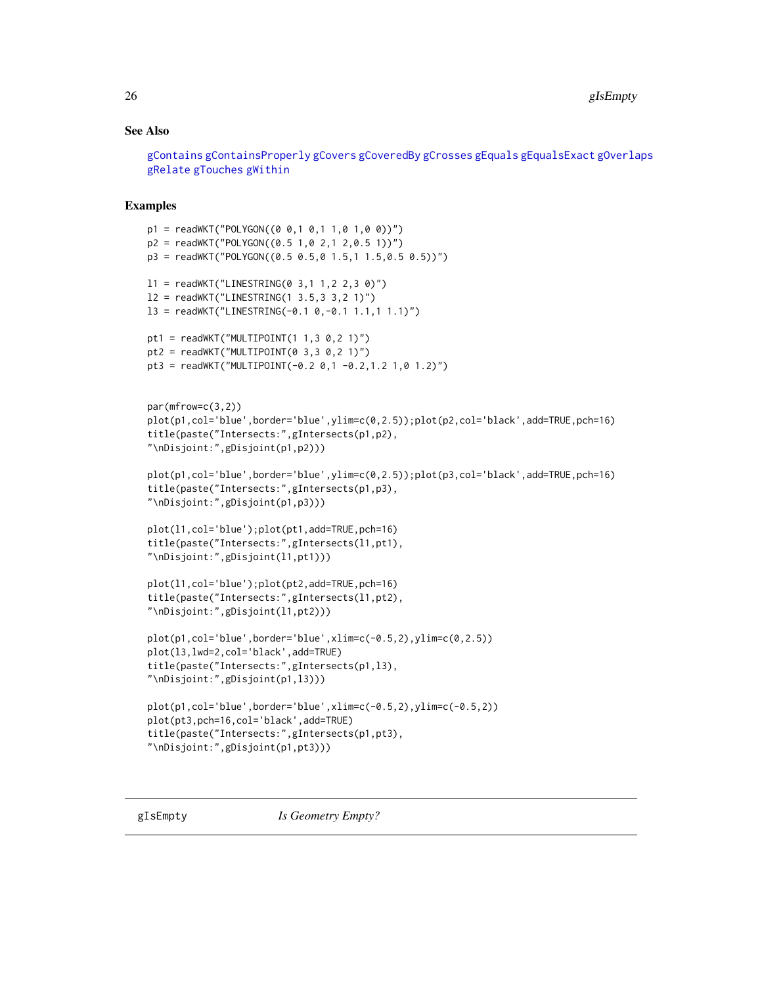## <span id="page-25-0"></span>See Also

[gContains](#page-7-1) [gContainsProperly](#page-7-2) [gCovers](#page-7-2) [gCoveredBy](#page-7-2) [gCrosses](#page-11-1) [gEquals](#page-18-1) [gEqualsExact](#page-18-2) [gOverlaps](#page-11-2) [gRelate](#page-42-1) [gTouches](#page-47-1) [gWithin](#page-7-2)

```
p1 = \text{readWKT}("POLYGON((0 0, 1 0, 1 1, 0 1, 0 0))")p2 = \text{readWKT}("POLYGON((0.5 1.0 2.1 2.0.5 1))")p3 = \text{readWKT("POLYGON((0.5 0.5, 0 1.5, 1 1.5, 0.5 0.5))")}11 = \text{readWKT}("LINESTRING(0 3, 1 1, 2 2, 3 0)")l2 = readWKT("LINESTRING(1 3.5,3 3,2 1)")
13 = \text{readWKT}("LINESTRING(-0.1 0, -0.1 1.1, 1 1.1)")pt1 = readWKT("MULTIPOINT(1 1, 3 0, 2 1)")pt2 = readWKT("MULTIPOINT(0 3, 3 0, 2 1)")pt3 = readWKT("MULTIPOINT(-0.2 0,1 -0.2,1.2 1,0 1.2)")
par(mfrow=c(3,2))
plot(p1,col='blue',border='blue',ylim=c(0,2.5));plot(p2,col='black',add=TRUE,pch=16)
title(paste("Intersects:",gIntersects(p1,p2),
"\nDisjoint:",gDisjoint(p1,p2)))
plot(p1,col='blue',border='blue',ylim=c(0,2.5));plot(p3,col='black',add=TRUE,pch=16)
title(paste("Intersects:",gIntersects(p1,p3),
"\nDisjoint:",gDisjoint(p1,p3)))
plot(l1,col='blue');plot(pt1,add=TRUE,pch=16)
title(paste("Intersects:",gIntersects(l1,pt1),
"\nDisjoint:",gDisjoint(l1,pt1)))
plot(l1,col='blue');plot(pt2,add=TRUE,pch=16)
title(paste("Intersects:",gIntersects(l1,pt2),
"\nDisjoint:",gDisjoint(l1,pt2)))
plot(p1,col='blue',border='blue',xlim=c(-0.5,2),ylim=c(0,2.5))
plot(l3,lwd=2,col='black',add=TRUE)
title(paste("Intersects:",gIntersects(p1,l3),
"\nDisjoint:",gDisjoint(p1,l3)))
plot(p1,col='blue',border='blue',xlim=c(-0.5,2),ylim=c(-0.5,2))
plot(pt3,pch=16,col='black',add=TRUE)
title(paste("Intersects:",gIntersects(p1,pt3),
"\nDisjoint:",gDisjoint(p1,pt3)))
```
<span id="page-25-1"></span>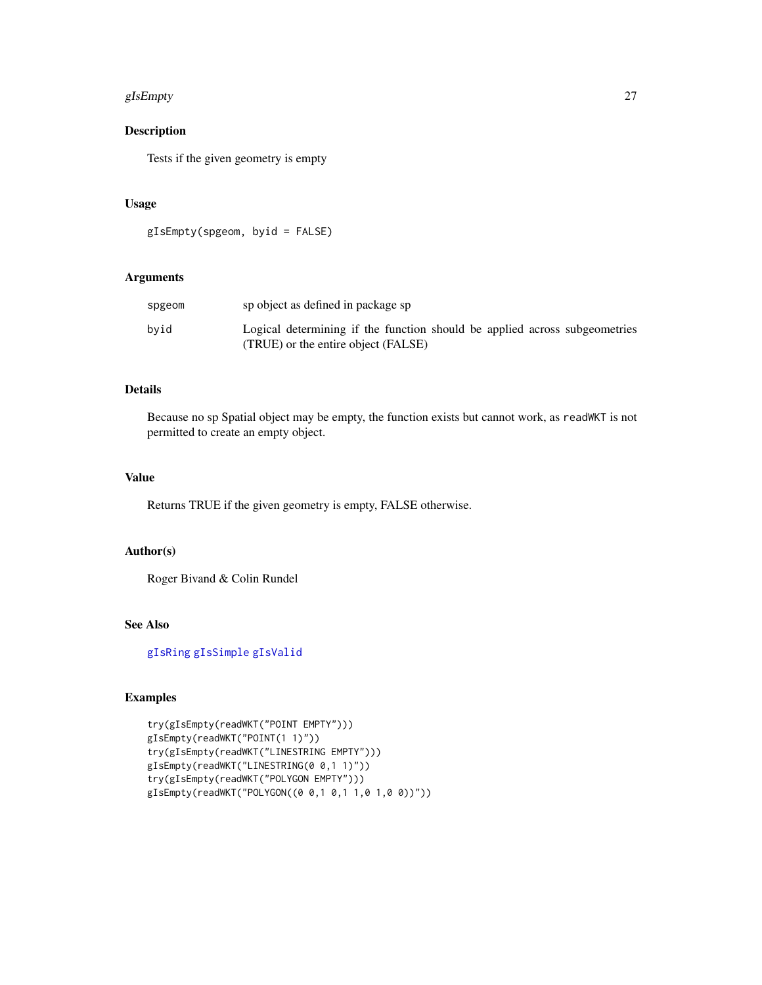#### gIsEmpty 27

# Description

Tests if the given geometry is empty

## Usage

```
gIsEmpty(spgeom, byid = FALSE)
```
# Arguments

| spgeom | sp object as defined in package sp                                                                                |
|--------|-------------------------------------------------------------------------------------------------------------------|
| bvid   | Logical determining if the function should be applied across subgeometries<br>(TRUE) or the entire object (FALSE) |

# Details

Because no sp Spatial object may be empty, the function exists but cannot work, as readWKT is not permitted to create an empty object.

## Value

Returns TRUE if the given geometry is empty, FALSE otherwise.

#### Author(s)

Roger Bivand & Colin Rundel

## See Also

[gIsRing](#page-27-1) [gIsSimple](#page-28-1) [gIsValid](#page-29-1)

```
try(gIsEmpty(readWKT("POINT EMPTY")))
gIsEmpty(readWKT("POINT(1 1)"))
try(gIsEmpty(readWKT("LINESTRING EMPTY")))
gIsEmpty(readWKT("LINESTRING(0 0,1 1)"))
try(gIsEmpty(readWKT("POLYGON EMPTY")))
gIsEmpty(readWKT("POLYGON((0 0,1 0,1 1,0 1,0 0))"))
```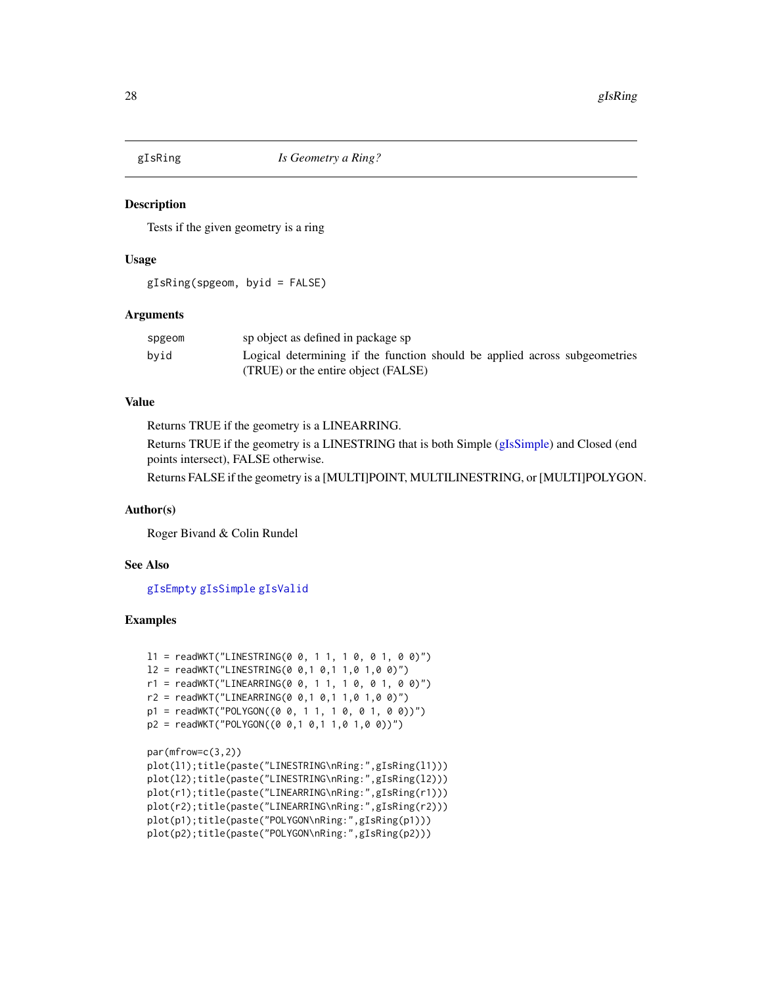<span id="page-27-1"></span><span id="page-27-0"></span>

## Description

Tests if the given geometry is a ring

## Usage

gIsRing(spgeom, byid = FALSE)

## Arguments

| spgeom | sp object as defined in package sp                                         |
|--------|----------------------------------------------------------------------------|
| byid   | Logical determining if the function should be applied across subgeometries |
|        | (TRUE) or the entire object (FALSE)                                        |

# Value

Returns TRUE if the geometry is a LINEARRING.

Returns TRUE if the geometry is a LINESTRING that is both Simple [\(gIsSimple\)](#page-28-1) and Closed (end points intersect), FALSE otherwise.

Returns FALSE if the geometry is a [MULTI]POINT, MULTILINESTRING, or [MULTI]POLYGON.

## Author(s)

Roger Bivand & Colin Rundel

## See Also

[gIsEmpty](#page-25-1) [gIsSimple](#page-28-1) [gIsValid](#page-29-1)

```
11 = \text{readWKT("LINESTRING(0 0, 1 1, 1 0, 0 1, 0 0)")}12 = \text{readWKT}("LINESTRING(0 0, 1 0, 1 1, 0 1, 0 0)")r1 = \text{readWKT("LINEARRING(0 0, 1 1, 1 0, 0 1, 0 0)")}r2 = \text{readWKT("LINEARRING(0 0, 1 0, 1 1, 0 1, 0 0)")}p1 = readWKT("POLYGON((0 0, 1 1, 1 0, 0 1, 0 0))")
p2 = \text{readWKT("POLYGON((0 0, 1 0, 1 1, 0 1, 0 0))")}
```

```
par(mfrow=c(3,2))
plot(l1);title(paste("LINESTRING\nRing:",gIsRing(l1)))
plot(l2);title(paste("LINESTRING\nRing:",gIsRing(l2)))
plot(r1);title(paste("LINEARRING\nRing:",gIsRing(r1)))
plot(r2);title(paste("LINEARRING\nRing:",gIsRing(r2)))
plot(p1);title(paste("POLYGON\nRing:",gIsRing(p1)))
plot(p2);title(paste("POLYGON\nRing:",gIsRing(p2)))
```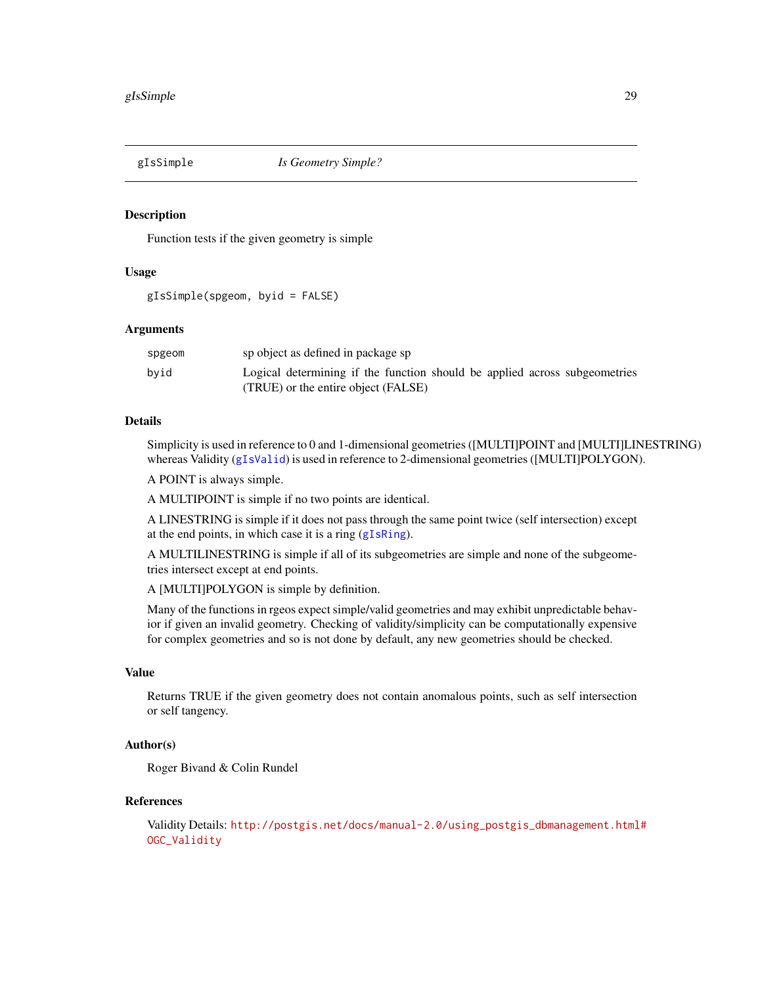<span id="page-28-1"></span><span id="page-28-0"></span>

## Description

Function tests if the given geometry is simple

## Usage

gIsSimple(spgeom, byid = FALSE)

# Arguments

| spgeom | sp object as defined in package sp                                         |
|--------|----------------------------------------------------------------------------|
| byid   | Logical determining if the function should be applied across subgeometries |
|        | (TRUE) or the entire object (FALSE)                                        |

## Details

Simplicity is used in reference to 0 and 1-dimensional geometries ([MULTI]POINT and [MULTI]LINESTRING) whereas Validity ([gIsValid](#page-29-1)) is used in reference to 2-dimensional geometries ([MULTI]POLYGON).

A POINT is always simple.

A MULTIPOINT is simple if no two points are identical.

A LINESTRING is simple if it does not pass through the same point twice (self intersection) except at the end points, in which case it is a ring ([gIsRing](#page-27-1)).

A MULTILINESTRING is simple if all of its subgeometries are simple and none of the subgeometries intersect except at end points.

A [MULTI]POLYGON is simple by definition.

Many of the functions in rgeos expect simple/valid geometries and may exhibit unpredictable behavior if given an invalid geometry. Checking of validity/simplicity can be computationally expensive for complex geometries and so is not done by default, any new geometries should be checked.

#### Value

Returns TRUE if the given geometry does not contain anomalous points, such as self intersection or self tangency.

# Author(s)

Roger Bivand & Colin Rundel

# References

```
Validity Details: http://postgis.net/docs/manual-2.0/using_postgis_dbmanagement.html#
OGC_Validity
```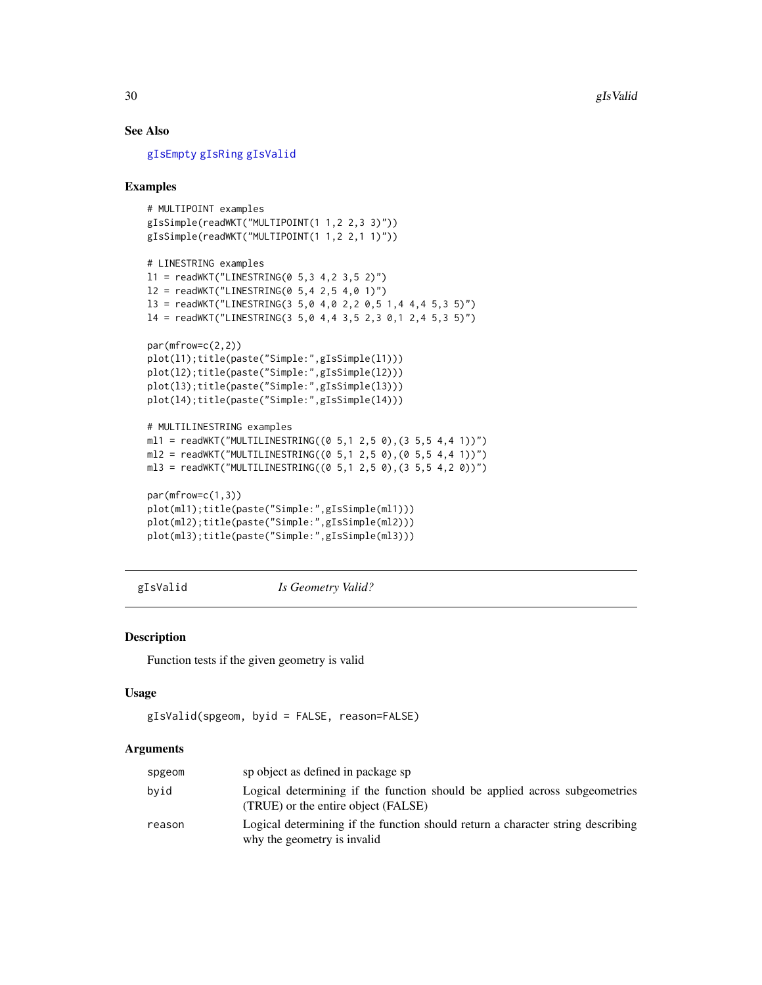# See Also

[gIsEmpty](#page-25-1) [gIsRing](#page-27-1) [gIsValid](#page-29-1)

## Examples

```
# MULTIPOINT examples
gIsSimple(readWKT("MULTIPOINT(1 1,2 2,3 3)"))
gIsSimple(readWKT("MULTIPOINT(1 1,2 2,1 1)"))
# LINESTRING examples
11 = \text{readWKT}("LINESTRING(0 5, 3 4, 2 3, 5 2)")12 = \text{readWKT}("LINESTRING(0 5, 4 2, 5 4, 0 1)")l3 = readWKT("LINESTRING(3 5,0 4,0 2,2 0,5 1,4 4,4 5,3 5)")
14 = readWKT("LINESTRING(3 5,0 4,4 3,5 2,3 0,1 2,4 5,3 5)")
par(mfrow=c(2,2))
plot(l1);title(paste("Simple:",gIsSimple(l1)))
plot(l2);title(paste("Simple:",gIsSimple(l2)))
plot(l3);title(paste("Simple:",gIsSimple(l3)))
plot(l4);title(paste("Simple:",gIsSimple(l4)))
# MULTILINESTRING examples
m11 = readWKT("MULTILINESTRING((0 5,1 2,5 0),(3 5,5 4,4 1))")
ml2 = readWKT("MULTILINESTRING((0 5, 1 2, 5 0), (0 5, 5 4, 4 1))")ml3 = readWKT("MULTILINESTRING((0 5, 1 2, 5 0), (3 5, 5 4, 2 0))")par(mfrow=c(1,3))
plot(ml1);title(paste("Simple:",gIsSimple(ml1)))
plot(ml2);title(paste("Simple:",gIsSimple(ml2)))
```
<span id="page-29-1"></span>gIsValid *Is Geometry Valid?*

# Description

Function tests if the given geometry is valid

#### Usage

```
gIsValid(spgeom, byid = FALSE, reason=FALSE)
```
plot(ml3);title(paste("Simple:",gIsSimple(ml3)))

#### **Arguments**

| spgeom | sp object as defined in package sp                                                                                |
|--------|-------------------------------------------------------------------------------------------------------------------|
| byid   | Logical determining if the function should be applied across subgeometries<br>(TRUE) or the entire object (FALSE) |
| reason | Logical determining if the function should return a character string describing<br>why the geometry is invalid    |

<span id="page-29-0"></span>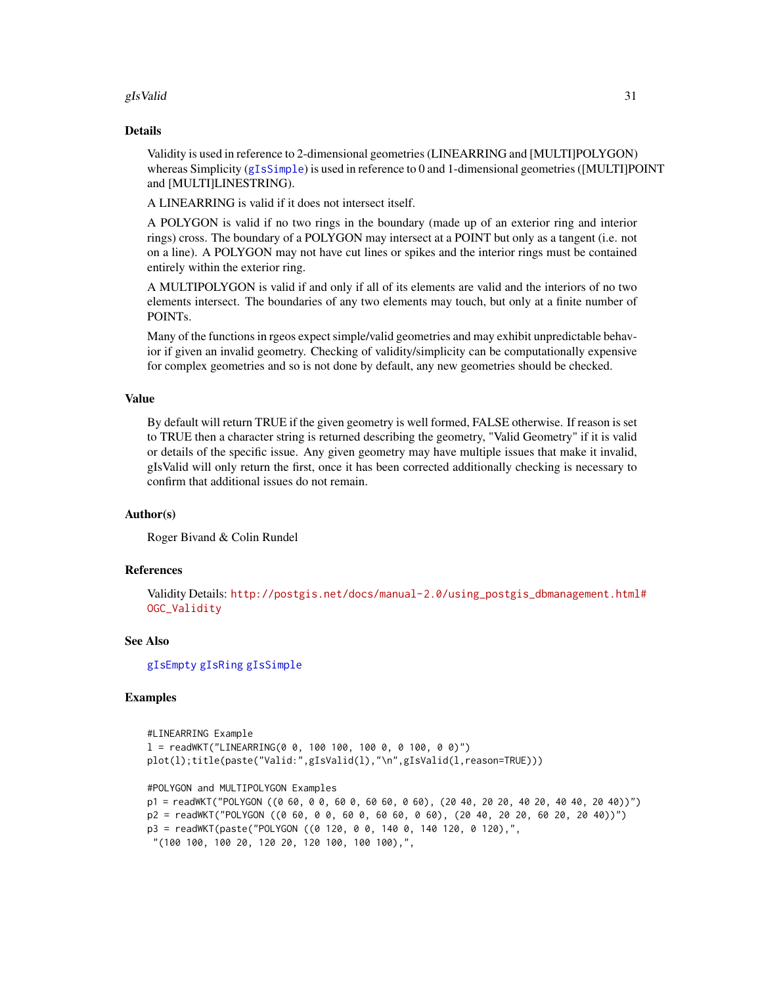## gIs Valid  $31$

#### Details

Validity is used in reference to 2-dimensional geometries (LINEARRING and [MULTI]POLYGON) whereas Simplicity ([gIsSimple](#page-28-1)) is used in reference to 0 and 1-dimensional geometries ([MULTI]POINT and [MULTI]LINESTRING).

A LINEARRING is valid if it does not intersect itself.

A POLYGON is valid if no two rings in the boundary (made up of an exterior ring and interior rings) cross. The boundary of a POLYGON may intersect at a POINT but only as a tangent (i.e. not on a line). A POLYGON may not have cut lines or spikes and the interior rings must be contained entirely within the exterior ring.

A MULTIPOLYGON is valid if and only if all of its elements are valid and the interiors of no two elements intersect. The boundaries of any two elements may touch, but only at a finite number of POINTs.

Many of the functions in rgeos expect simple/valid geometries and may exhibit unpredictable behavior if given an invalid geometry. Checking of validity/simplicity can be computationally expensive for complex geometries and so is not done by default, any new geometries should be checked.

#### Value

By default will return TRUE if the given geometry is well formed, FALSE otherwise. If reason is set to TRUE then a character string is returned describing the geometry, "Valid Geometry" if it is valid or details of the specific issue. Any given geometry may have multiple issues that make it invalid, gIsValid will only return the first, once it has been corrected additionally checking is necessary to confirm that additional issues do not remain.

#### Author(s)

Roger Bivand & Colin Rundel

#### References

Validity Details: [http://postgis.net/docs/manual-2.0/using\\_postgis\\_dbmanagement.html](http://postgis.net/docs/manual-2.0/using_postgis_dbmanagement.html#OGC_Validity)# [OGC\\_Validity](http://postgis.net/docs/manual-2.0/using_postgis_dbmanagement.html#OGC_Validity)

#### See Also

[gIsEmpty](#page-25-1) [gIsRing](#page-27-1) [gIsSimple](#page-28-1)

```
#LINEARRING Example
l = \text{readWKT}("LINEARRING(0 0, 100 100, 100 0, 0100, 00)")plot(l);title(paste("Valid:",gIsValid(l),"\n",gIsValid(l,reason=TRUE)))
#POLYGON and MULTIPOLYGON Examples
p1 = readWKT("POLYGON ((0 60, 0 0, 60 0, 60 60, 0 60), (20 40, 20 20, 40 20, 40 40, 20 40))")
p2 = readWKT("POLYGON ((0 60, 0 0, 60 0, 60 60, 0 60), (20 40, 20 20, 60 20, 20 40))")
p3 = readWKT(paste("POLYGON ((0 120, 0 0, 140 0, 140 120, 0 120),",
 "(100 100, 100 20, 120 20, 120 100, 100 100),",
```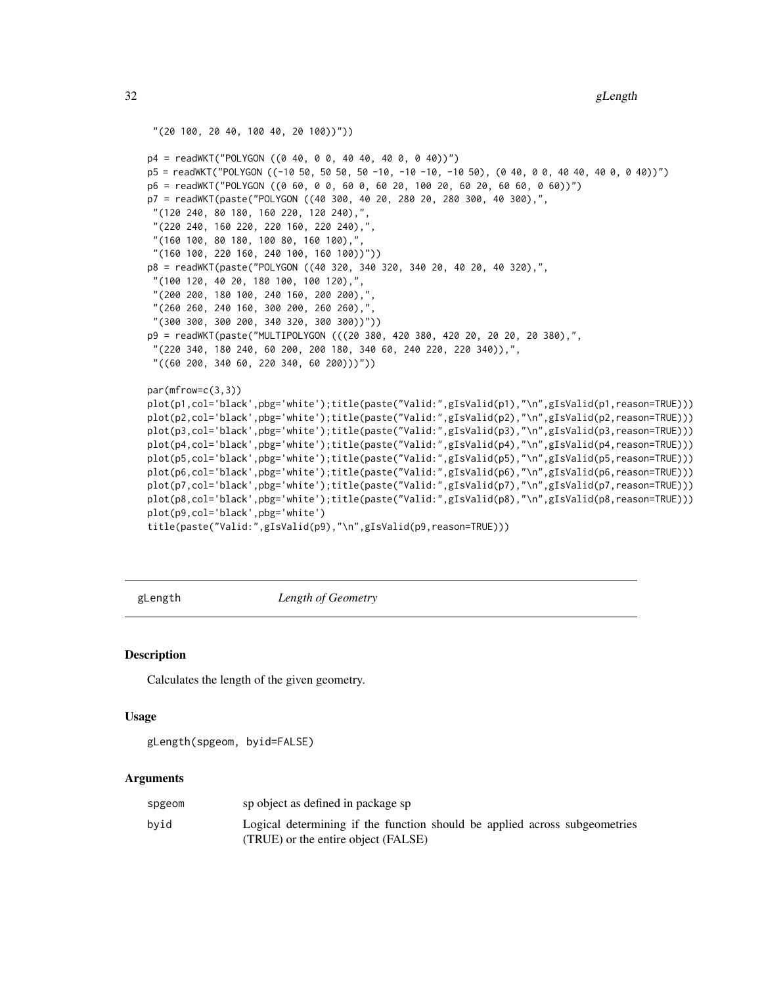<span id="page-31-0"></span>32 gLength and the set of the set of the set of the set of the set of the set of the set of the set of the set of the set of the set of the set of the set of the set of the set of the set of the set of the set of the set o

```
"(20 100, 20 40, 100 40, 20 100))"))
p4 = readWKT("POLYGON ((0 40, 0 0, 40 40, 40 0, 0 40))")
p5 = readWKT("POLYGON ((-10 50, 50 50, 50 -10, -10 -10, -10 50), (0 40, 0 0, 40 40, 40 0, 0 40))")
p6 = readWKT("POLYGON ((0 60, 0 0, 60 0, 60 20, 100 20, 60 20, 60 60, 0 60))")
p7 = readWKT(paste("POLYGON ((40 300, 40 20, 280 20, 280 300, 40 300),",
 "(120 240, 80 180, 160 220, 120 240),",
 "(220 240, 160 220, 220 160, 220 240),",
 "(160 100, 80 180, 100 80, 160 100),",
 "(160 100, 220 160, 240 100, 160 100))"))
p8 = readWKT(paste("POLYGON ((40 320, 340 320, 340 20, 40 20, 40 320),",
 "(100 120, 40 20, 180 100, 100 120),
 "(200 200, 180 100, 240 160, 200 200),"
 "(260 260, 240 160, 300 200, 260 260),",
 "(300 300, 300 200, 340 320, 300 300))"))
p9 = readWKT(paste("MULTIPOLYGON (((20 380, 420 380, 420 20, 20 20, 20 380),",
 "(220 340, 180 240, 60 200, 200 180, 340 60, 240 220, 220 340)),",
 "((60 200, 340 60, 220 340, 60 200)))"))
par(mfrow=c(3,3))
plot(p1,col='black',pbg='white');title(paste("Valid:",gIsValid(p1),"\n",gIsValid(p1,reason=TRUE)))
plot(p2,col='black',pbg='white');title(paste("Valid:",gIsValid(p2),"\n",gIsValid(p2,reason=TRUE)))
plot(p3,col='black',pbg='white');title(paste("Valid:",gIsValid(p3),"\n",gIsValid(p3,reason=TRUE)))
plot(p4,col='black',pbg='white');title(paste("Valid:",gIsValid(p4),"\n",gIsValid(p4,reason=TRUE)))
plot(p5,col='black',pbg='white');title(paste("Valid:",gIsValid(p5),"\n",gIsValid(p5,reason=TRUE)))
plot(p6,col='black',pbg='white');title(paste("Valid:",gIsValid(p6),"\n",gIsValid(p6,reason=TRUE)))
plot(p7,col='black',pbg='white');title(paste("Valid:",gIsValid(p7),"\n",gIsValid(p7,reason=TRUE)))
plot(p8,col='black',pbg='white');title(paste("Valid:",gIsValid(p8),"\n",gIsValid(p8,reason=TRUE)))
plot(p9,col='black',pbg='white')
title(paste("Valid:",gIsValid(p9),"\n",gIsValid(p9,reason=TRUE)))
```
<span id="page-31-1"></span>

gLength *Length of Geometry*

#### Description

Calculates the length of the given geometry.

## Usage

```
gLength(spgeom, byid=FALSE)
```
#### Arguments

| spgeom | sp object as defined in package sp                                                                                |
|--------|-------------------------------------------------------------------------------------------------------------------|
| bvid   | Logical determining if the function should be applied across subgeometries<br>(TRUE) or the entire object (FALSE) |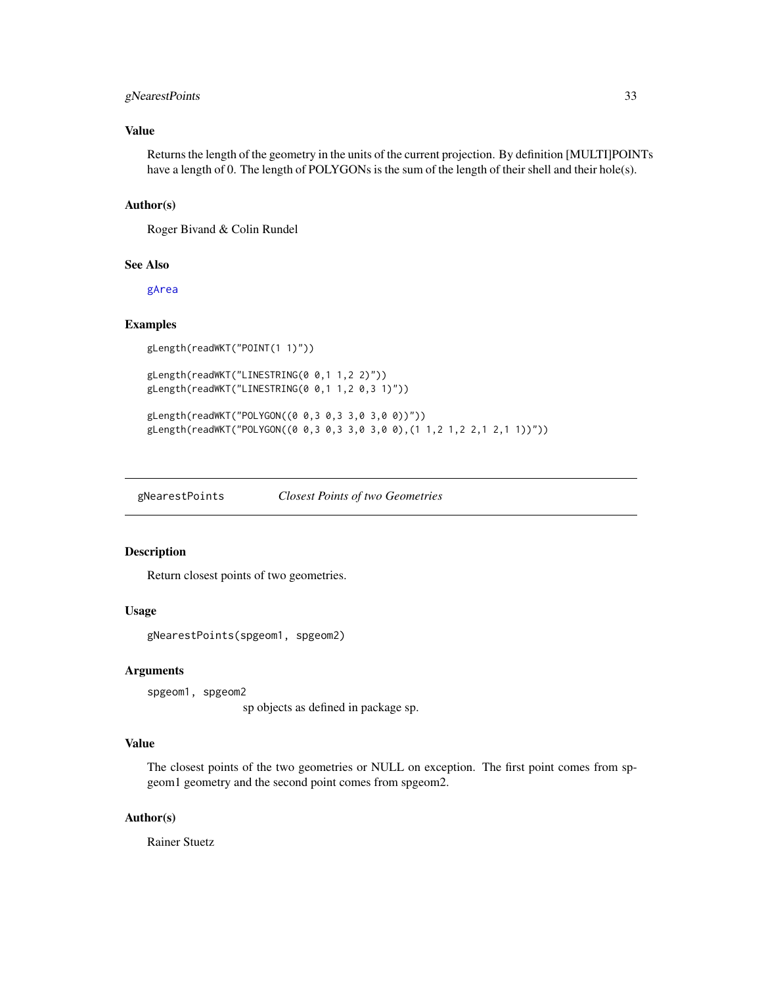# <span id="page-32-0"></span>gNearestPoints 33

## Value

Returns the length of the geometry in the units of the current projection. By definition [MULTI]POINTs have a length of 0. The length of POLYGONs is the sum of the length of their shell and their hole(s).

## Author(s)

Roger Bivand & Colin Rundel

#### See Also

[gArea](#page-2-1)

#### Examples

```
gLength(readWKT("POINT(1 1)"))
```

```
gLength(readWKT("LINESTRING(0 0,1 1,2 2)"))
gLength(readWKT("LINESTRING(0 0,1 1,2 0,3 1)"))
```
gLength(readWKT("POLYGON((0 0,3 0,3 3,0 3,0 0))")) gLength(readWKT("POLYGON((0 0,3 0,3 3,0 3,0 0),(1 1,2 1,2 2,1 2,1 1))"))

gNearestPoints *Closest Points of two Geometries*

## Description

Return closest points of two geometries.

## Usage

gNearestPoints(spgeom1, spgeom2)

## Arguments

spgeom1, spgeom2

sp objects as defined in package sp.

# Value

The closest points of the two geometries or NULL on exception. The first point comes from spgeom1 geometry and the second point comes from spgeom2.

## Author(s)

Rainer Stuetz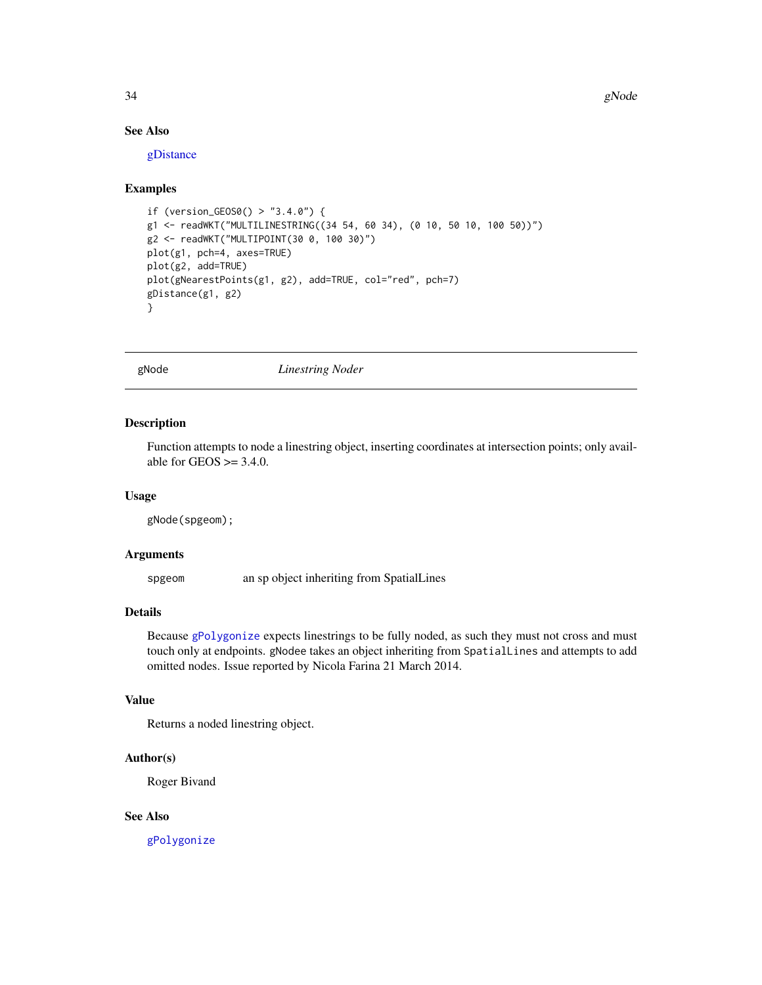# See Also

[gDistance](#page-15-2)

## Examples

```
if (version_GEOS0() > "3.4.0") {
g1 <- readWKT("MULTILINESTRING((34 54, 60 34), (0 10, 50 10, 100 50))")
g2 <- readWKT("MULTIPOINT(30 0, 100 30)")
plot(g1, pch=4, axes=TRUE)
plot(g2, add=TRUE)
plot(gNearestPoints(g1, g2), add=TRUE, col="red", pch=7)
gDistance(g1, g2)
}
```
gNode *Linestring Noder*

## Description

Function attempts to node a linestring object, inserting coordinates at intersection points; only available for GEOS  $\geq$  3.4.0.

#### Usage

gNode(spgeom);

## Arguments

spgeom an sp object inheriting from SpatialLines

## Details

Because [gPolygonize](#page-39-1) expects linestrings to be fully noded, as such they must not cross and must touch only at endpoints. gNodee takes an object inheriting from SpatialLines and attempts to add omitted nodes. Issue reported by Nicola Farina 21 March 2014.

## Value

Returns a noded linestring object.

## Author(s)

Roger Bivand

# See Also

[gPolygonize](#page-39-1)

<span id="page-33-0"></span>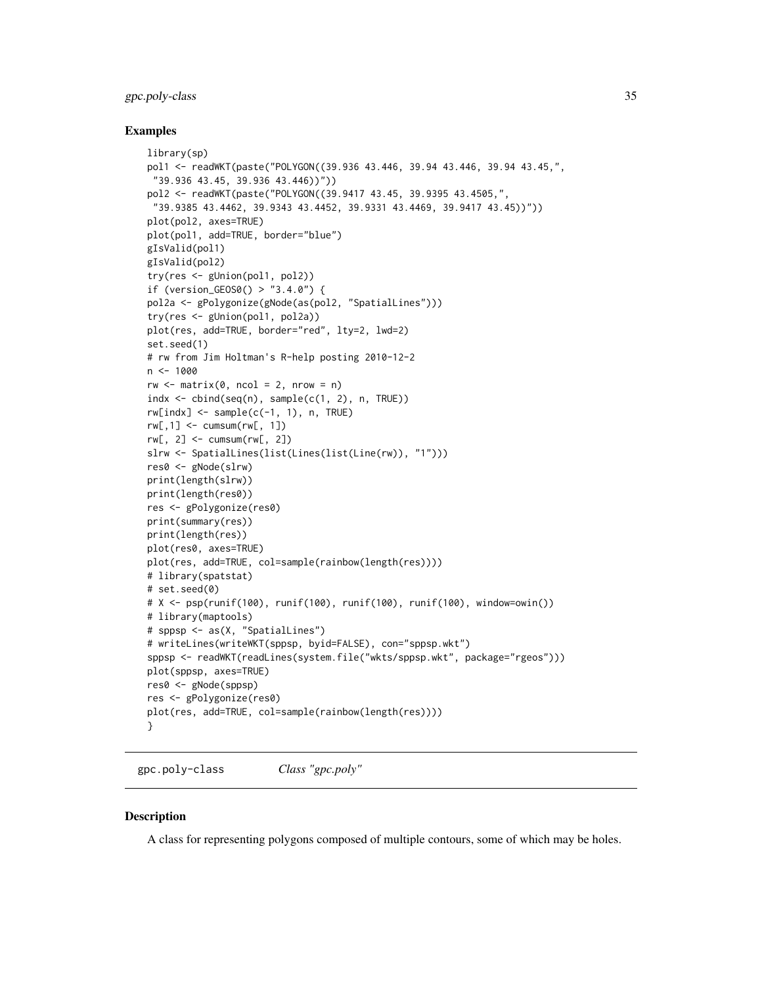## <span id="page-34-0"></span>gpc.poly-class 35

#### Examples

```
library(sp)
pol1 <- readWKT(paste("POLYGON((39.936 43.446, 39.94 43.446, 39.94 43.45,",
 "39.936 43.45, 39.936 43.446))"))
pol2 <- readWKT(paste("POLYGON((39.9417 43.45, 39.9395 43.4505,",
 "39.9385 43.4462, 39.9343 43.4452, 39.9331 43.4469, 39.9417 43.45))"))
plot(pol2, axes=TRUE)
plot(pol1, add=TRUE, border="blue")
gIsValid(pol1)
gIsValid(pol2)
try(res <- gUnion(pol1, pol2))
if (version_GEOS0() > "3.4.0") {
pol2a <- gPolygonize(gNode(as(pol2, "SpatialLines")))
try(res <- gUnion(pol1, pol2a))
plot(res, add=TRUE, border="red", lty=2, lwd=2)
set.seed(1)
# rw from Jim Holtman's R-help posting 2010-12-2
n < - 1000rw \leq -\text{matrix}(0, \text{ncol} = 2, \text{nrow} = n)indx \leftarrow chind(seq(n), sample(c(1, 2), n, TRUE))rw[index] < - sample(c(-1, 1), n, TRUE)rw[, 1] <- cumsum(rw[, 1])
rw[, 2] <- cumsum(rw[, 2])
slrw <- SpatialLines(list(Lines(list(Line(rw)), "1")))
res0 <- gNode(slrw)
print(length(slrw))
print(length(res0))
res <- gPolygonize(res0)
print(summary(res))
print(length(res))
plot(res0, axes=TRUE)
plot(res, add=TRUE, col=sample(rainbow(length(res))))
# library(spatstat)
# set.seed(0)
# X <- psp(runif(100), runif(100), runif(100), runif(100), window=owin())
# library(maptools)
# sppsp <- as(X, "SpatialLines")
# writeLines(writeWKT(sppsp, byid=FALSE), con="sppsp.wkt")
sppsp <- readWKT(readLines(system.file("wkts/sppsp.wkt", package="rgeos")))
plot(sppsp, axes=TRUE)
res0 <- gNode(sppsp)
res <- gPolygonize(res0)
plot(res, add=TRUE, col=sample(rainbow(length(res))))
}
```
gpc.poly-class *Class "gpc.poly"*

#### Description

A class for representing polygons composed of multiple contours, some of which may be holes.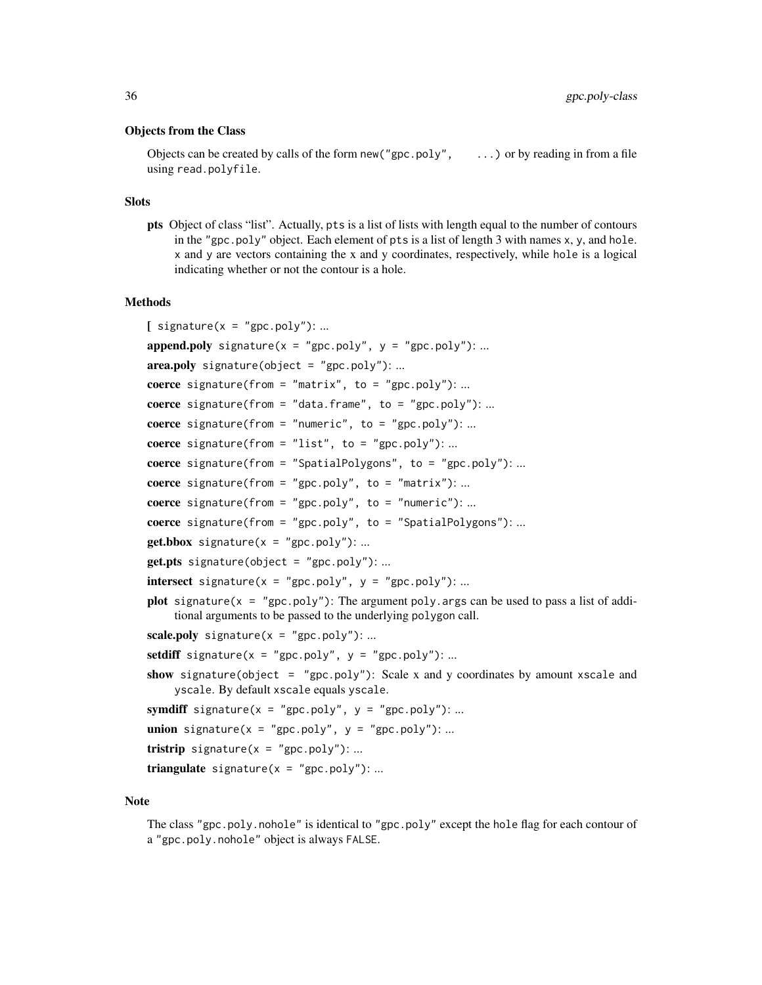#### Objects from the Class

Objects can be created by calls of the form new ("gpc.poly",  $\ldots$ ) or by reading in from a file using read.polyfile.

#### Slots

pts Object of class "list". Actually, pts is a list of lists with length equal to the number of contours in the "gpc.poly" object. Each element of pts is a list of length 3 with names x, y, and hole. x and y are vectors containing the x and y coordinates, respectively, while hole is a logical indicating whether or not the contour is a hole.

## Methods

 $\int$  signature(x = "gpc.poly"): ...

```
append.poly signature(x = "gpc.poly", y = "gpc.poly")....
area.poly signature(object = "gpc.poly"): ...
coerce signature(from = "matrix", to = "gpc.poly"): ...
coerce signature(from = "data.frame", to = "gpc.poly"): ...
coerce signature(from = "numeric", to = "gpc.poly"): ...
coerce signature(from = "list", to = "gpc.poly"): ...
coerce signature(from = "SpatialPolygons", to = "gpc.poly"): ...
coerce signature(from = "gpc.poly", to = "matrix"):...
coerce signature(from = "gpc.poly", to = "numeric"):...
coerce signature(from = "gpc.poly", to = "SpatialPolygons"): ...
get.bbox signature(x = "gpc.poly"): ...
get.pts signature(object = "gpc.poly"): ...
intersect signature(x = "gpc.poly", y = "gpc.poly"): ...
plot signature(x = "gpc.poly"): The argument poly.args can be used to pass a list of addi-
    tional arguments to be passed to the underlying polygon call.
scale.poly signature(x = "gpc.poly"): ...
setdiff signature(x = "gpc.poly", y = "gpc.poly"): ...
show signature(object = "gpc.poly"): Scale x and y coordinates by amount xscale and
    yscale. By default xscale equals yscale.
symdiff signature(x = "gpc.poly", y = "gpc.poly"): ...
union signature(x = "gpc.poly", y = "gpc.poly"): ...
tristrip signature(x = "gpc.poly"): ...
triangulate signature(x = "gpc.poly"): ...
```
## **Note**

The class "gpc.poly.nohole" is identical to "gpc.poly" except the hole flag for each contour of a "gpc.poly.nohole" object is always FALSE.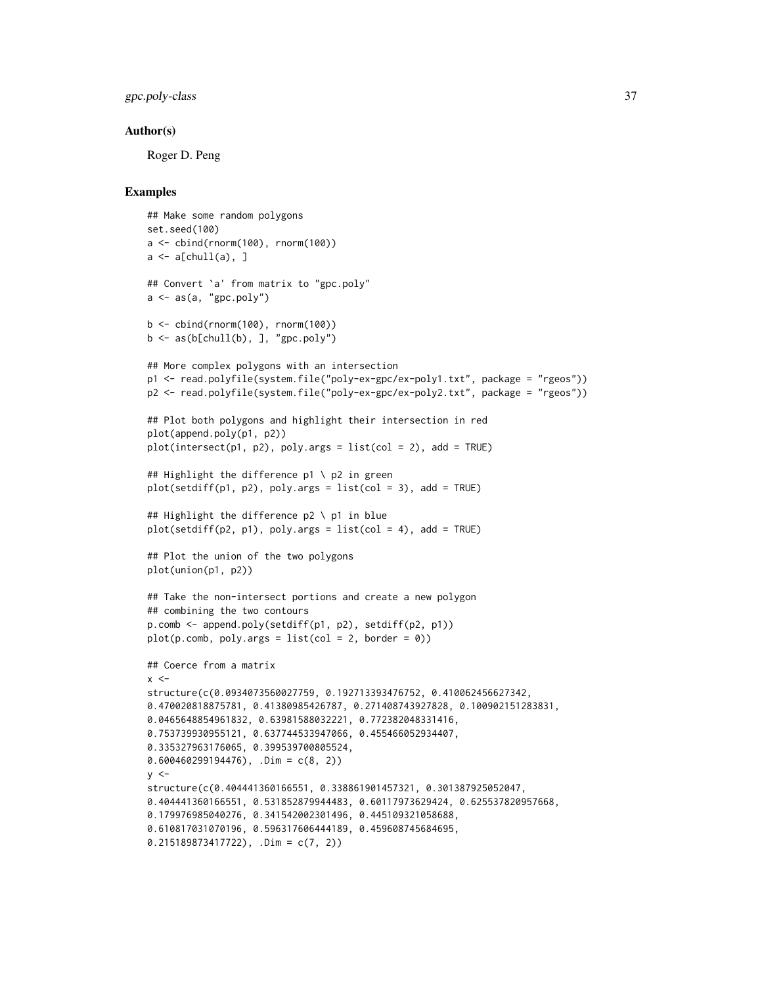gpc.poly-class 37

#### Author(s)

Roger D. Peng

```
## Make some random polygons
set.seed(100)
a \leftarrow \text{cbind}(\text{rnorm}(100), \text{rnorm}(100))a \leftarrow a[chull(a), ]## Convert `a' from matrix to "gpc.poly"
a \leftarrow as(a, "gpc.poly")b <- cbind(rnorm(100), rnorm(100))
b \leftarrow as(b[chull(b),], "gpc.poly")## More complex polygons with an intersection
p1 <- read.polyfile(system.file("poly-ex-gpc/ex-poly1.txt", package = "rgeos"))
p2 <- read.polyfile(system.file("poly-ex-gpc/ex-poly2.txt", package = "rgeos"))
## Plot both polygons and highlight their intersection in red
plot(append.poly(p1, p2))
plot(intersect(p1, p2), poly.args = list(col = 2), add = TRUE)
## Highlight the difference p1 \ p2 in green
plot(setdiff(p1, p2), poly.args = list(col = 3), add = TRUE)## Highlight the difference p2 \ p1 in blue
plot(setdiff(p2, p1), poly.args = list(col = 4), add = TRUE)## Plot the union of the two polygons
plot(union(p1, p2))
## Take the non-intersect portions and create a new polygon
## combining the two contours
p.comb <- append.poly(setdiff(p1, p2), setdiff(p2, p1))
plot(p.comb, poly.args = list(col = 2, border = 0))## Coerce from a matrix
x < -structure(c(0.0934073560027759, 0.192713393476752, 0.410062456627342,
0.470020818875781, 0.41380985426787, 0.271408743927828, 0.100902151283831,
0.0465648854961832, 0.63981588032221, 0.772382048331416,
0.753739930955121, 0.637744533947066, 0.455466052934407,
0.335327963176065, 0.399539700805524,
0.600460299194476), .Dim = c(8, 2))
v <structure(c(0.404441360166551, 0.338861901457321, 0.301387925052047,
0.404441360166551, 0.531852879944483, 0.60117973629424, 0.625537820957668,
0.179976985040276, 0.341542002301496, 0.445109321058688,
0.610817031070196, 0.596317606444189, 0.459608745684695,
0.215189873417722), .Dim = c(7, 2))
```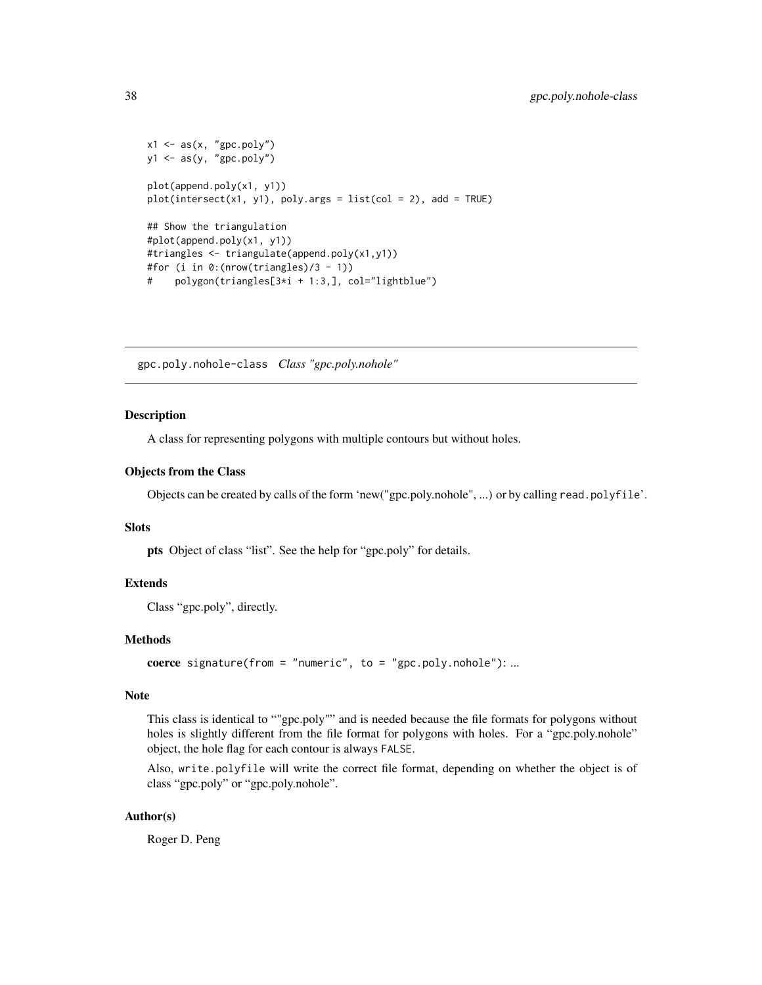```
x1 \leftarrow as(x, "gpc.poly")y1 \leftarrow as(y, "gpc.poly")plot(append.poly(x1, y1))
plot(interset(x1, y1), poly.args = list(col = 2), add = TRUE)## Show the triangulation
#plot(append.poly(x1, y1))
#triangles <- triangulate(append.poly(x1,y1))
#for (i in 0:(nrow(triangles)/3 - 1))
# polygon(triangles[3*i + 1:3,], col="lightblue")
```
<span id="page-37-0"></span>gpc.poly.nohole-class *Class "gpc.poly.nohole"*

#### Description

A class for representing polygons with multiple contours but without holes.

#### Objects from the Class

Objects can be created by calls of the form 'new("gpc.poly.nohole", ...) or by calling read.polyfile'.

## Slots

pts Object of class "list". See the help for "gpc.poly" for details.

#### Extends

Class "gpc.poly", directly.

## Methods

```
coerce signature(from = "numeric", to = "gpc.poly.nohole"): ...
```
#### Note

This class is identical to ""gpc.poly"" and is needed because the file formats for polygons without holes is slightly different from the file format for polygons with holes. For a "gpc.poly.nohole" object, the hole flag for each contour is always FALSE.

Also, write.polyfile will write the correct file format, depending on whether the object is of class "gpc.poly" or "gpc.poly.nohole".

#### Author(s)

Roger D. Peng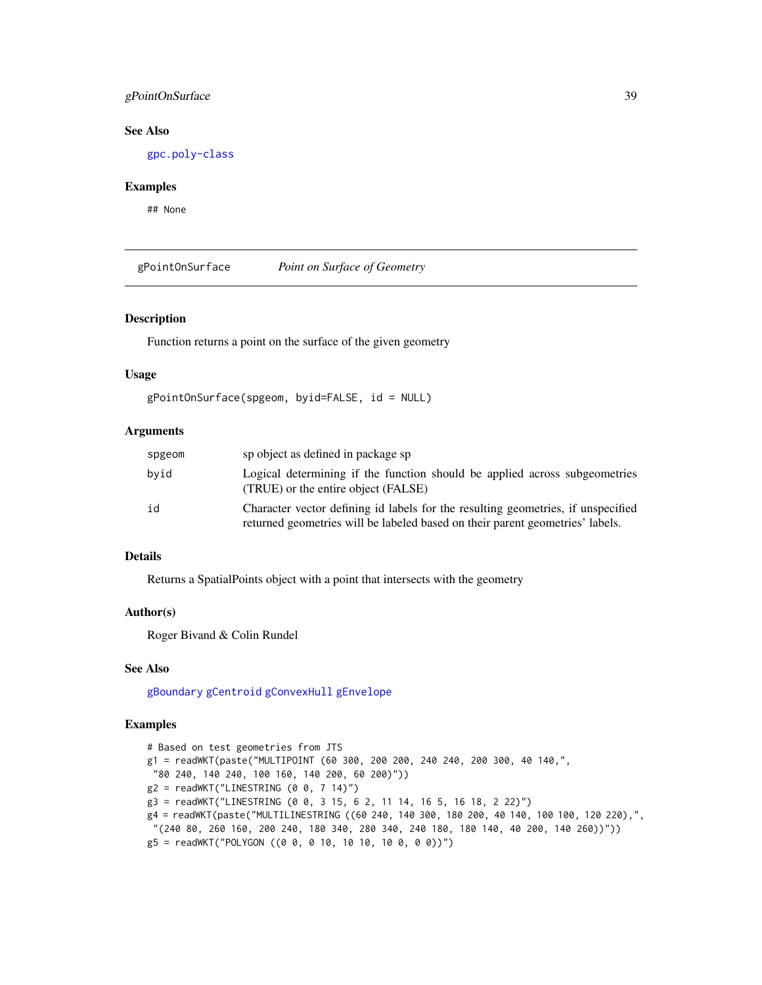## gPointOnSurface 39

# See Also

[gpc.poly-class](#page-34-0)

## Examples

## None

gPointOnSurface *Point on Surface of Geometry*

#### Description

Function returns a point on the surface of the given geometry

## Usage

```
gPointOnSurface(spgeom, byid=FALSE, id = NULL)
```
# Arguments

| spgeom | sp object as defined in package sp                                                                                                                                |
|--------|-------------------------------------------------------------------------------------------------------------------------------------------------------------------|
| byid   | Logical determining if the function should be applied across subgeometries<br>(TRUE) or the entire object (FALSE)                                                 |
| id     | Character vector defining id labels for the resulting geometries, if unspecified<br>returned geometries will be labeled based on their parent geometries' labels. |

## Details

Returns a SpatialPoints object with a point that intersects with the geometry

# Author(s)

Roger Bivand & Colin Rundel

## See Also

[gBoundary](#page-3-0) [gCentroid](#page-6-0) [gConvexHull](#page-10-0) [gEnvelope](#page-17-0)

```
# Based on test geometries from JTS
g1 = readWKT(paste("MULTIPOINT (60 300, 200 200, 240 240, 200 300, 40 140,",
"80 240, 140 240, 100 160, 140 200, 60 200)"))
g2 = readWKT("LINESTRING (0 0, 7 14)")
g3 = readWKT("LINESTRING (0 0, 3 15, 6 2, 11 14, 16 5, 16 18, 2 22)")
g4 = readWKT(paste("MULTILINESTRING ((60 240, 140 300, 180 200, 40 140, 100 100, 120 220),",
 "(240 80, 260 160, 200 240, 180 340, 280 340, 240 180, 180 140, 40 200, 140 260))"))
g5 = readWKT("POLYGON ((0 0, 0 10, 10 10, 10 0, 0 0))")
```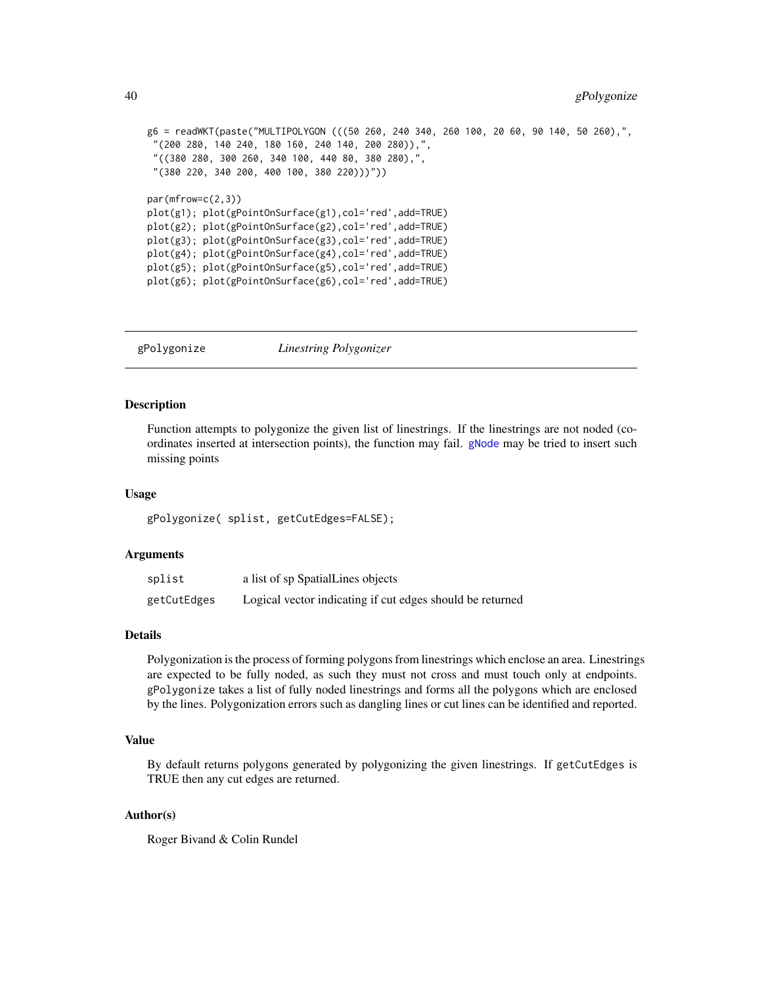```
g6 = readWKT(paste("MULTIPOLYGON (((50 260, 240 340, 260 100, 20 60, 90 140, 50 260),",
 "(200 280, 140 240, 180 160, 240 140, 200 280)),",
 "((380 280, 300 260, 340 100, 440 80, 380 280),",
 "(380 220, 340 200, 400 100, 380 220)))"))
par(mfrow=c(2,3))
plot(g1); plot(gPointOnSurface(g1),col='red',add=TRUE)
plot(g2); plot(gPointOnSurface(g2),col='red',add=TRUE)
plot(g3); plot(gPointOnSurface(g3),col='red',add=TRUE)
plot(g4); plot(gPointOnSurface(g4),col='red',add=TRUE)
plot(g5); plot(gPointOnSurface(g5),col='red',add=TRUE)
plot(g6); plot(gPointOnSurface(g6),col='red',add=TRUE)
```
gPolygonize *Linestring Polygonizer*

# Description

Function attempts to polygonize the given list of linestrings. If the linestrings are not noded (coordinates inserted at intersection points), the function may fail. [gNode](#page-33-0) may be tried to insert such missing points

#### Usage

gPolygonize( splist, getCutEdges=FALSE);

## Arguments

| splist      | a list of sp SpatialLines objects                         |
|-------------|-----------------------------------------------------------|
| getCutEdges | Logical vector indicating if cut edges should be returned |

## Details

Polygonization is the process of forming polygons from linestrings which enclose an area. Linestrings are expected to be fully noded, as such they must not cross and must touch only at endpoints. gPolygonize takes a list of fully noded linestrings and forms all the polygons which are enclosed by the lines. Polygonization errors such as dangling lines or cut lines can be identified and reported.

## Value

By default returns polygons generated by polygonizing the given linestrings. If getCutEdges is TRUE then any cut edges are returned.

## Author(s)

Roger Bivand & Colin Rundel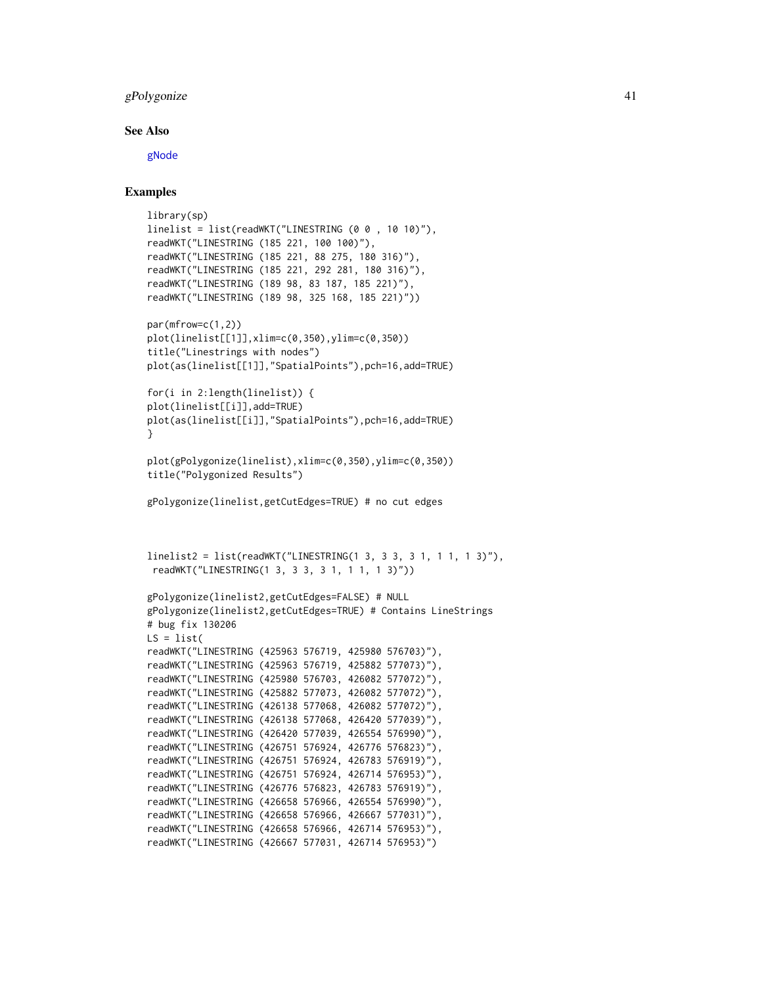## gPolygonize 41

#### See Also

[gNode](#page-33-0)

```
library(sp)
linelist = list(readWKT("LINESTRING (0 0, 10 10)"),readWKT("LINESTRING (185 221, 100 100)"),
readWKT("LINESTRING (185 221, 88 275, 180 316)"),
readWKT("LINESTRING (185 221, 292 281, 180 316)"),
readWKT("LINESTRING (189 98, 83 187, 185 221)"),
readWKT("LINESTRING (189 98, 325 168, 185 221)"))
par(mfrow=c(1,2))
plot(linelist[[1]],xlim=c(0,350),ylim=c(0,350))
title("Linestrings with nodes")
plot(as(linelist[[1]],"SpatialPoints"),pch=16,add=TRUE)
for(i in 2:length(linelist)) {
plot(linelist[[i]],add=TRUE)
plot(as(linelist[[i]],"SpatialPoints"),pch=16,add=TRUE)
}
plot(gPolygonize(linelist),xlim=c(0,350),ylim=c(0,350))
title("Polygonized Results")
gPolygonize(linelist,getCutEdges=TRUE) # no cut edges
linelist2 = list(readWKT("LINESTRING(1 3, 3 3, 3 1, 1 1, 1 3)"),
 readWKT("LINESTRING(1 3, 3 3, 3 1, 1 1, 1 3)"))
gPolygonize(linelist2,getCutEdges=FALSE) # NULL
gPolygonize(linelist2,getCutEdges=TRUE) # Contains LineStrings
# bug fix 130206
LS = list(readWKT("LINESTRING (425963 576719, 425980 576703)"),
readWKT("LINESTRING (425963 576719, 425882 577073)"),
readWKT("LINESTRING (425980 576703, 426082 577072)"),
readWKT("LINESTRING (425882 577073, 426082 577072)"),
readWKT("LINESTRING (426138 577068, 426082 577072)"),
readWKT("LINESTRING (426138 577068, 426420 577039)"),
readWKT("LINESTRING (426420 577039, 426554 576990)"),
readWKT("LINESTRING (426751 576924, 426776 576823)"),
readWKT("LINESTRING (426751 576924, 426783 576919)"),
readWKT("LINESTRING (426751 576924, 426714 576953)"),
readWKT("LINESTRING (426776 576823, 426783 576919)"),
readWKT("LINESTRING (426658 576966, 426554 576990)"),
readWKT("LINESTRING (426658 576966, 426667 577031)"),
readWKT("LINESTRING (426658 576966, 426714 576953)"),
readWKT("LINESTRING (426667 577031, 426714 576953)")
```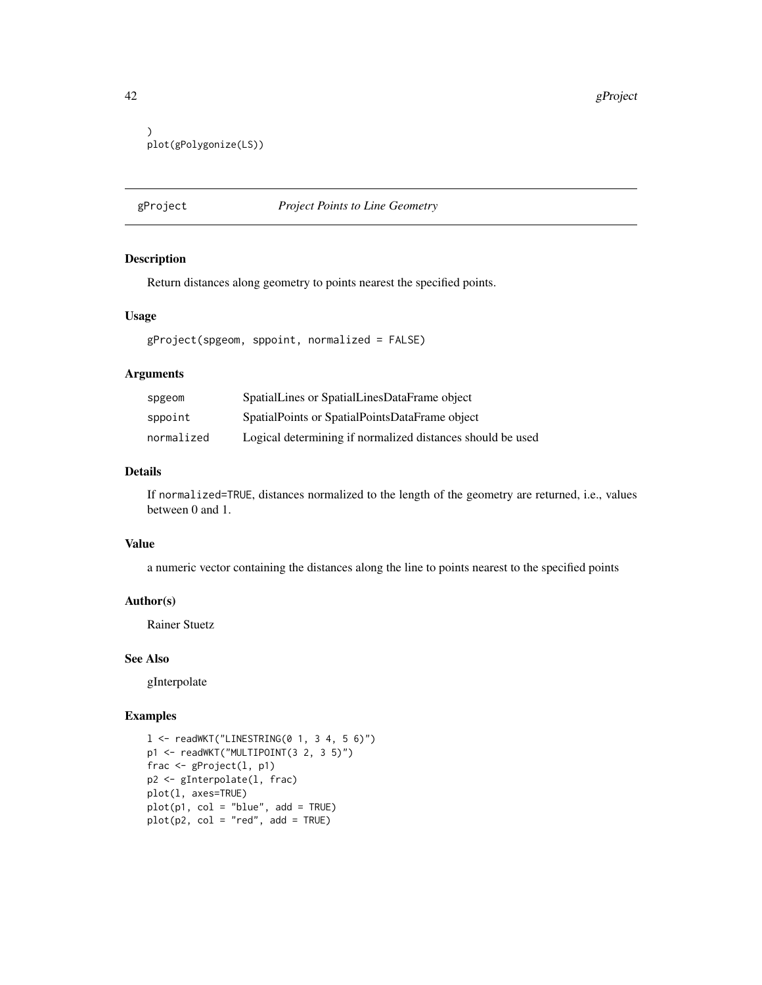42 gProject and the set of the set of the set of the set of the set of the set of the set of the set of the set of the set of the set of the set of the set of the set of the set of the set of the set of the set of the set

```
)
plot(gPolygonize(LS))
```
# gProject *Project Points to Line Geometry*

## Description

Return distances along geometry to points nearest the specified points.

## Usage

gProject(spgeom, sppoint, normalized = FALSE)

#### Arguments

| spgeom     | SpatialLines or SpatialLinesDataFrame object               |
|------------|------------------------------------------------------------|
| sppoint    | SpatialPoints or SpatialPointsDataFrame object             |
| normalized | Logical determining if normalized distances should be used |

# Details

If normalized=TRUE, distances normalized to the length of the geometry are returned, i.e., values between 0 and 1.

#### Value

a numeric vector containing the distances along the line to points nearest to the specified points

## Author(s)

Rainer Stuetz

#### See Also

gInterpolate

```
l <- readWKT("LINESTRING(0 1, 3 4, 5 6)")
p1 <- readWKT("MULTIPOINT(3 2, 3 5)")
frac <- gProject(l, p1)
p2 <- gInterpolate(l, frac)
plot(l, axes=TRUE)
plot(p1, col = "blue", add = TRUE)plot(p2, col = "red", add = TRUE)
```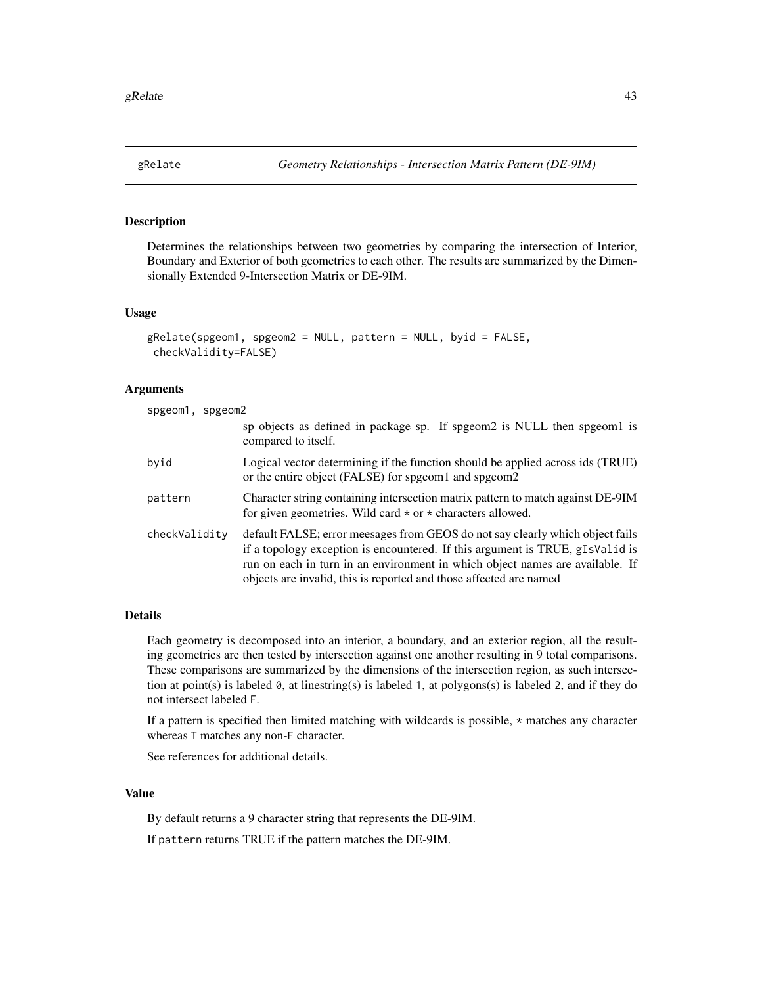## <span id="page-42-0"></span>Description

Determines the relationships between two geometries by comparing the intersection of Interior, Boundary and Exterior of both geometries to each other. The results are summarized by the Dimensionally Extended 9-Intersection Matrix or DE-9IM.

#### Usage

```
gRelate(spgeom1, spgeom2 = NULL, pattern = NULL, byid = FALSE,
checkValidity=FALSE)
```
## Arguments

| spgeom1, spgeom2 |                                                                                                                                                                                                                                                                                                                       |  |
|------------------|-----------------------------------------------------------------------------------------------------------------------------------------------------------------------------------------------------------------------------------------------------------------------------------------------------------------------|--|
|                  | sp objects as defined in package sp. If spgeom2 is NULL then spgeom1 is<br>compared to itself.                                                                                                                                                                                                                        |  |
| byid             | Logical vector determining if the function should be applied across ids (TRUE)<br>or the entire object (FALSE) for spgeom1 and spgeom2                                                                                                                                                                                |  |
| pattern          | Character string containing intersection matrix pattern to match against DE-9IM<br>for given geometries. Wild card $\star$ or $\star$ characters allowed.                                                                                                                                                             |  |
| checkValidity    | default FALSE; error meesages from GEOS do not say clearly which object fails<br>if a topology exception is encountered. If this argument is TRUE, gIsValid is<br>run on each in turn in an environment in which object names are available. If<br>objects are invalid, this is reported and those affected are named |  |

# Details

Each geometry is decomposed into an interior, a boundary, and an exterior region, all the resulting geometries are then tested by intersection against one another resulting in 9 total comparisons. These comparisons are summarized by the dimensions of the intersection region, as such intersection at point(s) is labeled 0, at linestring(s) is labeled 1, at polygons(s) is labeled 2, and if they do not intersect labeled F.

If a pattern is specified then limited matching with wildcards is possible, \* matches any character whereas T matches any non-F character.

See references for additional details.

## Value

By default returns a 9 character string that represents the DE-9IM.

If pattern returns TRUE if the pattern matches the DE-9IM.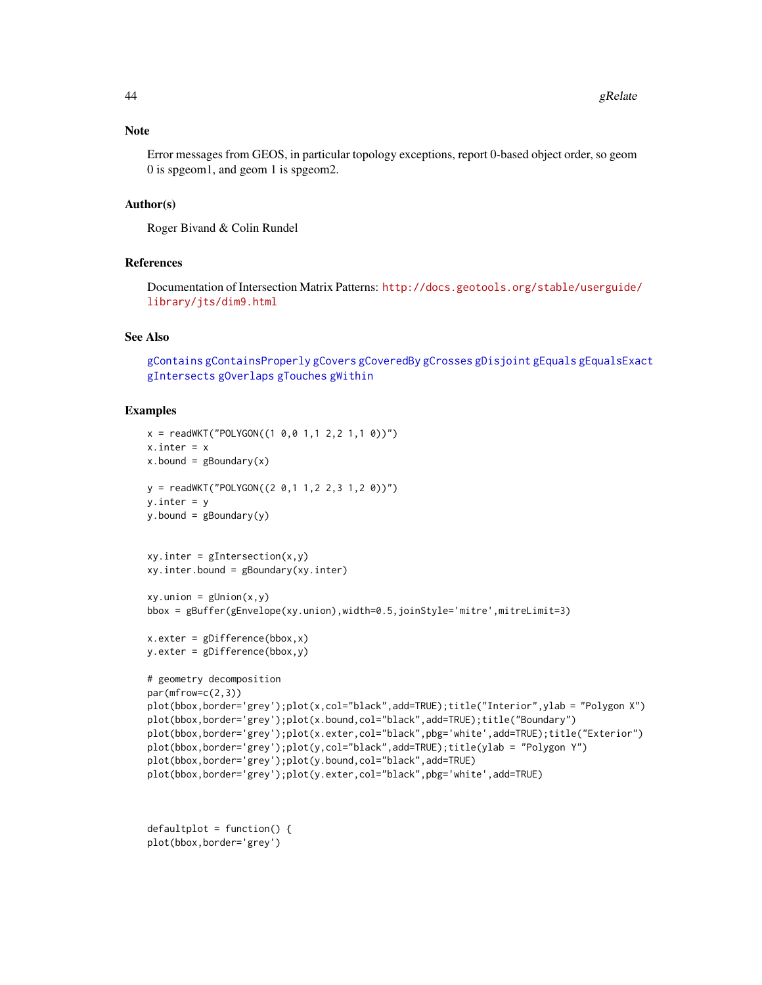#### Note

Error messages from GEOS, in particular topology exceptions, report 0-based object order, so geom 0 is spgeom1, and geom 1 is spgeom2.

## Author(s)

Roger Bivand & Colin Rundel

## References

Documentation of Intersection Matrix Patterns: [http://docs.geotools.org/stable/userguide/](http://docs.geotools.org/stable/userguide/library/jts/dim9.html) [library/jts/dim9.html](http://docs.geotools.org/stable/userguide/library/jts/dim9.html)

# See Also

[gContains](#page-7-0) [gContainsProperly](#page-7-1) [gCovers](#page-7-1) [gCoveredBy](#page-7-1) [gCrosses](#page-11-0) [gDisjoint](#page-23-0) [gEquals](#page-18-0) [gEqualsExact](#page-18-1) [gIntersects](#page-23-1) [gOverlaps](#page-11-1) [gTouches](#page-47-0) [gWithin](#page-7-1)

```
x = \text{readWKT("POLYGON((1 0, 0 1, 1 2, 2 1, 1 0))")}x.inter = xx.bound = gBoundary(x)y = \text{readWKT("POLYGON((2 0, 1 1, 2 2, 3 1, 2 0))")}y.inter = yy.bound = gBoundary(y)
xy.inter = gIntersection(x, y)xy.inter.bound = gBoundary(xy.inter)
xy.union = gUnion(x,y)bbox = gBuffer(gEnvelope(xy.union),width=0.5,joinStyle='mitre',mitreLimit=3)
x.exter = gDifference(bbox,x)
y.exter = gDifference(bbox,y)
# geometry decomposition
par(mfrow=c(2,3))
plot(bbox,border='grey');plot(x,col="black",add=TRUE);title("Interior",ylab = "Polygon X")
plot(bbox,border='grey');plot(x.bound,col="black",add=TRUE);title("Boundary")
plot(bbox,border='grey');plot(x.exter,col="black",pbg='white',add=TRUE);title("Exterior")
plot(bbox,border='grey');plot(y,col="black",add=TRUE);title(ylab = "Polygon Y")
plot(bbox,border='grey');plot(y.bound,col="black",add=TRUE)
plot(bbox,border='grey');plot(y.exter,col="black",pbg='white',add=TRUE)
```

```
defaultplot = function() { }plot(bbox,border='grey')
```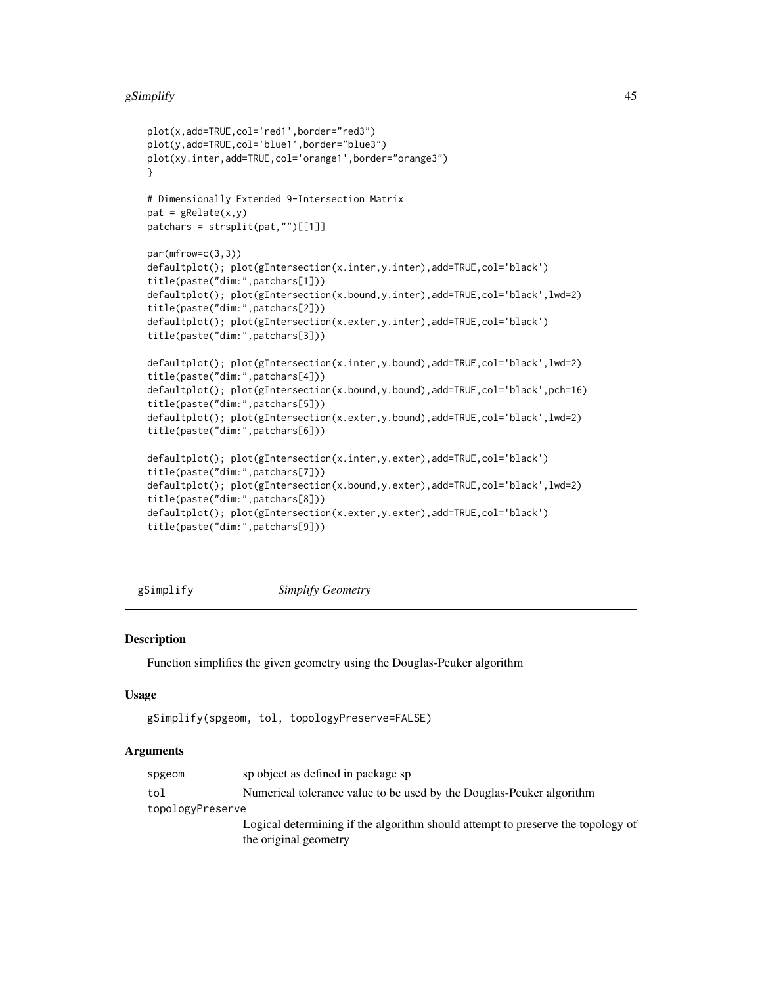#### gSimplify  $\blacksquare$

```
plot(x,add=TRUE,col='red1',border="red3")
plot(y,add=TRUE,col='blue1',border="blue3")
plot(xy.inter,add=TRUE,col='orange1',border="orange3")
}
# Dimensionally Extended 9-Intersection Matrix
pat = gRelate(x, y)patchars = strsplit(pat,"")[[1]]
par(mfrow=c(3,3))
defaultplot(); plot(gIntersection(x.inter,y.inter),add=TRUE,col='black')
title(paste("dim:",patchars[1]))
defaultplot(); plot(gIntersection(x.bound,y.inter),add=TRUE,col='black',lwd=2)
title(paste("dim:",patchars[2]))
defaultplot(); plot(gIntersection(x.exter,y.inter),add=TRUE,col='black')
title(paste("dim:",patchars[3]))
defaultplot(); plot(gIntersection(x.inter,y.bound),add=TRUE,col='black',lwd=2)
title(paste("dim:",patchars[4]))
defaultplot(); plot(gIntersection(x.bound,y.bound),add=TRUE,col='black',pch=16)
title(paste("dim:",patchars[5]))
defaultplot(); plot(gIntersection(x.exter,y.bound),add=TRUE,col='black',lwd=2)
title(paste("dim:",patchars[6]))
defaultplot(); plot(gIntersection(x.inter,y.exter),add=TRUE,col='black')
title(paste("dim:",patchars[7]))
defaultplot(); plot(gIntersection(x.bound,y.exter),add=TRUE,col='black',lwd=2)
title(paste("dim:",patchars[8]))
defaultplot(); plot(gIntersection(x.exter,y.exter),add=TRUE,col='black')
title(paste("dim:",patchars[9]))
```
gSimplify *Simplify Geometry*

#### Description

Function simplifies the given geometry using the Douglas-Peuker algorithm

#### Usage

```
gSimplify(spgeom, tol, topologyPreserve=FALSE)
```
#### Arguments

| spgeom           | sp object as defined in package sp                                              |
|------------------|---------------------------------------------------------------------------------|
| tol              | Numerical tolerance value to be used by the Douglas-Peuker algorithm            |
| topologyPreserve |                                                                                 |
|                  | Logical determining if the algorithm should attempt to preserve the topology of |
|                  | the original geometry                                                           |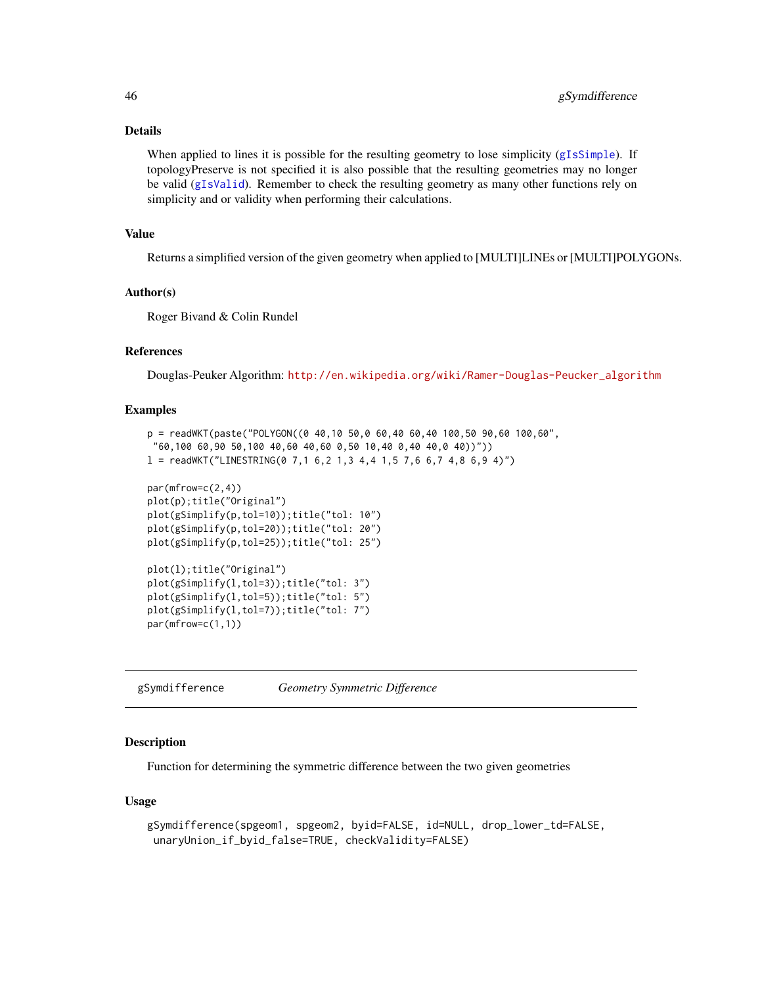## Details

When applied to lines it is possible for the resulting geometry to lose simplicity ([gIsSimple](#page-28-0)). If topologyPreserve is not specified it is also possible that the resulting geometries may no longer be valid ([gIsValid](#page-29-0)). Remember to check the resulting geometry as many other functions rely on simplicity and or validity when performing their calculations.

## Value

Returns a simplified version of the given geometry when applied to [MULTI]LINEs or [MULTI]POLYGONs.

## Author(s)

Roger Bivand & Colin Rundel

## References

Douglas-Peuker Algorithm: [http://en.wikipedia.org/wiki/Ramer-Douglas-Peucker\\_algorithm](http://en.wikipedia.org/wiki/Ramer-Douglas-Peucker_algorithm)

#### Examples

```
p = \text{readWKT}(\text{past}(T) \text{POLYGON}(\text{0} 40, 10 50, 0 60, 40 60, 40 100, 50 90, 60 100, 60)"60,100 60,90 50,100 40,60 40,60 0,50 10,40 0,40 40,0 40))"))
l = \text{readWKT}("LINESTRING(0 7, 1 6, 2 1, 3 4, 4 1, 5 7, 6 6, 7 4, 8 6, 9 4)")par(mfrow=c(2,4))
plot(p);title("Original")
plot(gSimplify(p,tol=10));title("tol: 10")
plot(gSimplify(p,tol=20));title("tol: 20")
plot(gSimplify(p,tol=25));title("tol: 25")
plot(l);title("Original")
plot(gSimplify(l,tol=3));title("tol: 3")
plot(gSimplify(l,tol=5));title("tol: 5")
plot(gSimplify(l,tol=7));title("tol: 7")
par(mfrow=c(1,1))
```
<span id="page-45-0"></span>gSymdifference *Geometry Symmetric Difference*

## **Description**

Function for determining the symmetric difference between the two given geometries

#### Usage

```
gSymdifference(spgeom1, spgeom2, byid=FALSE, id=NULL, drop_lower_td=FALSE,
unaryUnion_if_byid_false=TRUE, checkValidity=FALSE)
```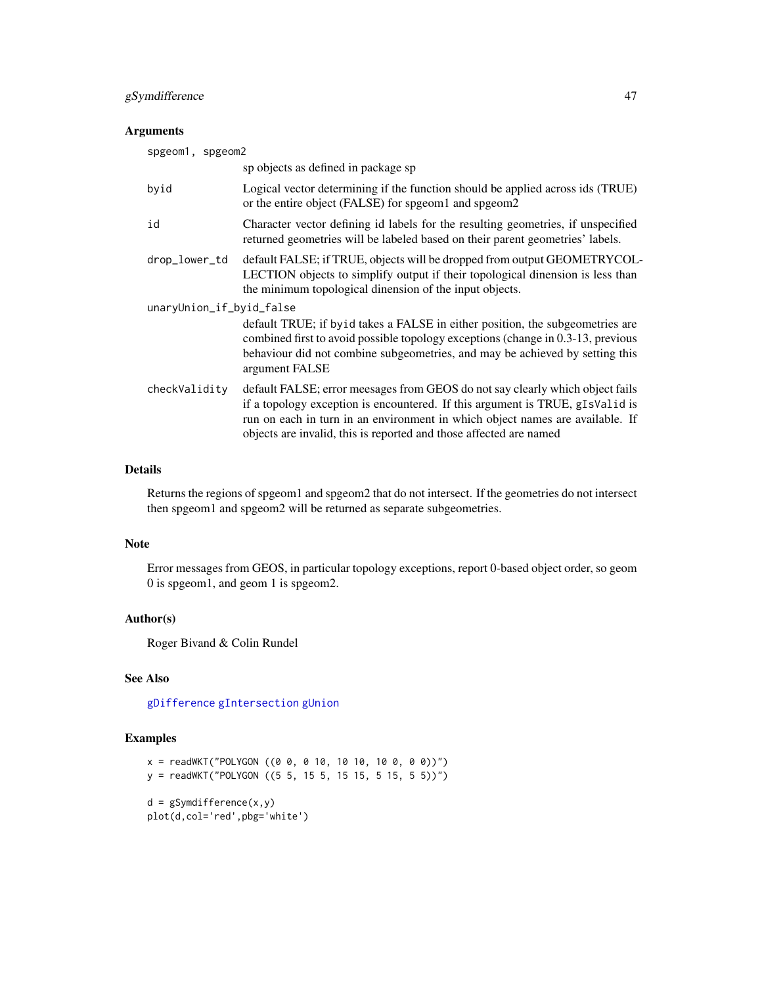## gSymdifference 47

## Arguments

| spgeom1, spgeom2         |                                                                                                                                                                                                                                                                                                                       |
|--------------------------|-----------------------------------------------------------------------------------------------------------------------------------------------------------------------------------------------------------------------------------------------------------------------------------------------------------------------|
|                          | sp objects as defined in package sp                                                                                                                                                                                                                                                                                   |
| byid                     | Logical vector determining if the function should be applied across ids (TRUE)<br>or the entire object (FALSE) for spgeom1 and spgeom2                                                                                                                                                                                |
| id                       | Character vector defining id labels for the resulting geometries, if unspecified<br>returned geometries will be labeled based on their parent geometries' labels.                                                                                                                                                     |
| drop_lower_td            | default FALSE; if TRUE, objects will be dropped from output GEOMETRYCOL-<br>LECTION objects to simplify output if their topological dinension is less than<br>the minimum topological dinension of the input objects.                                                                                                 |
| unaryUnion_if_byid_false |                                                                                                                                                                                                                                                                                                                       |
|                          | default TRUE; if by id takes a FALSE in either position, the subgeometries are<br>combined first to avoid possible topology exceptions (change in 0.3-13, previous<br>behaviour did not combine subgeometries, and may be achieved by setting this<br>argument FALSE                                                  |
| checkValidity            | default FALSE; error meesages from GEOS do not say clearly which object fails<br>if a topology exception is encountered. If this argument is TRUE, gIsValid is<br>run on each in turn in an environment in which object names are available. If<br>objects are invalid, this is reported and those affected are named |

## Details

Returns the regions of spgeom1 and spgeom2 that do not intersect. If the geometries do not intersect then spgeom1 and spgeom2 will be returned as separate subgeometries.

#### Note

Error messages from GEOS, in particular topology exceptions, report 0-based object order, so geom 0 is spgeom1, and geom 1 is spgeom2.

## Author(s)

Roger Bivand & Colin Rundel

## See Also

[gDifference](#page-14-0) [gIntersection](#page-21-0) [gUnion](#page-48-0)

```
x = \text{readWKT("POLYGON ((0 0, 0 10, 10 10, 10 0, 0 0))")}y = readWKT("POLYGON ((5 5, 15 5, 15 15, 5 15, 5 5))")
d = gSymdifference(x,y)
plot(d,col='red',pbg='white')
```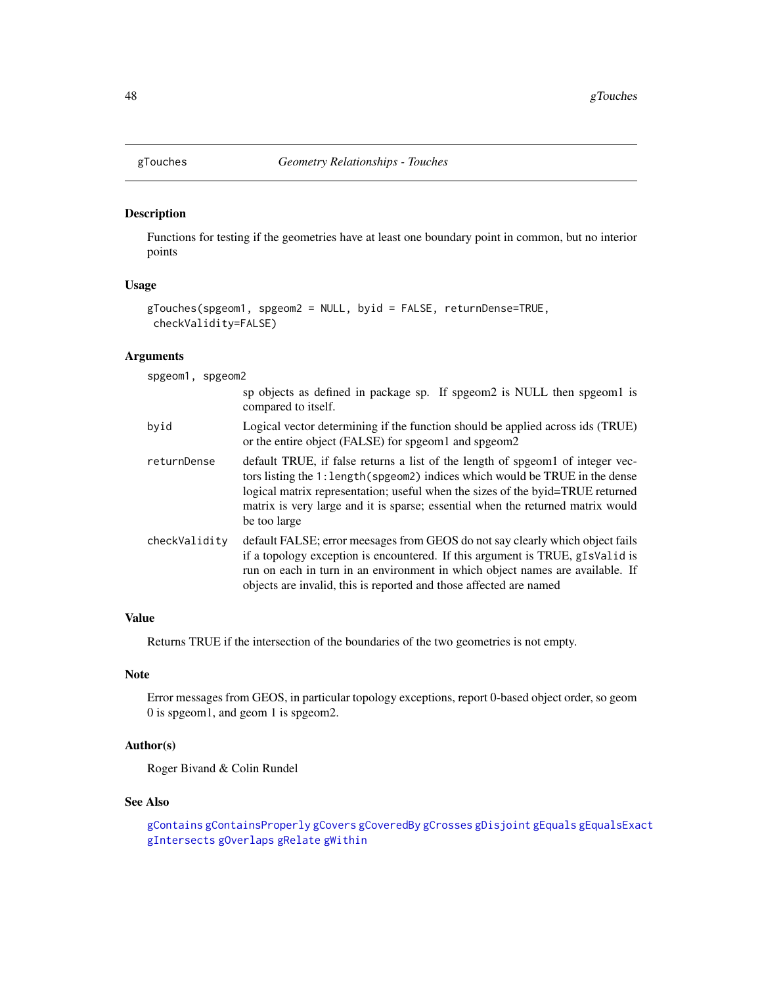<span id="page-47-0"></span>

## Description

Functions for testing if the geometries have at least one boundary point in common, but no interior points

## Usage

```
gTouches(spgeom1, spgeom2 = NULL, byid = FALSE, returnDense=TRUE,
checkValidity=FALSE)
```
# Arguments

spgeom1, spgeom2

|               | sp objects as defined in package sp. If spgeom2 is NULL then spgeom1 is<br>compared to itself.                                                                                                                                                                                                                                                     |
|---------------|----------------------------------------------------------------------------------------------------------------------------------------------------------------------------------------------------------------------------------------------------------------------------------------------------------------------------------------------------|
| byid          | Logical vector determining if the function should be applied across ids (TRUE)<br>or the entire object (FALSE) for spgeom1 and spgeom2                                                                                                                                                                                                             |
| returnDense   | default TRUE, if false returns a list of the length of speed of integer vec-<br>tors listing the 1: length (spgeom2) indices which would be TRUE in the dense<br>logical matrix representation; useful when the sizes of the byid=TRUE returned<br>matrix is very large and it is sparse; essential when the returned matrix would<br>be too large |
| checkValidity | default FALSE; error meesages from GEOS do not say clearly which object fails<br>if a topology exception is encountered. If this argument is TRUE, gIsValid is<br>run on each in turn in an environment in which object names are available. If<br>objects are invalid, this is reported and those affected are named                              |

## Value

Returns TRUE if the intersection of the boundaries of the two geometries is not empty.

# Note

Error messages from GEOS, in particular topology exceptions, report 0-based object order, so geom 0 is spgeom1, and geom 1 is spgeom2.

# Author(s)

Roger Bivand & Colin Rundel

## See Also

[gContains](#page-7-0) [gContainsProperly](#page-7-1) [gCovers](#page-7-1) [gCoveredBy](#page-7-1) [gCrosses](#page-11-0) [gDisjoint](#page-23-0) [gEquals](#page-18-0) [gEqualsExact](#page-18-1) [gIntersects](#page-23-1) [gOverlaps](#page-11-1) [gRelate](#page-42-0) [gWithin](#page-7-1)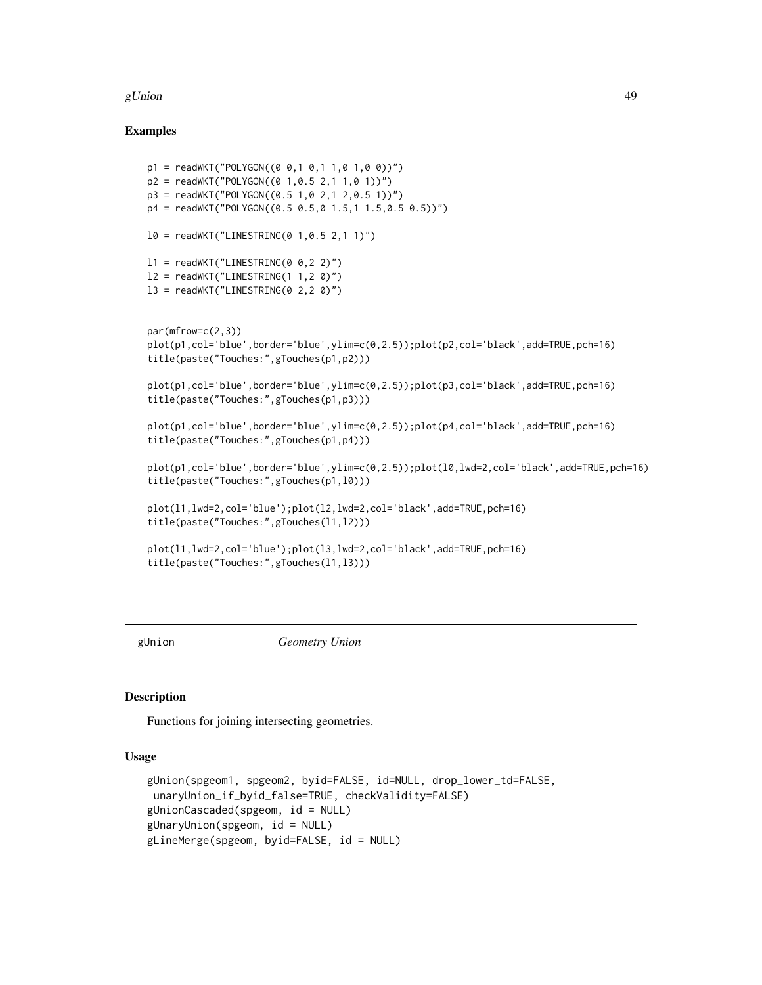#### gUnion  $\sim$  49

#### Examples

```
p1 = \text{readWKT}("POLYGON((0 0, 1 0, 1 1, 0 1, 0 0))")p2 = \text{readWKT("POLYGON((0 1, 0.5 2, 1 1, 0 1))")}p3 = readWKT("POLYGON((0.5 1,0 2,1 2,0.5 1))")
p4 = readWKT("POLYGON((0.5 0.5,0 1.5,1 1.5,0.5 0.5))")
10 = \text{readWKT}("LINESTRING(0 1, 0.5 2, 1 1)")l1 = \text{readWKT}('LINESTRING(0 0, 2 2)')l2 = \text{readWKT}("LINESTRING(1 1, 2 0)")13 = \text{readWKT}("LINESTRING(0 2, 2 0)")par(mfrow=c(2,3))
plot(p1,col='blue',border='blue',ylim=c(0,2.5));plot(p2,col='black',add=TRUE,pch=16)
title(paste("Touches:",gTouches(p1,p2)))
plot(p1,col='blue',border='blue',ylim=c(0,2.5));plot(p3,col='black',add=TRUE,pch=16)
title(paste("Touches:",gTouches(p1,p3)))
plot(p1,col='blue',border='blue',ylim=c(0,2.5));plot(p4,col='black',add=TRUE,pch=16)
title(paste("Touches:",gTouches(p1,p4)))
plot(p1,col='blue',border='blue',ylim=c(0,2.5));plot(l0,lwd=2,col='black',add=TRUE,pch=16)
title(paste("Touches:",gTouches(p1,l0)))
plot(l1,lwd=2,col='blue');plot(l2,lwd=2,col='black',add=TRUE,pch=16)
title(paste("Touches:",gTouches(l1,l2)))
plot(l1,lwd=2,col='blue');plot(l3,lwd=2,col='black',add=TRUE,pch=16)
title(paste("Touches:",gTouches(l1,l3)))
```
<span id="page-48-0"></span>

gUnion *Geometry Union*

#### Description

Functions for joining intersecting geometries.

## Usage

```
gUnion(spgeom1, spgeom2, byid=FALSE, id=NULL, drop_lower_td=FALSE,
unaryUnion_if_byid_false=TRUE, checkValidity=FALSE)
gUnionCascaded(spgeom, id = NULL)
gUnaryUnion(spgeom, id = NULL)
gLineMerge(spgeom, byid=FALSE, id = NULL)
```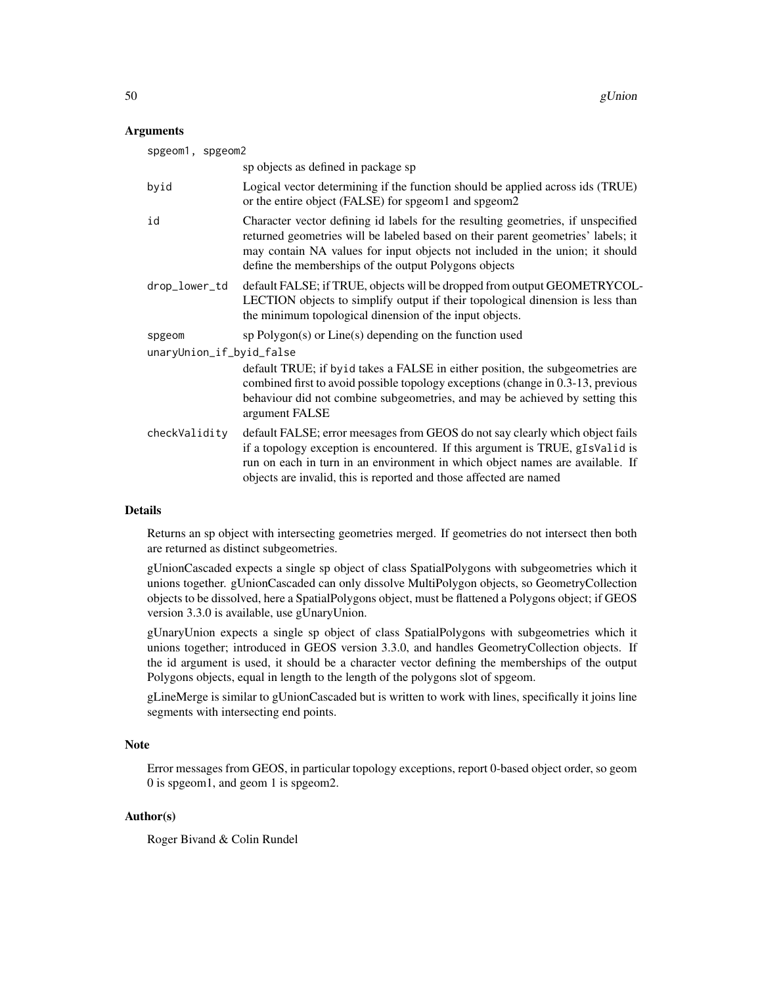#### Arguments

| spgeom1, spgeom2                                                                                                                                                                                                                                                                                                      |  |  |
|-----------------------------------------------------------------------------------------------------------------------------------------------------------------------------------------------------------------------------------------------------------------------------------------------------------------------|--|--|
| sp objects as defined in package sp                                                                                                                                                                                                                                                                                   |  |  |
| Logical vector determining if the function should be applied across ids (TRUE)<br>or the entire object (FALSE) for spgeom1 and spgeom2                                                                                                                                                                                |  |  |
| Character vector defining id labels for the resulting geometries, if unspecified<br>returned geometries will be labeled based on their parent geometries' labels; it<br>may contain NA values for input objects not included in the union; it should<br>define the memberships of the output Polygons objects         |  |  |
| default FALSE; if TRUE, objects will be dropped from output GEOMETRYCOL-<br>LECTION objects to simplify output if their topological dinension is less than<br>the minimum topological dinension of the input objects.                                                                                                 |  |  |
| $sp$ Polygon $(s)$ or Line $(s)$ depending on the function used                                                                                                                                                                                                                                                       |  |  |
| unaryUnion_if_byid_false                                                                                                                                                                                                                                                                                              |  |  |
| default TRUE; if byid takes a FALSE in either position, the subgeometries are<br>combined first to avoid possible topology exceptions (change in 0.3-13, previous<br>behaviour did not combine subgeometries, and may be achieved by setting this<br>argument FALSE                                                   |  |  |
| default FALSE; error meesages from GEOS do not say clearly which object fails<br>if a topology exception is encountered. If this argument is TRUE, gIsValid is<br>run on each in turn in an environment in which object names are available. If<br>objects are invalid, this is reported and those affected are named |  |  |
|                                                                                                                                                                                                                                                                                                                       |  |  |

## Details

Returns an sp object with intersecting geometries merged. If geometries do not intersect then both are returned as distinct subgeometries.

gUnionCascaded expects a single sp object of class SpatialPolygons with subgeometries which it unions together. gUnionCascaded can only dissolve MultiPolygon objects, so GeometryCollection objects to be dissolved, here a SpatialPolygons object, must be flattened a Polygons object; if GEOS version 3.3.0 is available, use gUnaryUnion.

gUnaryUnion expects a single sp object of class SpatialPolygons with subgeometries which it unions together; introduced in GEOS version 3.3.0, and handles GeometryCollection objects. If the id argument is used, it should be a character vector defining the memberships of the output Polygons objects, equal in length to the length of the polygons slot of spgeom.

gLineMerge is similar to gUnionCascaded but is written to work with lines, specifically it joins line segments with intersecting end points.

## Note

Error messages from GEOS, in particular topology exceptions, report 0-based object order, so geom 0 is spgeom1, and geom 1 is spgeom2.

## Author(s)

Roger Bivand & Colin Rundel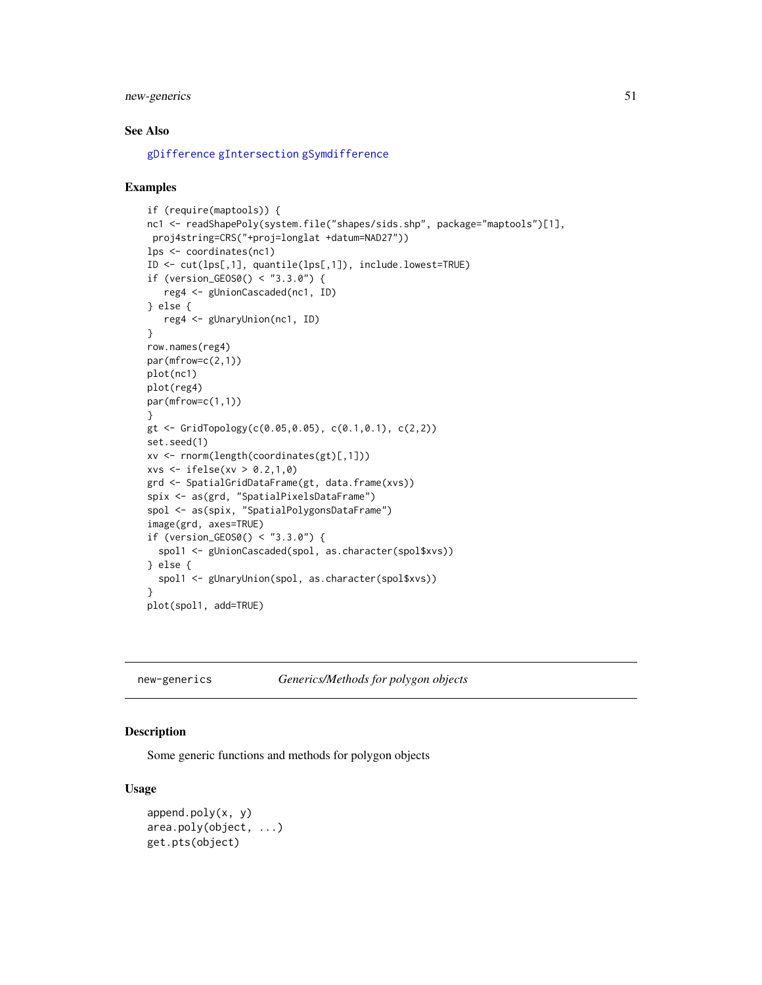## new-generics 51

## See Also

[gDifference](#page-14-0) [gIntersection](#page-21-0) [gSymdifference](#page-45-0)

#### Examples

```
if (require(maptools)) {
nc1 <- readShapePoly(system.file("shapes/sids.shp", package="maptools")[1],
proj4string=CRS("+proj=longlat +datum=NAD27"))
lps <- coordinates(nc1)
ID <- cut(lps[,1], quantile(lps[,1]), include.lowest=TRUE)
if (version_GEOS0() < "3.3.0") {
   reg4 <- gUnionCascaded(nc1, ID)
} else {
   reg4 <- gUnaryUnion(nc1, ID)
}
row.names(reg4)
par(mfrow=c(2,1))
plot(nc1)
plot(reg4)
par(mfrow=c(1,1))
}
gt <- GridTopology(c(0.05,0.05), c(0.1,0.1), c(2,2))
set.seed(1)
xv <- rnorm(length(coordinates(gt)[,1]))
xvs <- ifelse(xv > 0.2,1,0)
grd <- SpatialGridDataFrame(gt, data.frame(xvs))
spix <- as(grd, "SpatialPixelsDataFrame")
spol <- as(spix, "SpatialPolygonsDataFrame")
image(grd, axes=TRUE)
if (version_GEOS0() < "3.3.0") {
  spol1 <- gUnionCascaded(spol, as.character(spol$xvs))
} else {
  spol1 <- gUnaryUnion(spol, as.character(spol$xvs))
}
plot(spol1, add=TRUE)
```
new-generics *Generics/Methods for polygon objects*

#### Description

Some generic functions and methods for polygon objects

#### Usage

```
append.poly(x, y)
area.poly(object, ...)
get.pts(object)
```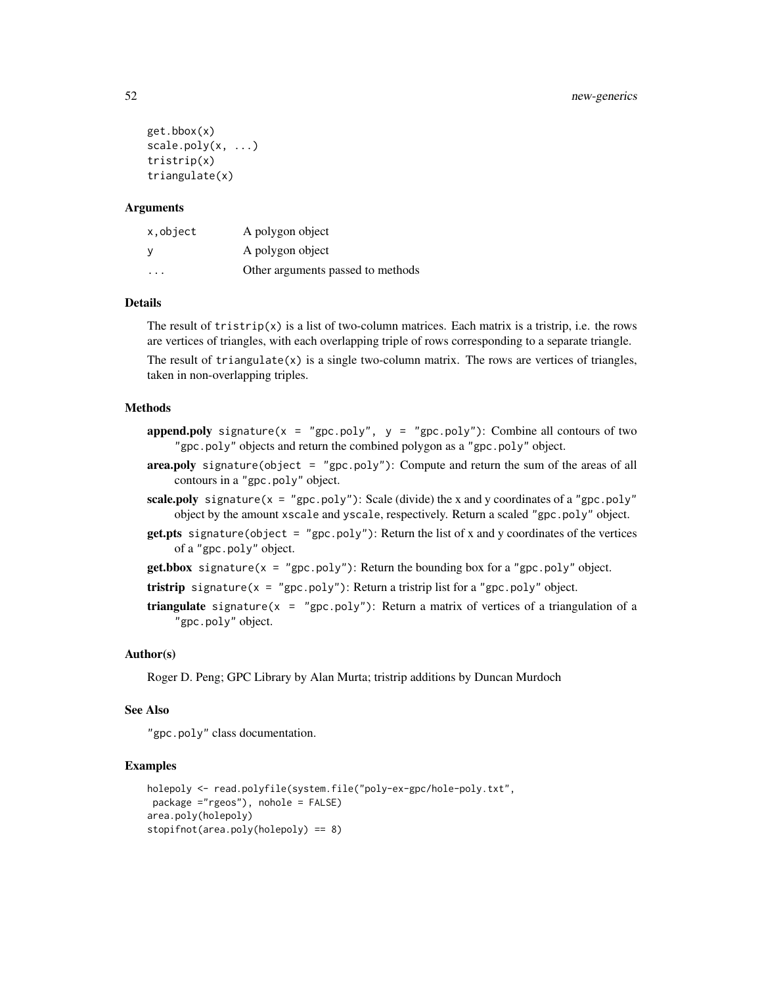```
get.bbox(x)
scale.poly(x, ...)tristrip(x)
triangulate(x)
```
### **Arguments**

| x, object | A polygon object                  |
|-----------|-----------------------------------|
| <b>V</b>  | A polygon object                  |
| .         | Other arguments passed to methods |

## Details

The result of  $tristrib(x)$  is a list of two-column matrices. Each matrix is a tristrip, i.e. the rows are vertices of triangles, with each overlapping triple of rows corresponding to a separate triangle.

The result of triangulate $(x)$  is a single two-column matrix. The rows are vertices of triangles, taken in non-overlapping triples.

#### Methods

- append.poly signature( $x = "gpc.poly", y = "gpc.poly")$ : Combine all contours of two "gpc.poly" objects and return the combined polygon as a "gpc.poly" object.
- area.poly signature(object = "gpc.poly"): Compute and return the sum of the areas of all contours in a "gpc.poly" object.
- scale.poly signature( $x = "gpc.poly"$ ): Scale (divide) the x and y coordinates of a "gpc.poly" object by the amount xscale and yscale, respectively. Return a scaled "gpc.poly" object.
- get.pts signature(object = "gpc.poly"): Return the list of x and y coordinates of the vertices of a "gpc.poly" object.
- $get.bbox$  signature(x = "gpc.poly"): Return the bounding box for a "gpc.poly" object.

```
tristrip signature(x = "gpc.poly"): Return a tristrip list for a "gpc.poly" object.
```
**triangulate** signature( $x = "gpc.poly")$ : Return a matrix of vertices of a triangulation of a "gpc.poly" object.

## Author(s)

Roger D. Peng; GPC Library by Alan Murta; tristrip additions by Duncan Murdoch

## See Also

"gpc.poly" class documentation.

```
holepoly <- read.polyfile(system.file("poly-ex-gpc/hole-poly.txt",
package ="rgeos"), nohole = FALSE)
area.poly(holepoly)
stopifnot(area.poly(holepoly) == 8)
```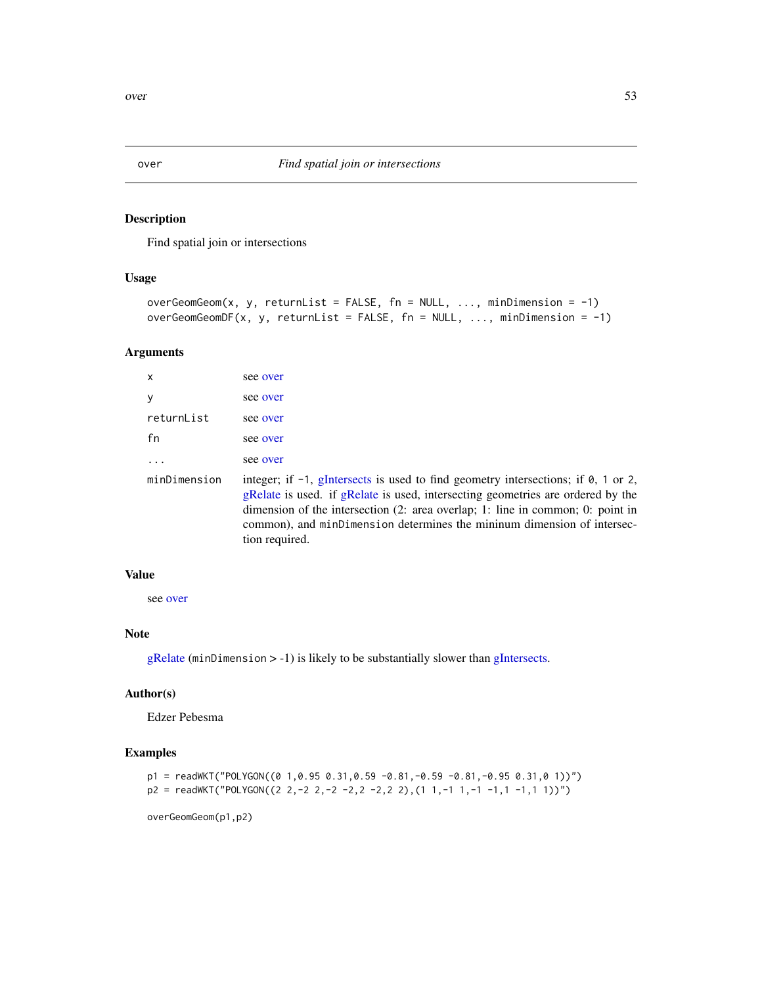## <span id="page-52-0"></span>Description

Find spatial join or intersections

## Usage

```
overGeomGeom(x, y, returnList = FALSE, fn = NULL, ..., minDimension = -1)
overGeomGeomDF(x, y, returnList = FALSE, fn = NULL, ..., minDimension = -1)
```
## Arguments

| $\mathsf{x}$ | see over                                                                                                                                                                                                                                                                                                                                                       |
|--------------|----------------------------------------------------------------------------------------------------------------------------------------------------------------------------------------------------------------------------------------------------------------------------------------------------------------------------------------------------------------|
| У            | see over                                                                                                                                                                                                                                                                                                                                                       |
| returnList   | see over                                                                                                                                                                                                                                                                                                                                                       |
| fn           | see over                                                                                                                                                                                                                                                                                                                                                       |
|              | see over                                                                                                                                                                                                                                                                                                                                                       |
| minDimension | integer; if $-1$ , gIntersects is used to find geometry intersections; if $\theta$ , 1 or 2,<br>gRelate is used. if gRelate is used, intersecting geometries are ordered by the<br>dimension of the intersection (2: area overlap; 1: line in common; 0: point in<br>common), and minDimension determines the mininum dimension of intersec-<br>tion required. |

## Value

see [over](#page-52-0)

#### Note

[gRelate](#page-42-0) (minDimension > -1) is likely to be substantially slower than [gIntersects.](#page-23-1)

# Author(s)

Edzer Pebesma

## Examples

```
p1 = \text{readWKT("POLYGON((0 1, 0.95 0.31, 0.59 -0.81, -0.59 -0.81, -0.95 0.31, 0 1))")}p2 = readWKT("POLYGON((2 2, -2 2, -2 -2, 2 -2, 2 2), (1 1, -1 1, -1 -1, 1 -1, 1 1))")
```
overGeomGeom(p1,p2)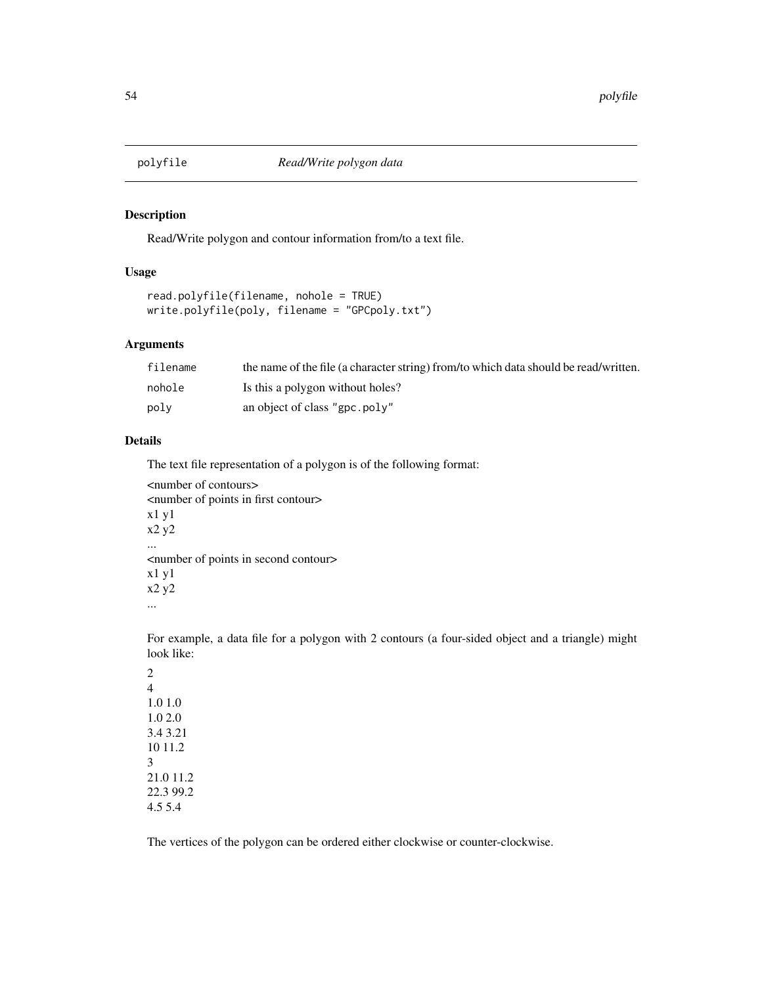## Description

Read/Write polygon and contour information from/to a text file.

#### Usage

```
read.polyfile(filename, nohole = TRUE)
write.polyfile(poly, filename = "GPCpoly.txt")
```
#### Arguments

| filename | the name of the file (a character string) from/to which data should be read/written. |
|----------|--------------------------------------------------------------------------------------|
| nohole   | Is this a polygon without holes?                                                     |
| polv     | an object of class "gpc.poly"                                                        |

## Details

The text file representation of a polygon is of the following format:

```
<number of contours>
<number of points in first contour>
x1 y1
x2 y2
...
<number of points in second contour>
x1 y1
x2 y2
...
```
For example, a data file for a polygon with 2 contours (a four-sided object and a triangle) might look like:

2 4 1.0 1.0 1.0 2.0 3.4 3.21 10 11.2 3 21.0 11.2 22.3 99.2 4.5 5.4

The vertices of the polygon can be ordered either clockwise or counter-clockwise.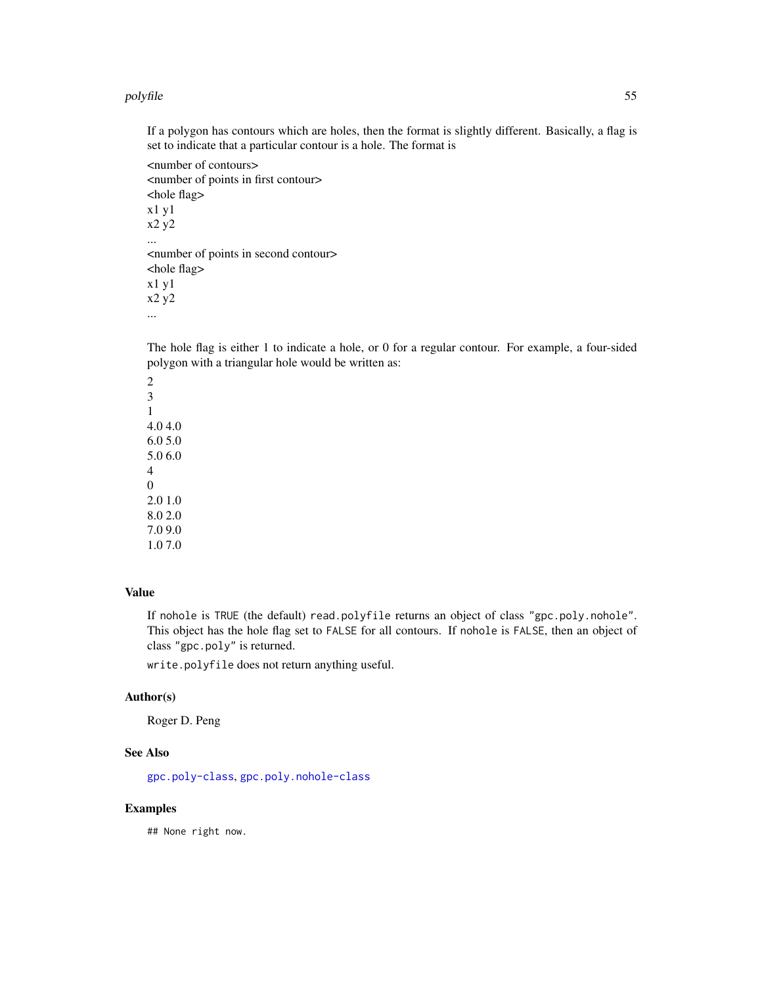#### polyfile 55

If a polygon has contours which are holes, then the format is slightly different. Basically, a flag is set to indicate that a particular contour is a hole. The format is

<number of contours> <number of points in first contour> <hole flag> x1 y1 x2 y2 ... <number of points in second contour> <hole flag> x1 y1 x2 y2 ...

The hole flag is either 1 to indicate a hole, or 0 for a regular contour. For example, a four-sided polygon with a triangular hole would be written as:

2 3 1 4.0 4.0 6.0 5.0 5.0 6.0 4 0 2.0 1.0 8.0 2.0 7.0 9.0 1.0 7.0

## Value

If nohole is TRUE (the default) read.polyfile returns an object of class "gpc.poly.nohole". This object has the hole flag set to FALSE for all contours. If nohole is FALSE, then an object of class "gpc.poly" is returned.

write.polyfile does not return anything useful.

## Author(s)

Roger D. Peng

## See Also

[gpc.poly-class](#page-34-0), [gpc.poly.nohole-class](#page-37-0)

# Examples

## None right now.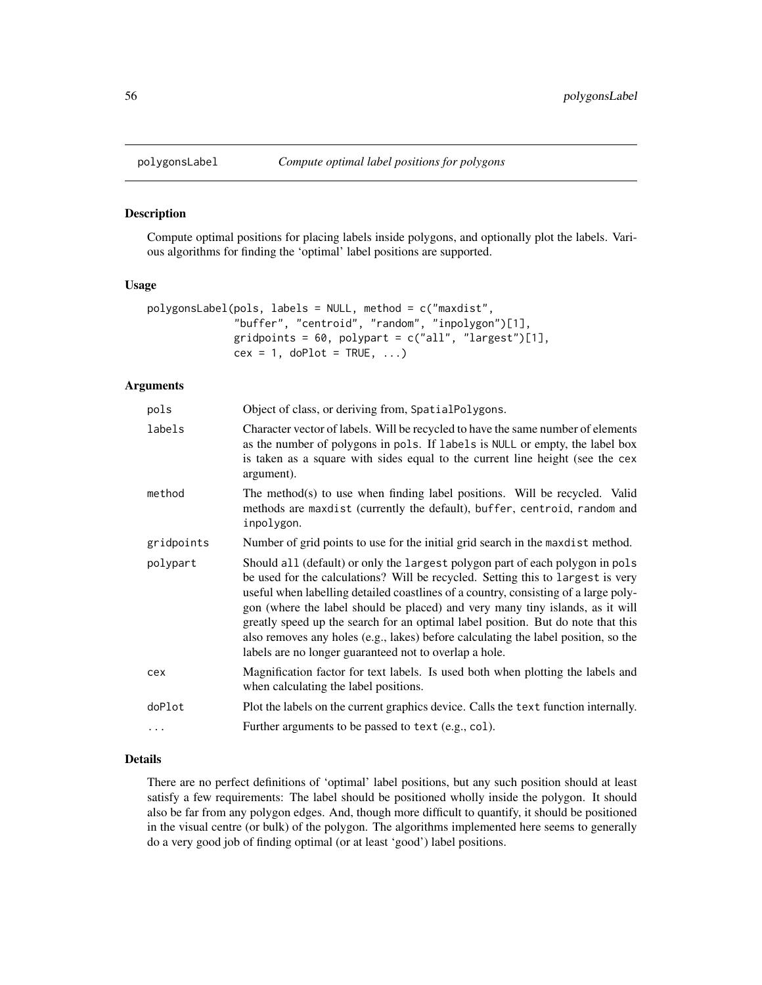#### Description

Compute optimal positions for placing labels inside polygons, and optionally plot the labels. Various algorithms for finding the 'optimal' label positions are supported.

## Usage

```
polygonsLabel(pols, labels = NULL, method = c("maxdist",
              "buffer", "centroid", "random", "inpolygon")[1],
              gridpoints = 60, polypart = c("all", "largest")[1],cex = 1, doPlot = TRUE, ...)
```
#### Arguments

| Object of class, or deriving from, SpatialPolygons.                                                                                                                                                                                                                                                                                                                                                                                                                                                                                                                          |
|------------------------------------------------------------------------------------------------------------------------------------------------------------------------------------------------------------------------------------------------------------------------------------------------------------------------------------------------------------------------------------------------------------------------------------------------------------------------------------------------------------------------------------------------------------------------------|
| Character vector of labels. Will be recycled to have the same number of elements<br>as the number of polygons in pols. If labels is NULL or empty, the label box<br>is taken as a square with sides equal to the current line height (see the cex<br>argument).                                                                                                                                                                                                                                                                                                              |
| The method(s) to use when finding label positions. Will be recycled. Valid<br>methods are maxdist (currently the default), buffer, centroid, random and<br>inpolygon.                                                                                                                                                                                                                                                                                                                                                                                                        |
| Number of grid points to use for the initial grid search in the maxdist method.                                                                                                                                                                                                                                                                                                                                                                                                                                                                                              |
| Should all (default) or only the largest polygon part of each polygon in pols<br>be used for the calculations? Will be recycled. Setting this to largest is very<br>useful when labelling detailed coastlines of a country, consisting of a large poly-<br>gon (where the label should be placed) and very many tiny islands, as it will<br>greatly speed up the search for an optimal label position. But do note that this<br>also removes any holes (e.g., lakes) before calculating the label position, so the<br>labels are no longer guaranteed not to overlap a hole. |
| Magnification factor for text labels. Is used both when plotting the labels and<br>when calculating the label positions.                                                                                                                                                                                                                                                                                                                                                                                                                                                     |
| Plot the labels on the current graphics device. Calls the text function internally.                                                                                                                                                                                                                                                                                                                                                                                                                                                                                          |
| Further arguments to be passed to text (e.g., col).                                                                                                                                                                                                                                                                                                                                                                                                                                                                                                                          |
|                                                                                                                                                                                                                                                                                                                                                                                                                                                                                                                                                                              |

## Details

There are no perfect definitions of 'optimal' label positions, but any such position should at least satisfy a few requirements: The label should be positioned wholly inside the polygon. It should also be far from any polygon edges. And, though more difficult to quantify, it should be positioned in the visual centre (or bulk) of the polygon. The algorithms implemented here seems to generally do a very good job of finding optimal (or at least 'good') label positions.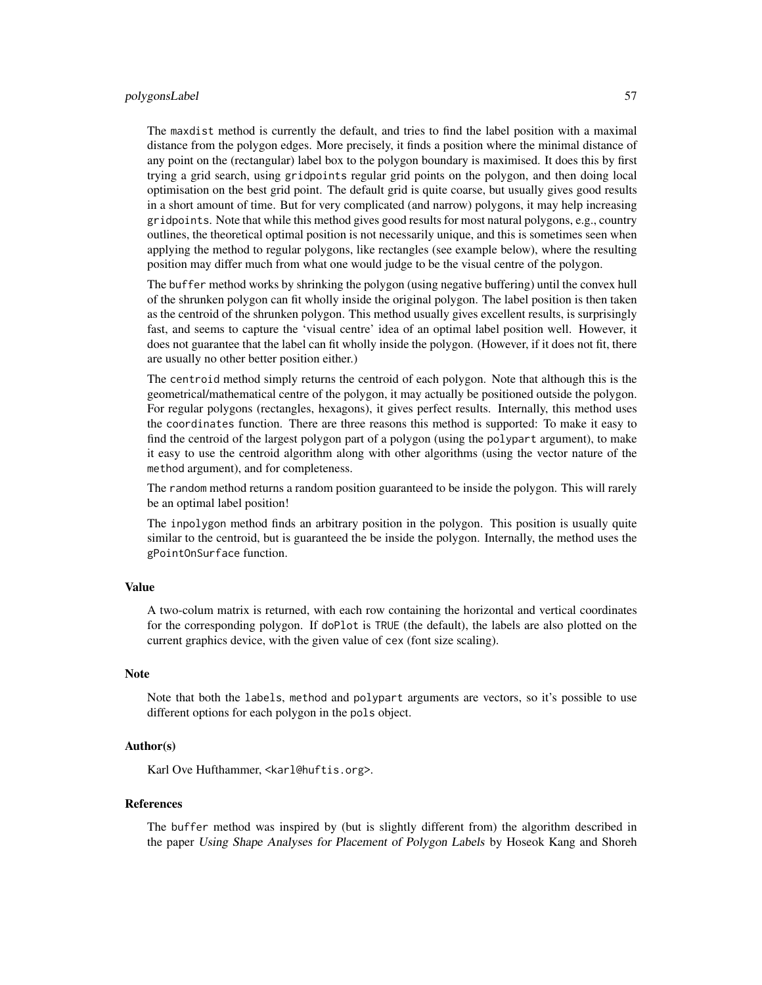#### polygonsLabel 57

The maxdist method is currently the default, and tries to find the label position with a maximal distance from the polygon edges. More precisely, it finds a position where the minimal distance of any point on the (rectangular) label box to the polygon boundary is maximised. It does this by first trying a grid search, using gridpoints regular grid points on the polygon, and then doing local optimisation on the best grid point. The default grid is quite coarse, but usually gives good results in a short amount of time. But for very complicated (and narrow) polygons, it may help increasing gridpoints. Note that while this method gives good results for most natural polygons, e.g., country outlines, the theoretical optimal position is not necessarily unique, and this is sometimes seen when applying the method to regular polygons, like rectangles (see example below), where the resulting position may differ much from what one would judge to be the visual centre of the polygon.

The buffer method works by shrinking the polygon (using negative buffering) until the convex hull of the shrunken polygon can fit wholly inside the original polygon. The label position is then taken as the centroid of the shrunken polygon. This method usually gives excellent results, is surprisingly fast, and seems to capture the 'visual centre' idea of an optimal label position well. However, it does not guarantee that the label can fit wholly inside the polygon. (However, if it does not fit, there are usually no other better position either.)

The centroid method simply returns the centroid of each polygon. Note that although this is the geometrical/mathematical centre of the polygon, it may actually be positioned outside the polygon. For regular polygons (rectangles, hexagons), it gives perfect results. Internally, this method uses the coordinates function. There are three reasons this method is supported: To make it easy to find the centroid of the largest polygon part of a polygon (using the polypart argument), to make it easy to use the centroid algorithm along with other algorithms (using the vector nature of the method argument), and for completeness.

The random method returns a random position guaranteed to be inside the polygon. This will rarely be an optimal label position!

The inpolygon method finds an arbitrary position in the polygon. This position is usually quite similar to the centroid, but is guaranteed the be inside the polygon. Internally, the method uses the gPointOnSurface function.

#### Value

A two-colum matrix is returned, with each row containing the horizontal and vertical coordinates for the corresponding polygon. If doPlot is TRUE (the default), the labels are also plotted on the current graphics device, with the given value of cex (font size scaling).

#### **Note**

Note that both the labels, method and polypart arguments are vectors, so it's possible to use different options for each polygon in the pols object.

## Author(s)

Karl Ove Hufthammer, <karl@huftis.org>.

#### References

The buffer method was inspired by (but is slightly different from) the algorithm described in the paper Using Shape Analyses for Placement of Polygon Labels by Hoseok Kang and Shoreh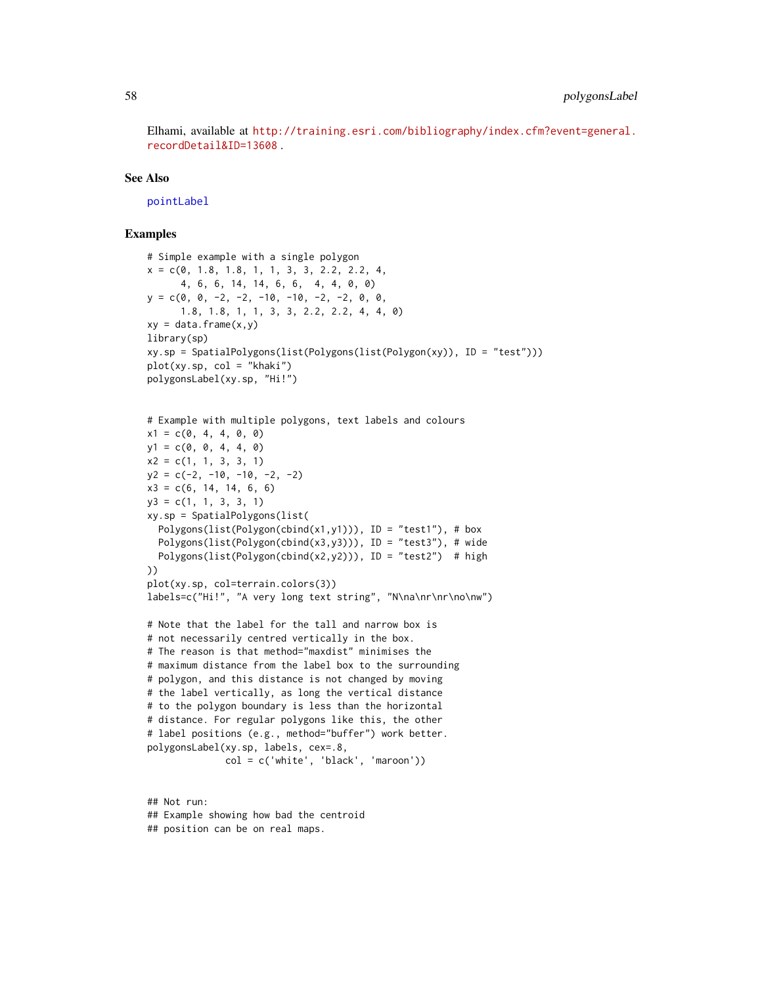Elhami, available at [http://training.esri.com/bibliography/index.cfm?event=general.](http://training.esri.com/bibliography/index.cfm?event=general.recordDetail&ID=13608) [recordDetail&ID=13608](http://training.esri.com/bibliography/index.cfm?event=general.recordDetail&ID=13608) .

## See Also

[pointLabel](#page-0-0)

#### Examples

```
# Simple example with a single polygon
x = c(0, 1.8, 1.8, 1, 1, 3, 3, 2.2, 2.2, 4,4, 6, 6, 14, 14, 6, 6, 4, 4, 0, 0)
y = c(0, 0, -2, -2, -10, -10, -2, -2, 0, 0,1.8, 1.8, 1, 1, 3, 3, 2.2, 2.2, 4, 4, 0)
xy = data-frame(x,y)library(sp)
xy.sp = SpatialPolygons(list(Polygons(list(Polygon(xy)), ID = "test")))
plot(xy.sp, col = "khaki")
polygonsLabel(xy.sp, "Hi!")
# Example with multiple polygons, text labels and colours
x1 = c(0, 4, 4, 0, 0)y1 = c(0, 0, 4, 4, 0)x2 = c(1, 1, 3, 3, 1)y2 = c(-2, -10, -10, -2, -2)x3 = c(6, 14, 14, 6, 6)y3 = c(1, 1, 3, 3, 1)xy.sp = SpatialPolygons(list(
  Polygons(list(Polygon(cbind(x1,y1))), ID = "test1"), # box
  Polygons(list(Polygon(cbind(x3,y3))), ID = "test3"), # wide
  Polygons(list(Polygon(cbind(x2,y2))), ID = "test2") # high
))
plot(xy.sp, col=terrain.colors(3))
labels=c("Hi!", "A very long text string", "N\na\nr\nr\no\nw")
# Note that the label for the tall and narrow box is
# not necessarily centred vertically in the box.
# The reason is that method="maxdist" minimises the
# maximum distance from the label box to the surrounding
# polygon, and this distance is not changed by moving
# the label vertically, as long the vertical distance
# to the polygon boundary is less than the horizontal
# distance. For regular polygons like this, the other
# label positions (e.g., method="buffer") work better.
polygonsLabel(xy.sp, labels, cex=.8,
              col = c('white', 'black', 'maroon'))
## Not run:
```
## Example showing how bad the centroid ## position can be on real maps.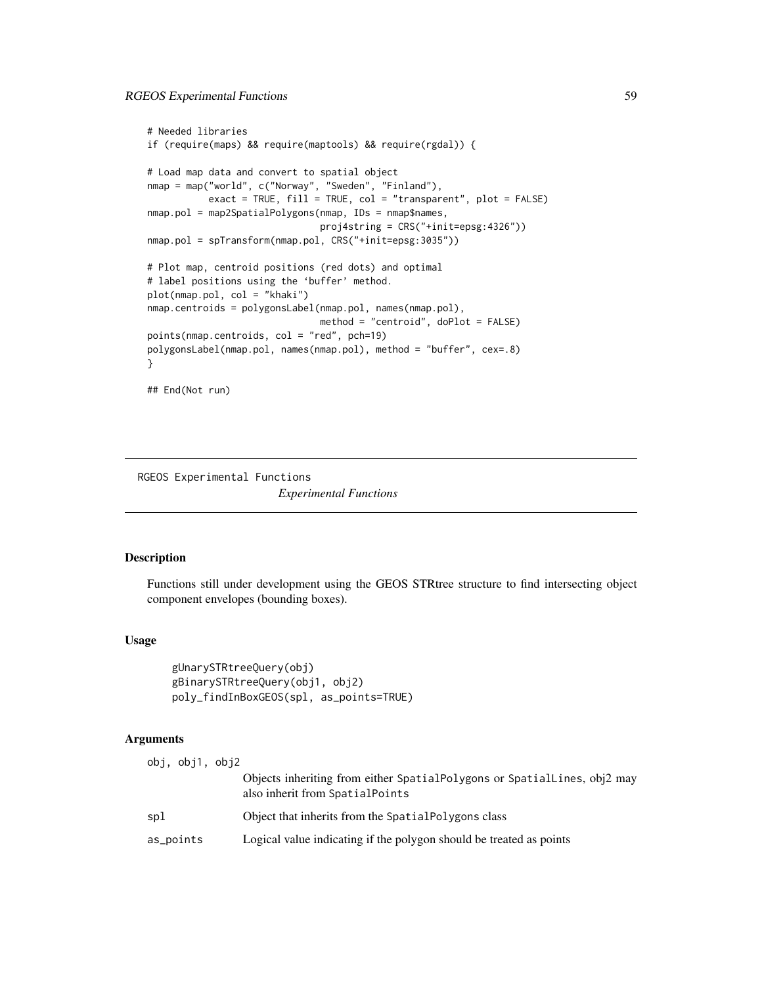```
# Needed libraries
if (require(maps) && require(maptools) && require(rgdal)) {
# Load map data and convert to spatial object
nmap = map("world", c("Norway", "Sweden", "Finland"),
           exact = TRUE, fill = TRUE, col = "transparent", plot = FALSE)
nmap.pol = map2SpatialPolygons(nmap, IDs = nmap$names,
                               proj4string = CRS("+init=epsg:4326"))
nmap.pol = spTransform(nmap.pol, CRS("+init=epsg:3035"))
# Plot map, centroid positions (red dots) and optimal
# label positions using the 'buffer' method.
plot(nmap.pol, col = "khaki")
nmap.centroids = polygonsLabel(nmap.pol, names(nmap.pol),
                               method = "centroid", doPlot = FALSE)
points(nmap.centroids, col = "red", pch=19)
polygonsLabel(nmap.pol, names(nmap.pol), method = "buffer", cex=.8)
}
## End(Not run)
```
RGEOS Experimental Functions *Experimental Functions*

## Description

Functions still under development using the GEOS STRtree structure to find intersecting object component envelopes (bounding boxes).

## Usage

```
gUnarySTRtreeQuery(obj)
gBinarySTRtreeQuery(obj1, obj2)
poly_findInBoxGEOS(spl, as_points=TRUE)
```
## Arguments

|           | obi, obi1, obi2 |                                                                                                             |
|-----------|-----------------|-------------------------------------------------------------------------------------------------------------|
|           |                 | Objects inheriting from either SpatialPolygons or SpatialLines, obj2 may<br>also inherit from SpatialPoints |
| spl       |                 | Object that inherits from the SpatialPolygons class                                                         |
| as_points |                 | Logical value indicating if the polygon should be treated as points                                         |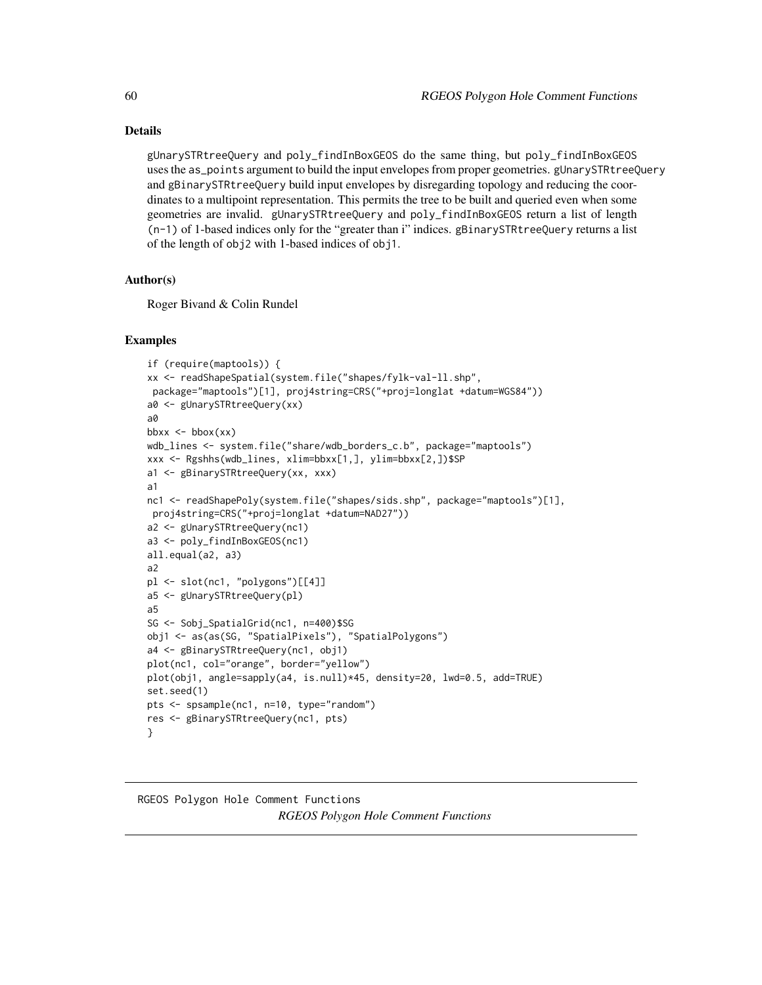## Details

gUnarySTRtreeQuery and poly\_findInBoxGEOS do the same thing, but poly\_findInBoxGEOS uses the as\_points argument to build the input envelopes from proper geometries. gUnarySTRtreeQuery and gBinarySTRtreeQuery build input envelopes by disregarding topology and reducing the coordinates to a multipoint representation. This permits the tree to be built and queried even when some geometries are invalid. gUnarySTRtreeQuery and poly\_findInBoxGEOS return a list of length (n-1) of 1-based indices only for the "greater than i" indices. gBinarySTRtreeQuery returns a list of the length of obj2 with 1-based indices of obj1.

## Author(s)

Roger Bivand & Colin Rundel

#### Examples

```
if (require(maptools)) {
xx <- readShapeSpatial(system.file("shapes/fylk-val-ll.shp",
package="maptools")[1], proj4string=CRS("+proj=longlat +datum=WGS84"))
a0 <- gUnarySTRtreeQuery(xx)
a0
bbxx \leftarrow bbox(xx)
wdb_lines <- system.file("share/wdb_borders_c.b", package="maptools")
xxx <- Rgshhs(wdb_lines, xlim=bbxx[1,], ylim=bbxx[2,])$SP
a1 <- gBinarySTRtreeQuery(xx, xxx)
a1
nc1 <- readShapePoly(system.file("shapes/sids.shp", package="maptools")[1],
proj4string=CRS("+proj=longlat +datum=NAD27"))
a2 <- gUnarySTRtreeQuery(nc1)
a3 <- poly_findInBoxGEOS(nc1)
all.equal(a2, a3)
a2
pl <- slot(nc1, "polygons")[[4]]
a5 <- gUnarySTRtreeQuery(pl)
a5
SG <- Sobj_SpatialGrid(nc1, n=400)$SG
obj1 <- as(as(SG, "SpatialPixels"), "SpatialPolygons")
a4 <- gBinarySTRtreeQuery(nc1, obj1)
plot(nc1, col="orange", border="yellow")
plot(obj1, angle=sapply(a4, is.null)*45, density=20, lwd=0.5, add=TRUE)
set.seed(1)
pts <- spsample(nc1, n=10, type="random")
res <- gBinarySTRtreeQuery(nc1, pts)
}
```
# <span id="page-59-0"></span>RGEOS Polygon Hole Comment Functions *RGEOS Polygon Hole Comment Functions*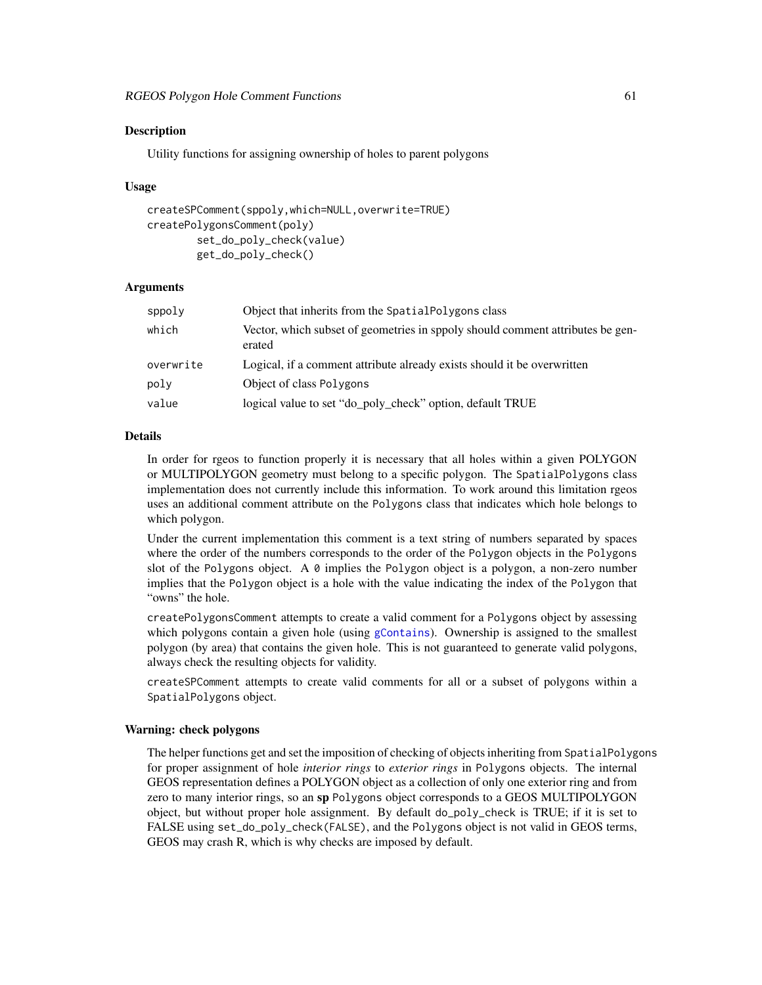## Description

Utility functions for assigning ownership of holes to parent polygons

#### Usage

```
createSPComment(sppoly,which=NULL,overwrite=TRUE)
createPolygonsComment(poly)
        set_do_poly_check(value)
        get_do_poly_check()
```
## Arguments

| Object that inherits from the SpatialPolygons class                                      |
|------------------------------------------------------------------------------------------|
| Vector, which subset of geometries in sppoly should comment attributes be gen-<br>erated |
| Logical, if a comment attribute already exists should it be overwritten                  |
| Object of class Polygons                                                                 |
| logical value to set "do_poly_check" option, default TRUE                                |
|                                                                                          |

#### Details

In order for rgeos to function properly it is necessary that all holes within a given POLYGON or MULTIPOLYGON geometry must belong to a specific polygon. The SpatialPolygons class implementation does not currently include this information. To work around this limitation rgeos uses an additional comment attribute on the Polygons class that indicates which hole belongs to which polygon.

Under the current implementation this comment is a text string of numbers separated by spaces where the order of the numbers corresponds to the order of the Polygon objects in the Polygons slot of the Polygons object. A  $\theta$  implies the Polygon object is a polygon, a non-zero number implies that the Polygon object is a hole with the value indicating the index of the Polygon that "owns" the hole.

createPolygonsComment attempts to create a valid comment for a Polygons object by assessing which polygons contain a given hole (using [gContains](#page-7-0)). Ownership is assigned to the smallest polygon (by area) that contains the given hole. This is not guaranteed to generate valid polygons, always check the resulting objects for validity.

createSPComment attempts to create valid comments for all or a subset of polygons within a SpatialPolygons object.

#### Warning: check polygons

The helper functions get and set the imposition of checking of objects inheriting from SpatialPolygons for proper assignment of hole *interior rings* to *exterior rings* in Polygons objects. The internal GEOS representation defines a POLYGON object as a collection of only one exterior ring and from zero to many interior rings, so an sp Polygons object corresponds to a GEOS MULTIPOLYGON object, but without proper hole assignment. By default do\_poly\_check is TRUE; if it is set to FALSE using set\_do\_poly\_check(FALSE), and the Polygons object is not valid in GEOS terms, GEOS may crash R, which is why checks are imposed by default.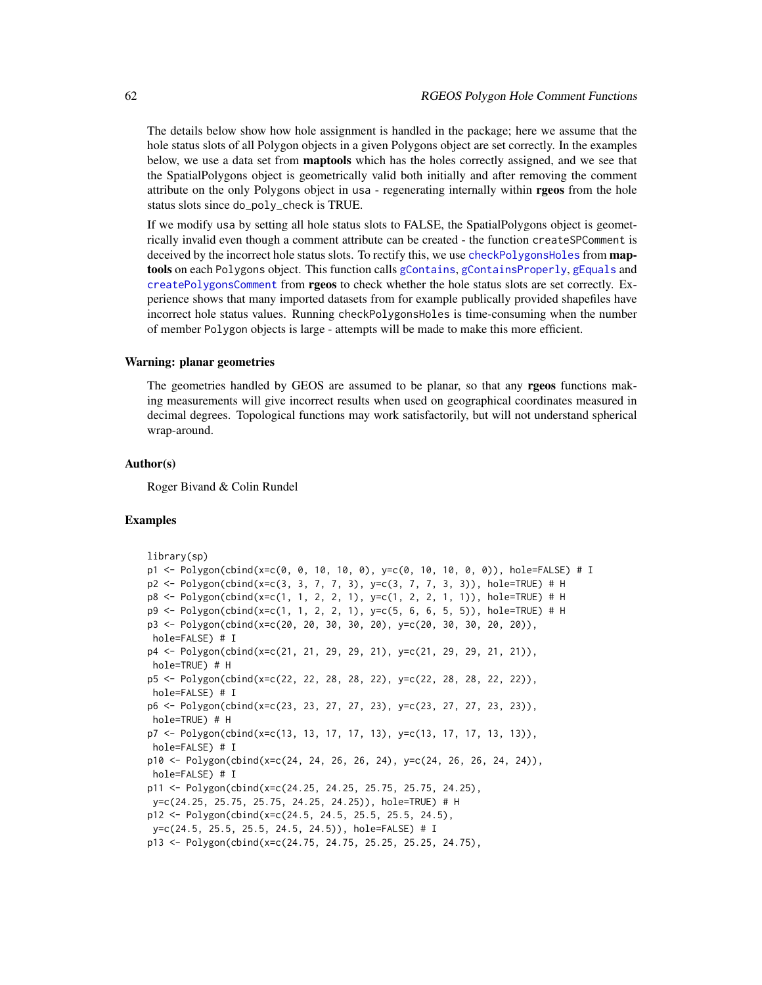The details below show how hole assignment is handled in the package; here we assume that the hole status slots of all Polygon objects in a given Polygons object are set correctly. In the examples below, we use a data set from **maptools** which has the holes correctly assigned, and we see that the SpatialPolygons object is geometrically valid both initially and after removing the comment attribute on the only Polygons object in usa - regenerating internally within rgeos from the hole status slots since do\_poly\_check is TRUE.

If we modify usa by setting all hole status slots to FALSE, the SpatialPolygons object is geometrically invalid even though a comment attribute can be created - the function createSPComment is deceived by the incorrect hole status slots. To rectify this, we use [checkPolygonsHoles](#page-0-0) from **map**tools on each Polygons object. This function calls [gContains](#page-7-0), [gContainsProperly](#page-7-1), [gEquals](#page-18-0) and [createPolygonsComment](#page-59-0) from rgeos to check whether the hole status slots are set correctly. Experience shows that many imported datasets from for example publically provided shapefiles have incorrect hole status values. Running checkPolygonsHoles is time-consuming when the number of member Polygon objects is large - attempts will be made to make this more efficient.

#### Warning: planar geometries

The geometries handled by GEOS are assumed to be planar, so that any rgeos functions making measurements will give incorrect results when used on geographical coordinates measured in decimal degrees. Topological functions may work satisfactorily, but will not understand spherical wrap-around.

#### Author(s)

Roger Bivand & Colin Rundel

```
library(sp)
p1 <- Polygon(cbind(x=c(0, 0, 10, 10, 0), y=c(0, 10, 10, 0, 0)), hole=FALSE) # I
p2 <- Polygon(cbind(x=c(3, 3, 7, 7, 3), y=c(3, 7, 7, 3, 3)), hole=TRUE) # H
p8 <- Polygon(cbind(x=c(1, 1, 2, 2, 1), y=c(1, 2, 2, 1, 1)), hole=TRUE) # H
p9 <- Polygon(cbind(x=c(1, 1, 2, 2, 1), y=c(5, 6, 6, 5, 5)), hole=TRUE) # H
p3 <- Polygon(cbind(x=c(20, 20, 30, 30, 20), y=c(20, 30, 30, 20, 20)),
hole=FALSE) # I
p4 <- Polygon(cbind(x=c(21, 21, 29, 29, 21), y=c(21, 29, 29, 21, 21)),
hole=TRUE) # H
p5 <- Polygon(cbind(x=c(22, 22, 28, 28, 22), y=c(22, 28, 28, 22, 22)),
hole=FALSE) # I
p6 <- Polygon(cbind(x=c(23, 23, 27, 27, 23), y=c(23, 27, 27, 23, 23)),
hole=TRUE) # H
p7 <- Polygon(cbind(x=c(13, 13, 17, 17, 13), y=c(13, 17, 17, 13, 13)),
hole=FALSE) # I
p10 \leq Polygon (cbind(x=c(24, 24, 26, 26, 24), y=c(24, 26, 26, 24, 24)),hole=FALSE) # I
p11 <- Polygon(cbind(x=c(24.25, 24.25, 25.75, 25.75, 24.25),
y=c(24.25, 25.75, 25.75, 24.25, 24.25)), hole=TRUE) # H
p12 <- Polygon(cbind(x=c(24.5, 24.5, 25.5, 25.5, 24.5),
y=c(24.5, 25.5, 25.5, 24.5, 24.5)), hole=FALSE) # I
p13 <- Polygon(cbind(x=c(24.75, 24.75, 25.25, 25.25, 24.75),
```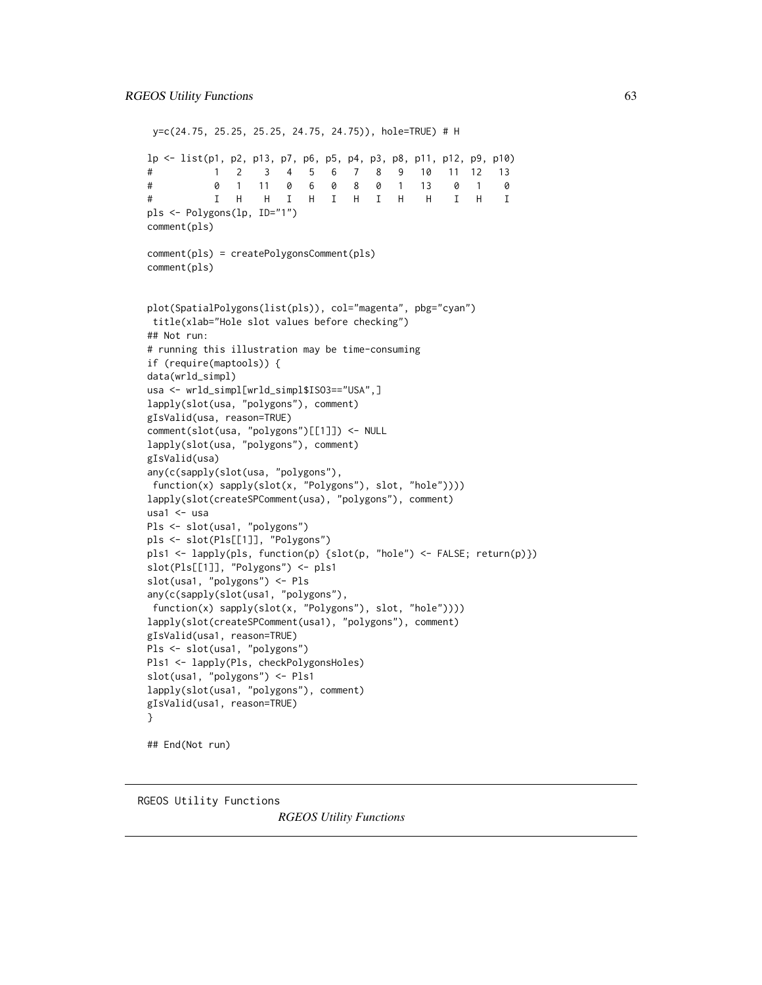```
y=c(24.75, 25.25, 25.25, 24.75, 24.75)), hole=TRUE) # H
lp <- list(p1, p2, p13, p7, p6, p5, p4, p3, p8, p11, p12, p9, p10)
# 1 2 3 4 5 6 7 8 9 10 11 12 13
# 0 1 11 0 6 0 8 0 1 13 0 1 0
# I H H I H I H I H H I H I
pls <- Polygons(lp, ID="1")
comment(pls)
comment(pls) = createPolygonsComment(pls)
comment(pls)
plot(SpatialPolygons(list(pls)), col="magenta", pbg="cyan")
title(xlab="Hole slot values before checking")
## Not run:
# running this illustration may be time-consuming
if (require(maptools)) {
data(wrld_simpl)
usa <- wrld_simpl[wrld_simpl$ISO3=="USA",]
lapply(slot(usa, "polygons"), comment)
gIsValid(usa, reason=TRUE)
comment(slot(usa, "polygons")[[1]]) <- NULL
lapply(slot(usa, "polygons"), comment)
gIsValid(usa)
any(c(sapply(slot(usa, "polygons"),
function(x) sapply(slot(x, "Polygons"), slot, "hole"))))
lapply(slot(createSPComment(usa), "polygons"), comment)
usa1 <- usa
Pls <- slot(usa1, "polygons")
pls <- slot(Pls[[1]], "Polygons")
pls1 <- lapply(pls, function(p) {slot(p, "hole") <- FALSE; return(p)})
slot(Pls[[1]], "Polygons") <- pls1
slot(usa1, "polygons") <- Pls
any(c(sapply(slot(usa1, "polygons"),
function(x) sapply(slot(x, "Polygons"), slot, "hole"))))
lapply(slot(createSPComment(usa1), "polygons"), comment)
gIsValid(usa1, reason=TRUE)
Pls <- slot(usa1, "polygons")
Pls1 <- lapply(Pls, checkPolygonsHoles)
slot(usa1, "polygons") <- Pls1
lapply(slot(usa1, "polygons"), comment)
gIsValid(usa1, reason=TRUE)
}
## End(Not run)
```
RGEOS Utility Functions

*RGEOS Utility Functions*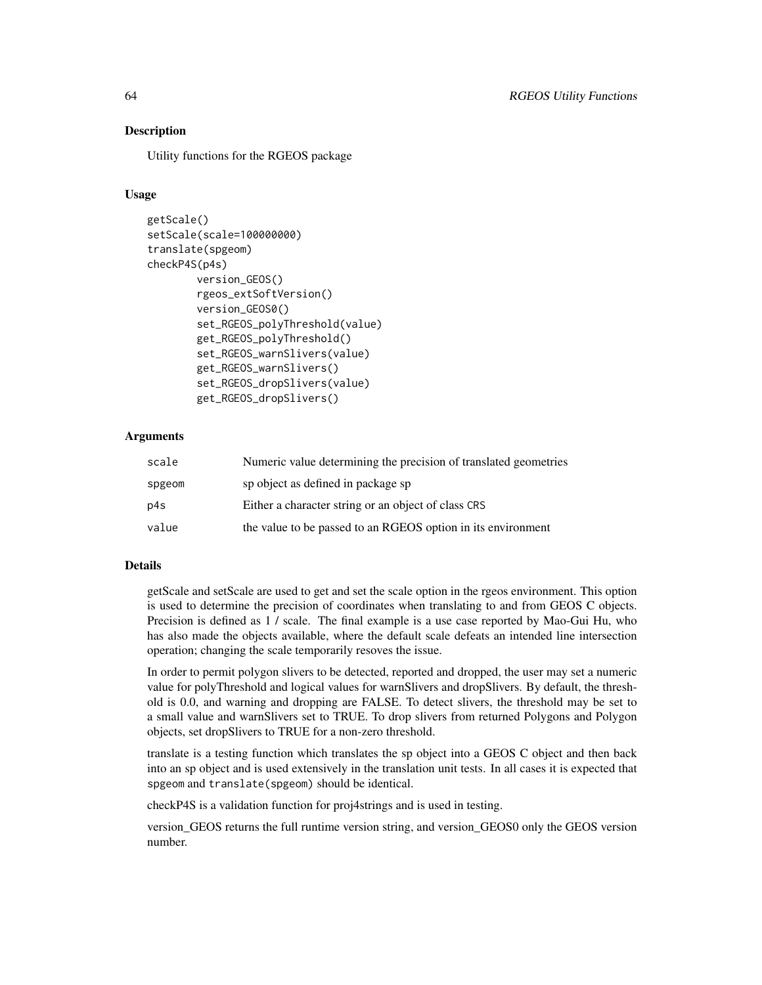## Description

Utility functions for the RGEOS package

#### Usage

```
getScale()
setScale(scale=100000000)
translate(spgeom)
checkP4S(p4s)
        version_GEOS()
        rgeos_extSoftVersion()
        version_GEOS0()
        set_RGEOS_polyThreshold(value)
        get_RGEOS_polyThreshold()
        set_RGEOS_warnSlivers(value)
        get_RGEOS_warnSlivers()
        set_RGEOS_dropSlivers(value)
        get_RGEOS_dropSlivers()
```
## Arguments

| scale  | Numeric value determining the precision of translated geometries |
|--------|------------------------------------------------------------------|
| spgeom | sp object as defined in package sp                               |
| p4s    | Either a character string or an object of class CRS              |
| value  | the value to be passed to an RGEOS option in its environment     |

## Details

getScale and setScale are used to get and set the scale option in the rgeos environment. This option is used to determine the precision of coordinates when translating to and from GEOS C objects. Precision is defined as 1 / scale. The final example is a use case reported by Mao-Gui Hu, who has also made the objects available, where the default scale defeats an intended line intersection operation; changing the scale temporarily resoves the issue.

In order to permit polygon slivers to be detected, reported and dropped, the user may set a numeric value for polyThreshold and logical values for warnSlivers and dropSlivers. By default, the threshold is 0.0, and warning and dropping are FALSE. To detect slivers, the threshold may be set to a small value and warnSlivers set to TRUE. To drop slivers from returned Polygons and Polygon objects, set dropSlivers to TRUE for a non-zero threshold.

translate is a testing function which translates the sp object into a GEOS C object and then back into an sp object and is used extensively in the translation unit tests. In all cases it is expected that spgeom and translate(spgeom) should be identical.

checkP4S is a validation function for proj4strings and is used in testing.

version\_GEOS returns the full runtime version string, and version\_GEOS0 only the GEOS version number.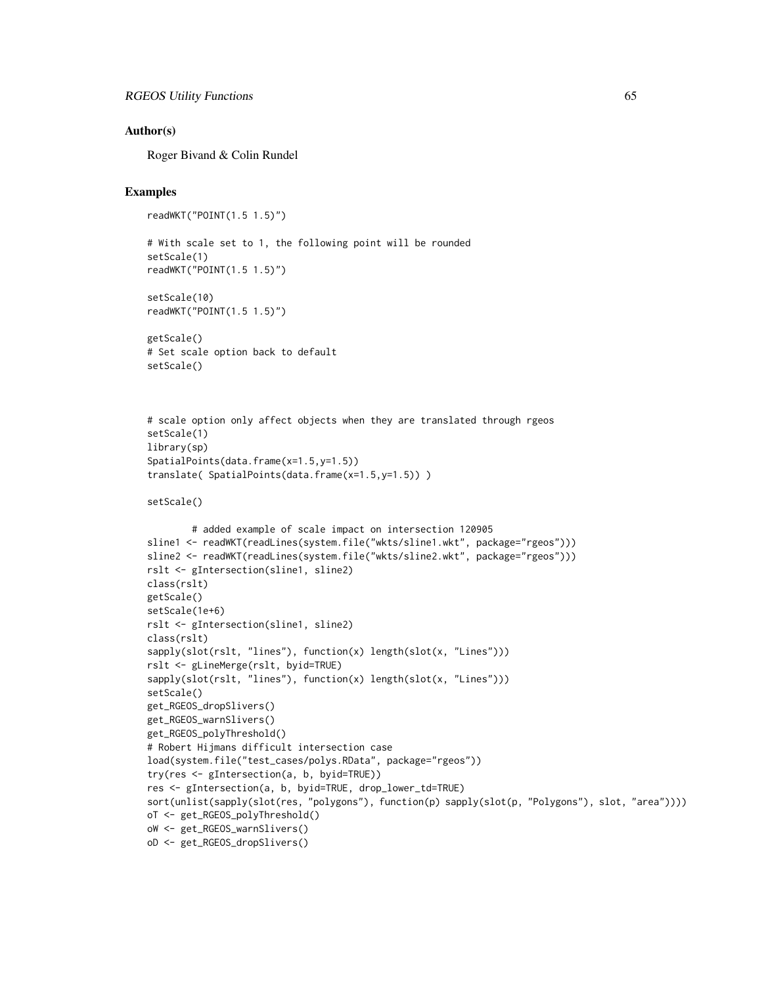#### Author(s)

Roger Bivand & Colin Rundel

```
readWKT("POINT(1.5 1.5)")
```

```
# With scale set to 1, the following point will be rounded
setScale(1)
readWKT("POINT(1.5 1.5)")
setScale(10)
readWKT("POINT(1.5 1.5)")
getScale()
# Set scale option back to default
setScale()
# scale option only affect objects when they are translated through rgeos
setScale(1)
library(sp)
SpatialPoints(data.frame(x=1.5,y=1.5))
translate( SpatialPoints(data.frame(x=1.5,y=1.5)) )
```

```
setScale()
```

```
# added example of scale impact on intersection 120905
sline1 <- readWKT(readLines(system.file("wkts/sline1.wkt", package="rgeos")))
sline2 <- readWKT(readLines(system.file("wkts/sline2.wkt", package="rgeos")))
rslt <- gIntersection(sline1, sline2)
class(rslt)
getScale()
setScale(1e+6)
rslt <- gIntersection(sline1, sline2)
class(rslt)
sapply(slot(rslt, "lines"), function(x) length(slot(x, "Lines")))
rslt <- gLineMerge(rslt, byid=TRUE)
sapply(slot(rslt, "lines"), function(x) length(slot(x, "Lines")))
setScale()
get_RGEOS_dropSlivers()
get_RGEOS_warnSlivers()
get_RGEOS_polyThreshold()
# Robert Hijmans difficult intersection case
load(system.file("test_cases/polys.RData", package="rgeos"))
try(res <- gIntersection(a, b, byid=TRUE))
res <- gIntersection(a, b, byid=TRUE, drop_lower_td=TRUE)
sort(unlist(sapply(slot(res, "polygons"), function(p) sapply(slot(p, "Polygons"), slot, "area"))))
oT <- get_RGEOS_polyThreshold()
oW <- get_RGEOS_warnSlivers()
oD <- get_RGEOS_dropSlivers()
```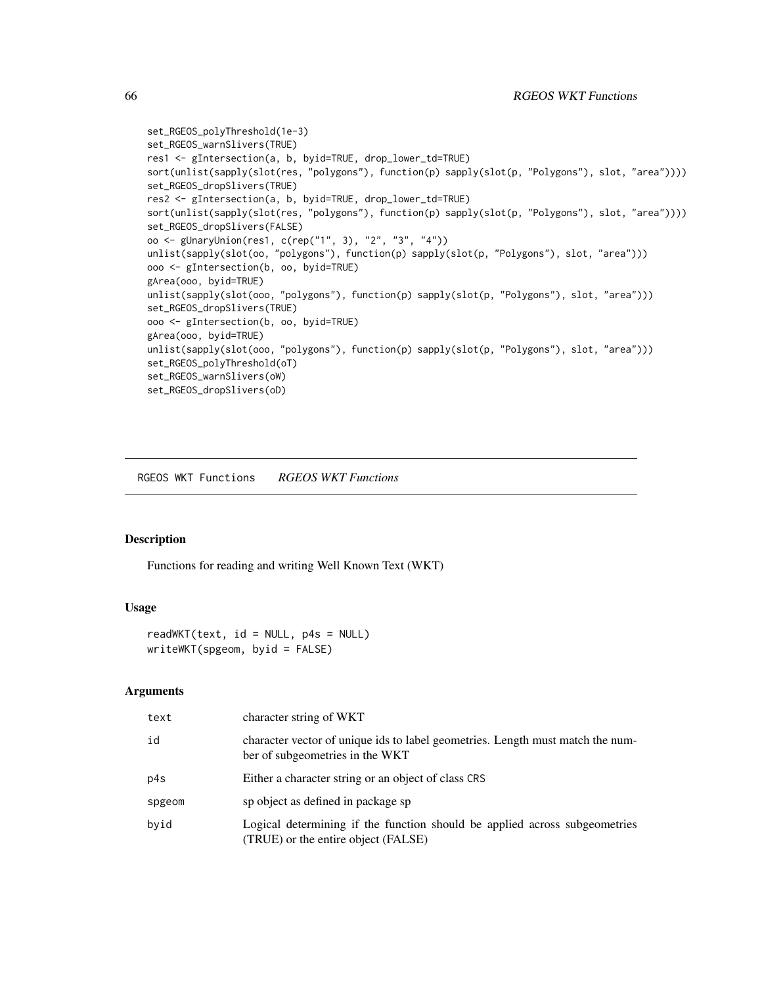```
set_RGEOS_polyThreshold(1e-3)
set_RGEOS_warnSlivers(TRUE)
res1 <- gIntersection(a, b, byid=TRUE, drop_lower_td=TRUE)
sort(unlist(sapply(slot(res, "polygons"), function(p) sapply(slot(p, "Polygons"), slot, "area"))))
set_RGEOS_dropSlivers(TRUE)
res2 <- gIntersection(a, b, byid=TRUE, drop_lower_td=TRUE)
sort(unlist(sapply(slot(res, "polygons"), function(p) sapply(slot(p, "Polygons"), slot, "area"))))
set_RGEOS_dropSlivers(FALSE)
oo <- gUnaryUnion(res1, c(rep("1", 3), "2", "3", "4"))
unlist(sapply(slot(oo, "polygons"), function(p) sapply(slot(p, "Polygons"), slot, "area")))
ooo <- gIntersection(b, oo, byid=TRUE)
gArea(ooo, byid=TRUE)
unlist(sapply(slot(ooo, "polygons"), function(p) sapply(slot(p, "Polygons"), slot, "area")))
set_RGEOS_dropSlivers(TRUE)
ooo <- gIntersection(b, oo, byid=TRUE)
gArea(ooo, byid=TRUE)
unlist(sapply(slot(ooo, "polygons"), function(p) sapply(slot(p, "Polygons"), slot, "area")))
set_RGEOS_polyThreshold(oT)
set_RGEOS_warnSlivers(oW)
set_RGEOS_dropSlivers(oD)
```
RGEOS WKT Functions *RGEOS WKT Functions*

## Description

Functions for reading and writing Well Known Text (WKT)

## Usage

```
readWKT(text, id = NULL, p4s = NULL)writeWKT(spgeom, byid = FALSE)
```
#### Arguments

| text   | character string of WKT                                                                                           |
|--------|-------------------------------------------------------------------------------------------------------------------|
| id     | character vector of unique ids to label geometries. Length must match the num-<br>ber of subgeometries in the WKT |
| p4s    | Either a character string or an object of class CRS                                                               |
| spgeom | sp object as defined in package sp                                                                                |
| byid   | Logical determining if the function should be applied across subgeometries<br>(TRUE) or the entire object (FALSE) |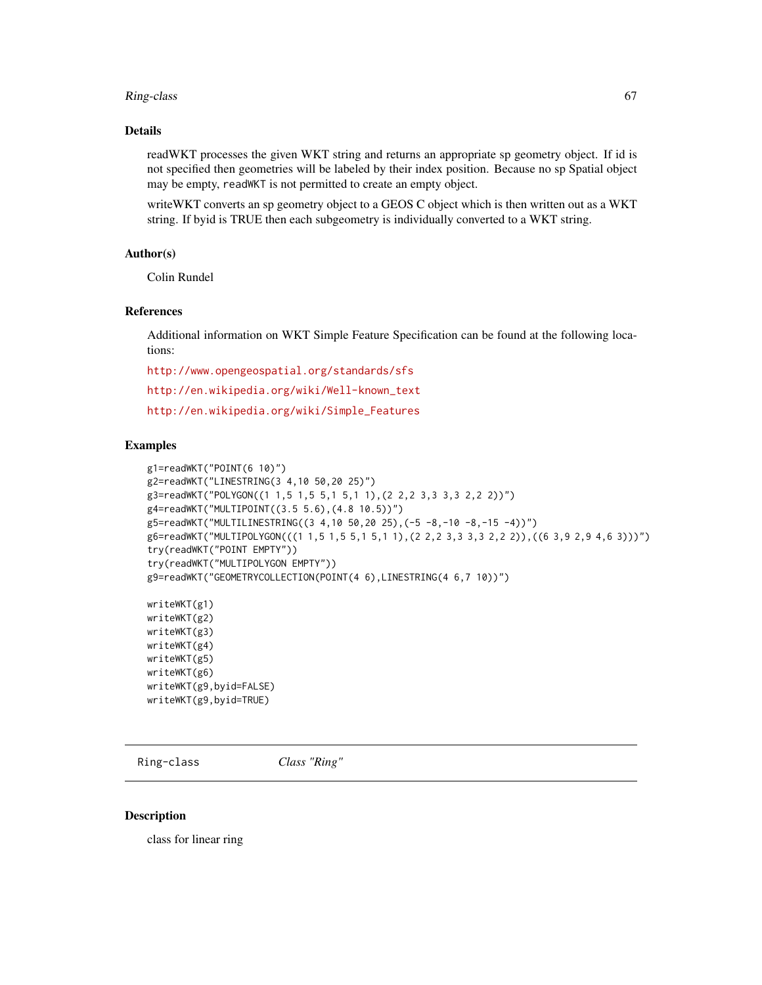#### Ring-class 67

## Details

readWKT processes the given WKT string and returns an appropriate sp geometry object. If id is not specified then geometries will be labeled by their index position. Because no sp Spatial object may be empty, readWKT is not permitted to create an empty object.

writeWKT converts an sp geometry object to a GEOS C object which is then written out as a WKT string. If byid is TRUE then each subgeometry is individually converted to a WKT string.

## Author(s)

Colin Rundel

#### References

Additional information on WKT Simple Feature Specification can be found at the following locations:

<http://www.opengeospatial.org/standards/sfs>

[http://en.wikipedia.org/wiki/Well-known\\_text](http://en.wikipedia.org/wiki/Well-known_text)

[http://en.wikipedia.org/wiki/Simple\\_Features](http://en.wikipedia.org/wiki/Simple_Features)

#### Examples

```
g1=readWKT("POINT(6 10)")
g2=readWKT("LINESTRING(3 4,10 50,20 25)")
g3=readWKT("POLYGON((1 1,5 1,5 5,1 5,1 1),(2 2,2 3,3 3,3 2,2 2))")
g4=readWKT("MULTIPOINT((3.5 5.6),(4.8 10.5))")
g5=readWKT("MULTILINESTRING((3 4,10 50,20 25),(-5 -8,-10 -8,-15 -4))")
g6=readWKT("MULTIPOLYGON(((1 1,5 1,5 5,1 5,1 1),(2 2,2 3,3 3,3 2,2 2)),((6 3,9 2,9 4,6 3)))")
try(readWKT("POINT EMPTY"))
try(readWKT("MULTIPOLYGON EMPTY"))
g9=readWKT("GEOMETRYCOLLECTION(POINT(4 6),LINESTRING(4 6,7 10))")
writeWKT(g1)
writeWKT(g2)
writeWKT(g3)
writeWKT(g4)
writeWKT(g5)
writeWKT(g6)
writeWKT(g9,byid=FALSE)
writeWKT(g9,byid=TRUE)
```
<span id="page-66-0"></span>Ring-class *Class "Ring"*

#### **Description**

class for linear ring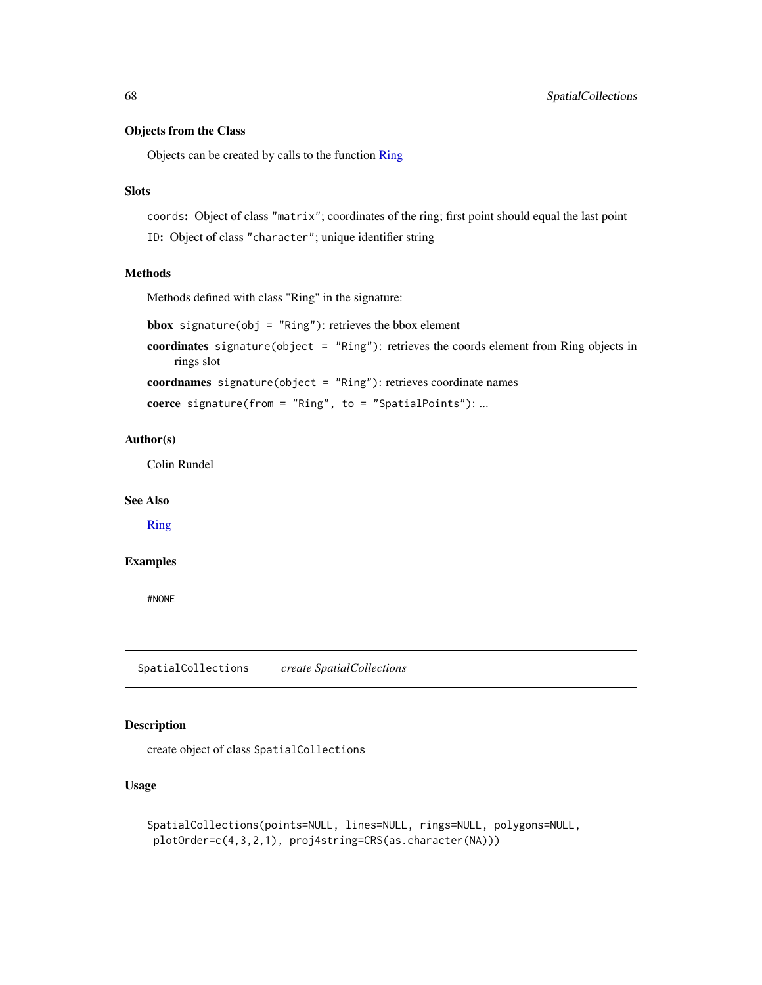## Objects from the Class

Objects can be created by calls to the function [Ring](#page-69-0)

# Slots

coords: Object of class "matrix"; coordinates of the ring; first point should equal the last point ID: Object of class "character"; unique identifier string

# Methods

Methods defined with class "Ring" in the signature:

**bbox** signature(obj = "Ring"): retrieves the bbox element

coordinates signature(object = "Ring"): retrieves the coords element from Ring objects in rings slot

coordnames signature(object = "Ring"): retrieves coordinate names

```
coerce signature(from = "Ring", to = "SpatialPoints"): ...
```
## Author(s)

Colin Rundel

## See Also

[Ring](#page-69-0)

## Examples

#NONE

<span id="page-67-0"></span>SpatialCollections *create SpatialCollections*

## Description

create object of class SpatialCollections

## Usage

```
SpatialCollections(points=NULL, lines=NULL, rings=NULL, polygons=NULL,
plotOrder=c(4,3,2,1), proj4string=CRS(as.character(NA)))
```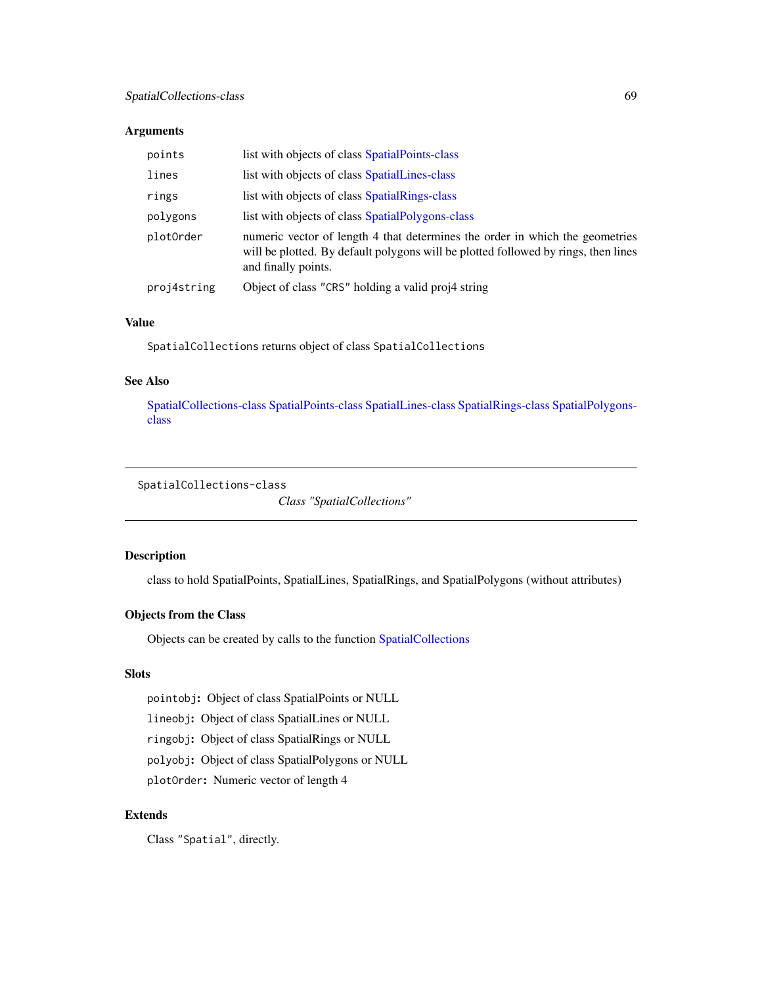## Arguments

| points      | list with objects of class SpatialPoints-class                                                                                                                                            |
|-------------|-------------------------------------------------------------------------------------------------------------------------------------------------------------------------------------------|
| lines       | list with objects of class SpatialLines-class                                                                                                                                             |
| rings       | list with objects of class SpatialRings-class                                                                                                                                             |
| polygons    | list with objects of class SpatialPolygons-class                                                                                                                                          |
| plot0rder   | numeric vector of length 4 that determines the order in which the geometries<br>will be plotted. By default polygons will be plotted followed by rings, then lines<br>and finally points. |
| proj4string | Object of class "CRS" holding a valid proj4 string                                                                                                                                        |

## Value

SpatialCollections returns object of class SpatialCollections

## See Also

[SpatialCollections-class](#page-68-0) [SpatialPoints-class](#page-0-0) [SpatialLines-class](#page-0-0) [SpatialRings-class](#page-70-0) [SpatialPolygons](#page-0-0)[class](#page-0-0)

## <span id="page-68-0"></span>SpatialCollections-class

*Class "SpatialCollections"*

## Description

class to hold SpatialPoints, SpatialLines, SpatialRings, and SpatialPolygons (without attributes)

# Objects from the Class

Objects can be created by calls to the function [SpatialCollections](#page-67-0)

# Slots

pointobj: Object of class SpatialPoints or NULL lineobj: Object of class SpatialLines or NULL ringobj: Object of class SpatialRings or NULL polyobj: Object of class SpatialPolygons or NULL plotOrder: Numeric vector of length 4

# Extends

Class "Spatial", directly.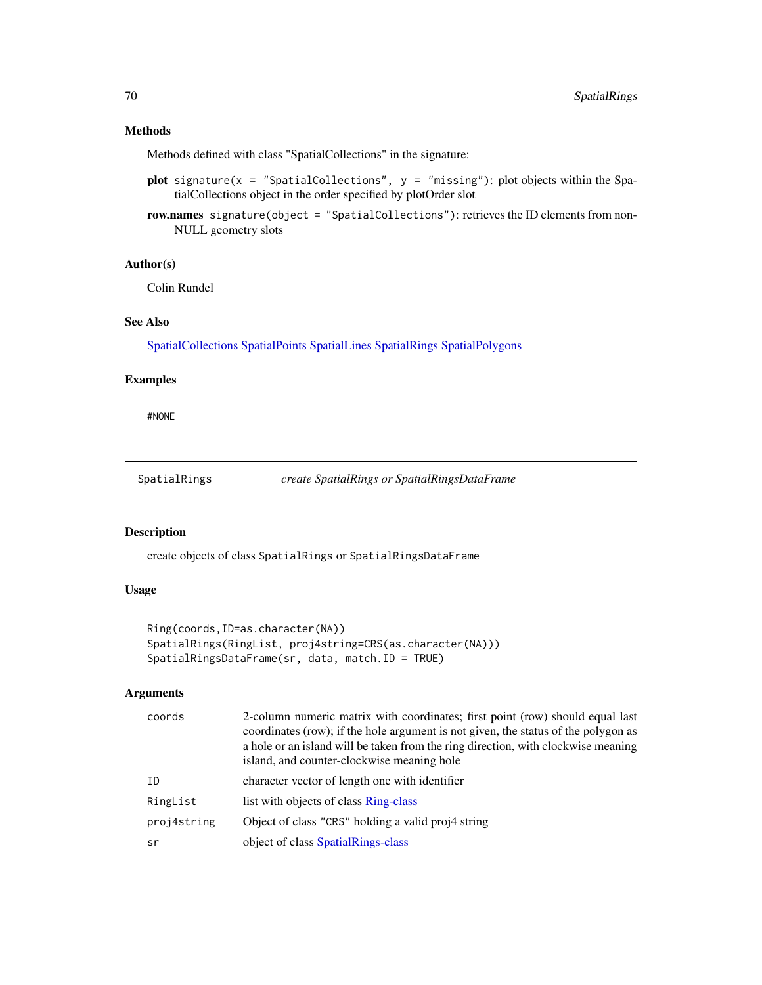## Methods

Methods defined with class "SpatialCollections" in the signature:

- plot signature(x = "SpatialCollections",  $y =$  "missing"): plot objects within the SpatialCollections object in the order specified by plotOrder slot
- row.names signature(object = "SpatialCollections"): retrieves the ID elements from non-NULL geometry slots

## Author(s)

Colin Rundel

# See Also

[SpatialCollections](#page-67-0) [SpatialPoints](#page-0-0) [SpatialLines](#page-0-0) [SpatialRings](#page-69-1) [SpatialPolygons](#page-0-0)

## Examples

#NONE

<span id="page-69-1"></span>SpatialRings *create SpatialRings or SpatialRingsDataFrame*

## <span id="page-69-0"></span>Description

create objects of class SpatialRings or SpatialRingsDataFrame

#### Usage

```
Ring(coords,ID=as.character(NA))
SpatialRings(RingList, proj4string=CRS(as.character(NA)))
SpatialRingsDataFrame(sr, data, match.ID = TRUE)
```
#### Arguments

| coords      | 2-column numeric matrix with coordinates; first point (row) should equal last<br>coordinates (row); if the hole argument is not given, the status of the polygon as<br>a hole or an island will be taken from the ring direction, with clockwise meaning<br>island, and counter-clockwise meaning hole |
|-------------|--------------------------------------------------------------------------------------------------------------------------------------------------------------------------------------------------------------------------------------------------------------------------------------------------------|
| ΙD          | character vector of length one with identifier                                                                                                                                                                                                                                                         |
| RingList    | list with objects of class Ring-class                                                                                                                                                                                                                                                                  |
| proj4string | Object of class "CRS" holding a valid proj4 string                                                                                                                                                                                                                                                     |
| sr          | object of class SpatialRings-class                                                                                                                                                                                                                                                                     |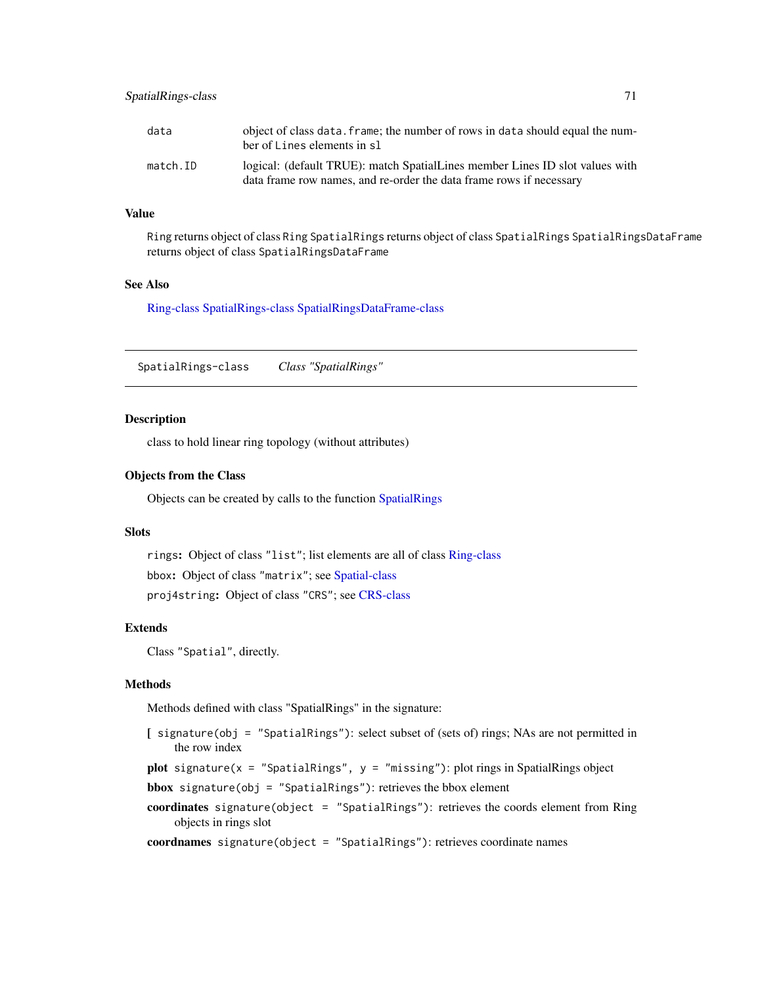## SpatialRings-class 71

| data     | object of class data. frame; the number of rows in data should equal the num-<br>ber of Lines elements in sl                                        |
|----------|-----------------------------------------------------------------------------------------------------------------------------------------------------|
| match.ID | logical: (default TRUE): match SpatialLines member Lines ID slot values with<br>data frame row names, and re-order the data frame rows if necessary |

## Value

Ring returns object of class Ring SpatialRings returns object of class SpatialRings SpatialRingsDataFrame returns object of class SpatialRingsDataFrame

## See Also

[Ring-class](#page-66-0) [SpatialRings-class](#page-70-0) [SpatialRingsDataFrame-class](#page-71-0)

<span id="page-70-0"></span>SpatialRings-class *Class "SpatialRings"*

#### Description

class to hold linear ring topology (without attributes)

#### Objects from the Class

Objects can be created by calls to the function [SpatialRings](#page-69-1)

## Slots

rings: Object of class "list"; list elements are all of class [Ring-class](#page-66-0) bbox: Object of class "matrix"; see [Spatial-class](#page-0-0) proj4string: Object of class "CRS"; see [CRS-class](#page-0-0)

## Extends

```
Class "Spatial", directly.
```
## Methods

Methods defined with class "SpatialRings" in the signature:

|  |  |               |  |   | [ signature (obj = "SpatialRings"): select subset of (sets of) rings; NAs are not permitted in |  |  |  |  |  |  |
|--|--|---------------|--|---|------------------------------------------------------------------------------------------------|--|--|--|--|--|--|
|  |  | the row index |  |   |                                                                                                |  |  |  |  |  |  |
|  |  |               |  | . |                                                                                                |  |  |  |  |  |  |

plot signature( $x =$  "SpatialRings",  $y =$  "missing"): plot rings in SpatialRings object

```
bbox signature(obj = "SpatialRings"): retrieves the bbox element
```
coordinates signature(object = "SpatialRings"): retrieves the coords element from Ring objects in rings slot

coordnames signature(object = "SpatialRings"): retrieves coordinate names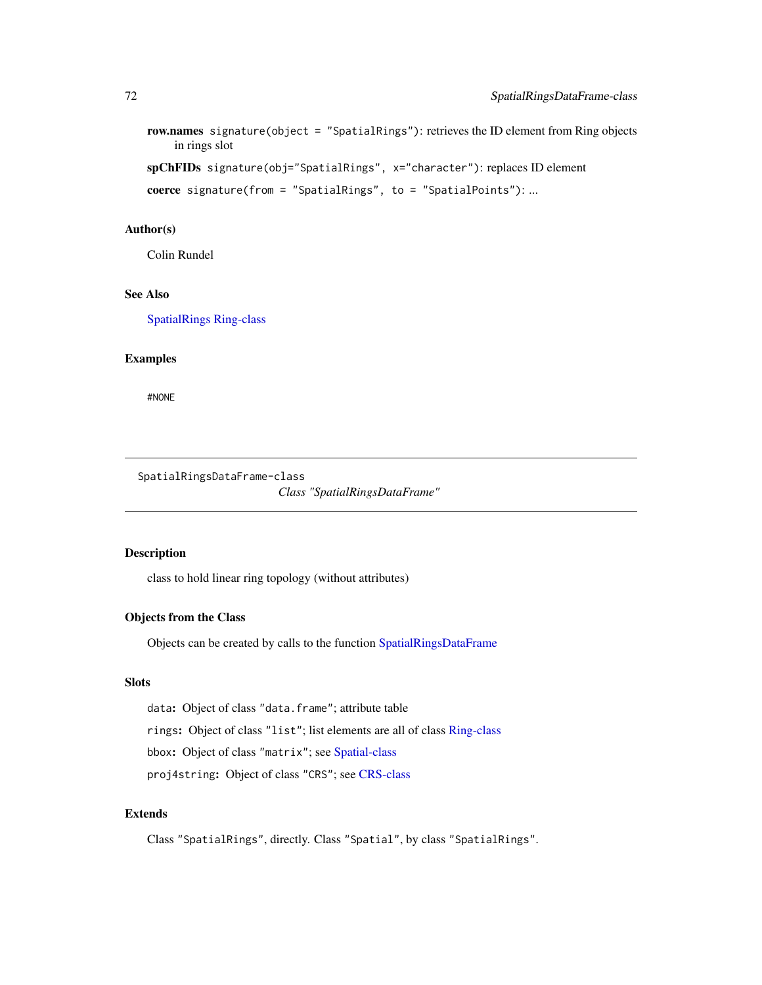```
row.names signature(object = "SpatialRings"): retrieves the ID element from Ring objects
    in rings slot
```

```
spChFIDs signature(obj="SpatialRings", x="character"): replaces ID element
```

```
coerce signature(from = "SpatialRings", to = "SpatialPoints"): ...
```
#### Author(s)

Colin Rundel

# See Also

[SpatialRings](#page-69-1) [Ring-class](#page-66-0)

## Examples

#NONE

<span id="page-71-0"></span>SpatialRingsDataFrame-class *Class "SpatialRingsDataFrame"*

## Description

class to hold linear ring topology (without attributes)

## Objects from the Class

Objects can be created by calls to the function [SpatialRingsDataFrame](#page-69-0)

#### Slots

data: Object of class "data.frame"; attribute table

rings: Object of class "list"; list elements are all of class [Ring-class](#page-66-0)

bbox: Object of class "matrix"; see [Spatial-class](#page-0-0)

proj4string: Object of class "CRS"; see [CRS-class](#page-0-0)

## Extends

Class "SpatialRings", directly. Class "Spatial", by class "SpatialRings".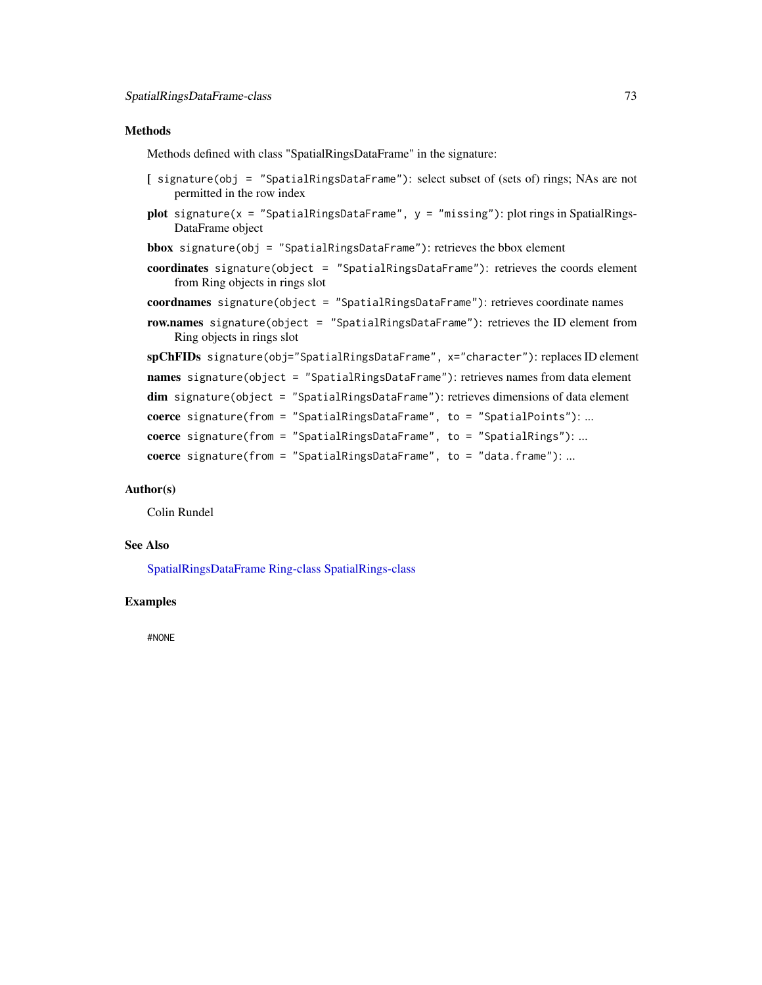#### <span id="page-72-0"></span>Methods

Methods defined with class "SpatialRingsDataFrame" in the signature:

- [ signature(obj = "SpatialRingsDataFrame"): select subset of (sets of) rings; NAs are not permitted in the row index
- plot signature(x = "SpatialRingsDataFrame",  $y =$  "missing"): plot rings in SpatialRings-DataFrame object
- bbox signature(obj = "SpatialRingsDataFrame"): retrieves the bbox element
- coordinates signature(object = "SpatialRingsDataFrame"): retrieves the coords element from Ring objects in rings slot
- coordnames signature(object = "SpatialRingsDataFrame"): retrieves coordinate names
- row.names signature(object = "SpatialRingsDataFrame"): retrieves the ID element from Ring objects in rings slot

```
spChFIDs signature(obj="SpatialRingsDataFrame", x="character"): replaces ID element
names signature(object = "SpatialRingsDataFrame"): retrieves names from data element
dim signature(object = "SpatialRingsDataFrame"): retrieves dimensions of data element
coerce signature(from = "SpatialRingsDataFrame", to = "SpatialPoints"): ...
coerce signature(from = "SpatialRingsDataFrame", to = "SpatialRings"): ...
coerce signature(from = "SpatialRingsDataFrame", to = "data.frame"): ...
```
### Author(s)

Colin Rundel

### See Also

[SpatialRingsDataFrame](#page-69-0) [Ring-class](#page-66-0) [SpatialRings-class](#page-70-0)

# Examples

#NONE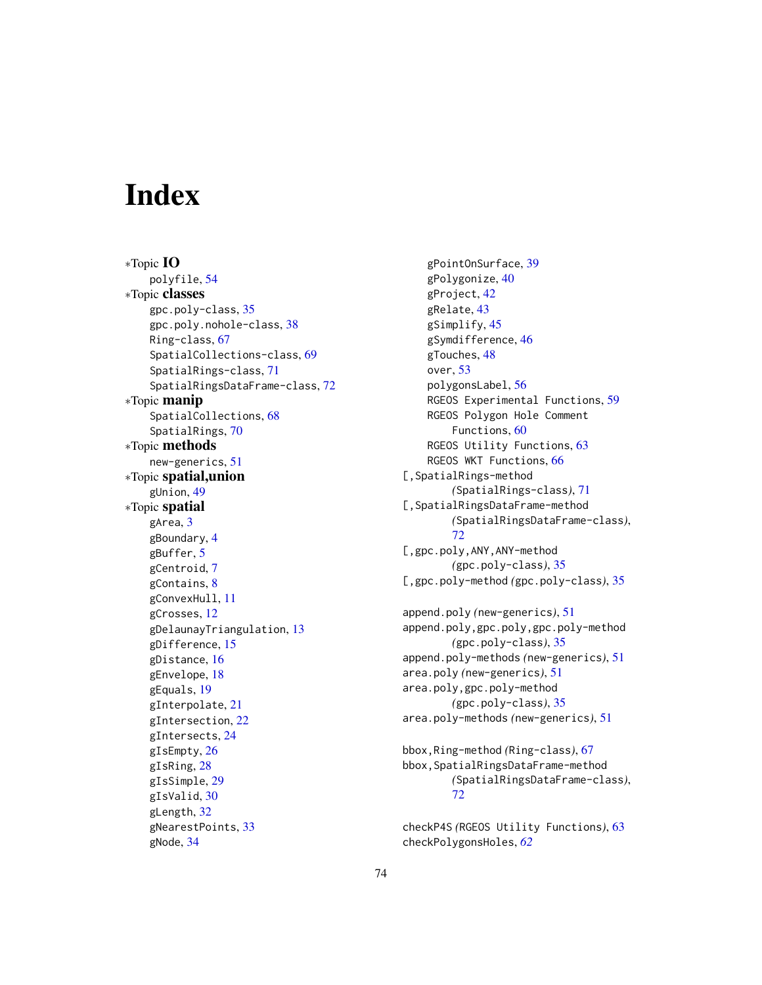# **Index**

∗Topic IO polyfile, [54](#page-53-0) ∗Topic classes gpc.poly-class, [35](#page-34-0) gpc.poly.nohole-class, [38](#page-37-0) Ring-class, [67](#page-66-1) SpatialCollections-class, [69](#page-68-0) SpatialRings-class, [71](#page-70-1) SpatialRingsDataFrame-class, [72](#page-71-0) ∗Topic manip SpatialCollections, [68](#page-67-0) SpatialRings, [70](#page-69-1) ∗Topic methods new-generics, [51](#page-50-0) ∗Topic spatial,union gUnion, [49](#page-48-0) ∗Topic spatial gArea, [3](#page-2-0) gBoundary, [4](#page-3-0) gBuffer, [5](#page-4-0) gCentroid, [7](#page-6-0) gContains, [8](#page-7-0) gConvexHull, [11](#page-10-0) gCrosses, [12](#page-11-0) gDelaunayTriangulation, [13](#page-12-0) gDifference, [15](#page-14-0) gDistance, [16](#page-15-0) gEnvelope, [18](#page-17-0) gEquals, [19](#page-18-0) gInterpolate, [21](#page-20-0) gIntersection, [22](#page-21-0) gIntersects, [24](#page-23-0) gIsEmpty, [26](#page-25-0) gIsRing, [28](#page-27-0) gIsSimple, [29](#page-28-0) gIsValid, [30](#page-29-0) gLength, [32](#page-31-0) gNearestPoints, [33](#page-32-0) gNode, [34](#page-33-0)

gPointOnSurface, [39](#page-38-0) gPolygonize, [40](#page-39-0) gProject, [42](#page-41-0) gRelate, [43](#page-42-0) gSimplify, [45](#page-44-0) gSymdifference, [46](#page-45-0) gTouches, [48](#page-47-0) over, [53](#page-52-0) polygonsLabel, [56](#page-55-0) RGEOS Experimental Functions, [59](#page-58-0) RGEOS Polygon Hole Comment Functions, [60](#page-59-0) RGEOS Utility Functions, [63](#page-62-0) RGEOS WKT Functions, [66](#page-65-0) [,SpatialRings-method *(*SpatialRings-class*)*, [71](#page-70-1) [,SpatialRingsDataFrame-method *(*SpatialRingsDataFrame-class*)*, [72](#page-71-0) [,gpc.poly,ANY,ANY-method *(*gpc.poly-class*)*, [35](#page-34-0) [,gpc.poly-method *(*gpc.poly-class*)*, [35](#page-34-0)

append.poly *(*new-generics*)*, [51](#page-50-0) append.poly,gpc.poly,gpc.poly-method *(*gpc.poly-class*)*, [35](#page-34-0) append.poly-methods *(*new-generics*)*, [51](#page-50-0) area.poly *(*new-generics*)*, [51](#page-50-0) area.poly,gpc.poly-method *(*gpc.poly-class*)*, [35](#page-34-0) area.poly-methods *(*new-generics*)*, [51](#page-50-0)

bbox,Ring-method *(*Ring-class*)*, [67](#page-66-1) bbox,SpatialRingsDataFrame-method *(*SpatialRingsDataFrame-class*)*, [72](#page-71-0)

checkP4S *(*RGEOS Utility Functions*)*, [63](#page-62-0) checkPolygonsHoles, *[62](#page-61-0)*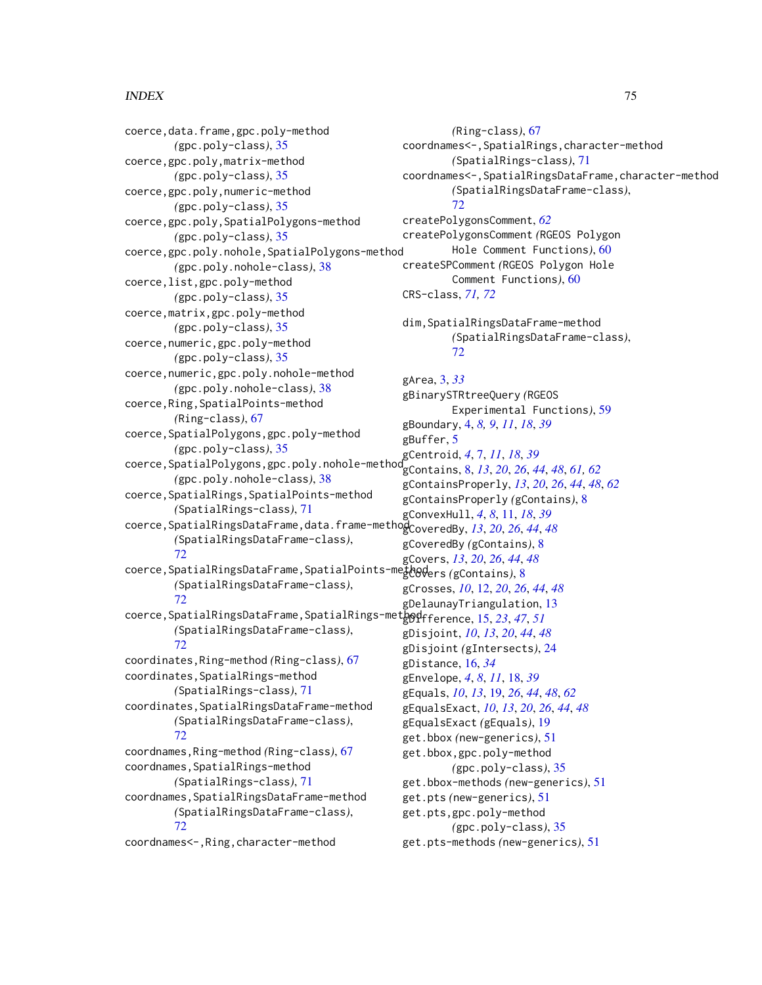## INDEX 75

coerce,data.frame,gpc.poly-method *(*gpc.poly-class*)*, [35](#page-34-0) coerce,gpc.poly,matrix-method *(*gpc.poly-class*)*, [35](#page-34-0) coerce,gpc.poly,numeric-method *(*gpc.poly-class*)*, [35](#page-34-0) coerce,gpc.poly,SpatialPolygons-method *(*gpc.poly-class*)*, [35](#page-34-0) coerce,gpc.poly.nohole,SpatialPolygons-method *(*gpc.poly.nohole-class*)*, [38](#page-37-0) coerce,list,gpc.poly-method *(*gpc.poly-class*)*, [35](#page-34-0) coerce,matrix,gpc.poly-method *(*gpc.poly-class*)*, [35](#page-34-0) coerce,numeric,gpc.poly-method *(*gpc.poly-class*)*, [35](#page-34-0) coerce,numeric,gpc.poly.nohole-method *(*gpc.poly.nohole-class*)*, [38](#page-37-0) coerce,Ring,SpatialPoints-method *(*Ring-class*)*, [67](#page-66-1) coerce,SpatialPolygons,gpc.poly-method *(*gpc.poly-class*)*, [35](#page-34-0) coerce,SpatialPolygons,gpc.poly.nohole-method gCentroid, *[4](#page-3-0)*, [7,](#page-6-0) *[11](#page-10-0)*, *[18](#page-17-0)*, *[39](#page-38-0) (*gpc.poly.nohole-class*)*, [38](#page-37-0) coerce,SpatialRings,SpatialPoints-method *(*SpatialRings-class*)*, [71](#page-70-1) coerce,SpatialRingsDataFrame,data.frame-method gCoveredBy, *[13](#page-12-0)*, *[20](#page-19-0)*, *[26](#page-25-0)*, *[44](#page-43-0)*, *[48](#page-47-0) (*SpatialRingsDataFrame-class*)*, [72](#page-71-0) coerce,SpatialRingsDataFrame,SpatialPoints-method gCovers *(*gContains*)*, [8](#page-7-0) *(*SpatialRingsDataFrame-class*)*, [72](#page-71-0) coerce,SpatialRingsDataFrame,SpatialRings-method gDifference, [15,](#page-14-0) *[23](#page-22-0)*, *[47](#page-46-0)*, *[51](#page-50-0) (*SpatialRingsDataFrame-class*)*, [72](#page-71-0) coordinates,Ring-method *(*Ring-class*)*, [67](#page-66-1) coordinates,SpatialRings-method *(*SpatialRings-class*)*, [71](#page-70-1) coordinates,SpatialRingsDataFrame-method *(*SpatialRingsDataFrame-class*)*, [72](#page-71-0) coordnames,Ring-method *(*Ring-class*)*, [67](#page-66-1) coordnames, SpatialRings-method *(*SpatialRings-class*)*, [71](#page-70-1) coordnames, SpatialRingsDataFrame-method *(*SpatialRingsDataFrame-class*)*, [72](#page-71-0) coordnames<-,Ring,character-method

*(*Ring-class*)*, [67](#page-66-1) coordnames<-,SpatialRings,character-method *(*SpatialRings-class*)*, [71](#page-70-1) coordnames<-,SpatialRingsDataFrame,character-method *(*SpatialRingsDataFrame-class*)*, [72](#page-71-0) createPolygonsComment, *[62](#page-61-0)* createPolygonsComment *(*RGEOS Polygon Hole Comment Functions*)*, [60](#page-59-0) createSPComment *(*RGEOS Polygon Hole Comment Functions*)*, [60](#page-59-0) CRS-class, *[71,](#page-70-1) [72](#page-71-0)* dim,SpatialRingsDataFrame-method *(*SpatialRingsDataFrame-class*)*, [72](#page-71-0) gArea, [3,](#page-2-0) *[33](#page-32-0)* gBinarySTRtreeQuery *(*RGEOS Experimental Functions*)*, [59](#page-58-0) gBoundary, [4,](#page-3-0) *[8,](#page-7-0) [9](#page-8-0)*, *[11](#page-10-0)*, *[18](#page-17-0)*, *[39](#page-38-0)* gBuffer, [5](#page-4-0) gContains, [8,](#page-7-0) *[13](#page-12-0)*, *[20](#page-19-0)*, *[26](#page-25-0)*, *[44](#page-43-0)*, *[48](#page-47-0)*, *[61,](#page-60-0) [62](#page-61-0)* gContainsProperly, *[13](#page-12-0)*, *[20](#page-19-0)*, *[26](#page-25-0)*, *[44](#page-43-0)*, *[48](#page-47-0)*, *[62](#page-61-0)* gContainsProperly *(*gContains*)*, [8](#page-7-0) gConvexHull, *[4](#page-3-0)*, *[8](#page-7-0)*, [11,](#page-10-0) *[18](#page-17-0)*, *[39](#page-38-0)* gCoveredBy *(*gContains*)*, [8](#page-7-0) gCovers, *[13](#page-12-0)*, *[20](#page-19-0)*, *[26](#page-25-0)*, *[44](#page-43-0)*, *[48](#page-47-0)* gCrosses, *[10](#page-9-0)*, [12,](#page-11-0) *[20](#page-19-0)*, *[26](#page-25-0)*, *[44](#page-43-0)*, *[48](#page-47-0)* gDelaunayTriangulation, [13](#page-12-0) gDisjoint, *[10](#page-9-0)*, *[13](#page-12-0)*, *[20](#page-19-0)*, *[44](#page-43-0)*, *[48](#page-47-0)* gDisjoint *(*gIntersects*)*, [24](#page-23-0) gDistance, [16,](#page-15-0) *[34](#page-33-0)* gEnvelope, *[4](#page-3-0)*, *[8](#page-7-0)*, *[11](#page-10-0)*, [18,](#page-17-0) *[39](#page-38-0)* gEquals, *[10](#page-9-0)*, *[13](#page-12-0)*, [19,](#page-18-0) *[26](#page-25-0)*, *[44](#page-43-0)*, *[48](#page-47-0)*, *[62](#page-61-0)* gEqualsExact, *[10](#page-9-0)*, *[13](#page-12-0)*, *[20](#page-19-0)*, *[26](#page-25-0)*, *[44](#page-43-0)*, *[48](#page-47-0)* gEqualsExact *(*gEquals*)*, [19](#page-18-0) get.bbox *(*new-generics*)*, [51](#page-50-0) get.bbox,gpc.poly-method *(*gpc.poly-class*)*, [35](#page-34-0) get.bbox-methods *(*new-generics*)*, [51](#page-50-0) get.pts *(*new-generics*)*, [51](#page-50-0) get.pts,gpc.poly-method *(*gpc.poly-class*)*, [35](#page-34-0)

get.pts-methods *(*new-generics*)*, [51](#page-50-0)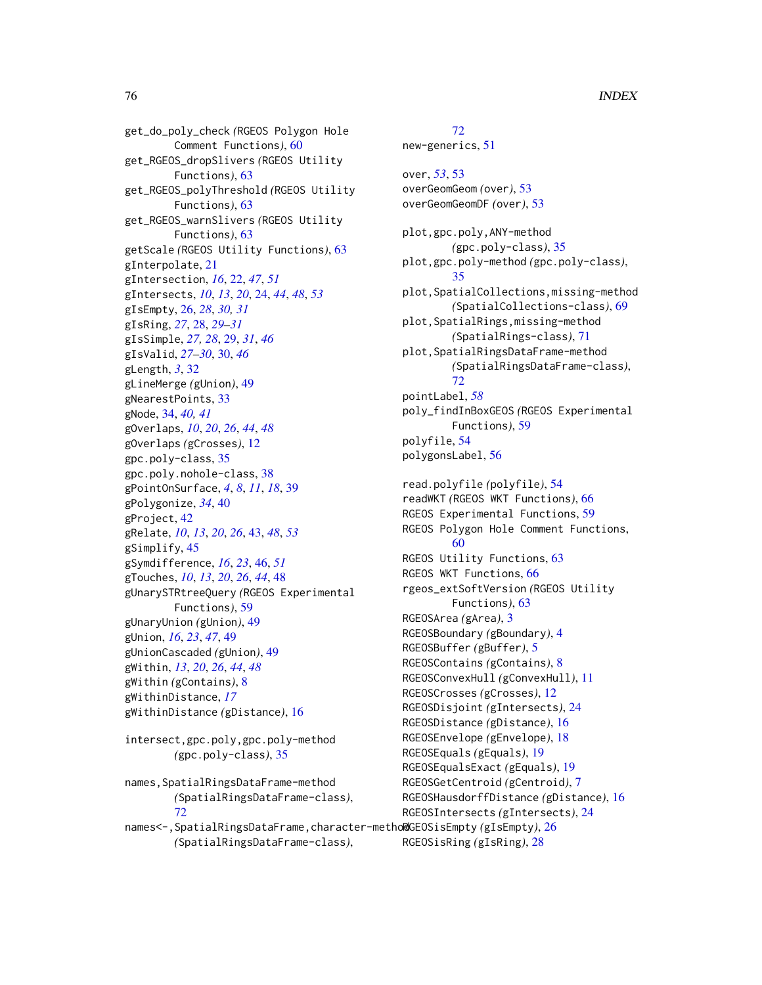get\_do\_poly\_check *(*RGEOS Polygon Hole Comment Functions*)*, [60](#page-59-0) get\_RGEOS\_dropSlivers *(*RGEOS Utility Functions*)*, [63](#page-62-0) get\_RGEOS\_polyThreshold *(*RGEOS Utility Functions*)*, [63](#page-62-0) get\_RGEOS\_warnSlivers *(*RGEOS Utility Functions*)*, [63](#page-62-0) getScale *(*RGEOS Utility Functions*)*, [63](#page-62-0) gInterpolate, [21](#page-20-0) gIntersection, *[16](#page-15-0)*, [22,](#page-21-0) *[47](#page-46-0)*, *[51](#page-50-0)* gIntersects, *[10](#page-9-0)*, *[13](#page-12-0)*, *[20](#page-19-0)*, [24,](#page-23-0) *[44](#page-43-0)*, *[48](#page-47-0)*, *[53](#page-52-0)* gIsEmpty, [26,](#page-25-0) *[28](#page-27-0)*, *[30,](#page-29-0) [31](#page-30-0)* gIsRing, *[27](#page-26-0)*, [28,](#page-27-0) *[29](#page-28-0)[–31](#page-30-0)* gIsSimple, *[27,](#page-26-0) [28](#page-27-0)*, [29,](#page-28-0) *[31](#page-30-0)*, *[46](#page-45-0)* gIsValid, *[27](#page-26-0)[–30](#page-29-0)*, [30,](#page-29-0) *[46](#page-45-0)* gLength, *[3](#page-2-0)*, [32](#page-31-0) gLineMerge *(*gUnion*)*, [49](#page-48-0) gNearestPoints, [33](#page-32-0) gNode, [34,](#page-33-0) *[40,](#page-39-0) [41](#page-40-0)* gOverlaps, *[10](#page-9-0)*, *[20](#page-19-0)*, *[26](#page-25-0)*, *[44](#page-43-0)*, *[48](#page-47-0)* gOverlaps *(*gCrosses*)*, [12](#page-11-0) gpc.poly-class, [35](#page-34-0) gpc.poly.nohole-class, [38](#page-37-0) gPointOnSurface, *[4](#page-3-0)*, *[8](#page-7-0)*, *[11](#page-10-0)*, *[18](#page-17-0)*, [39](#page-38-0) gPolygonize, *[34](#page-33-0)*, [40](#page-39-0) gProject, [42](#page-41-0) gRelate, *[10](#page-9-0)*, *[13](#page-12-0)*, *[20](#page-19-0)*, *[26](#page-25-0)*, [43,](#page-42-0) *[48](#page-47-0)*, *[53](#page-52-0)* gSimplify, [45](#page-44-0) gSymdifference, *[16](#page-15-0)*, *[23](#page-22-0)*, [46,](#page-45-0) *[51](#page-50-0)* gTouches, *[10](#page-9-0)*, *[13](#page-12-0)*, *[20](#page-19-0)*, *[26](#page-25-0)*, *[44](#page-43-0)*, [48](#page-47-0) gUnarySTRtreeQuery *(*RGEOS Experimental Functions*)*, [59](#page-58-0) gUnaryUnion *(*gUnion*)*, [49](#page-48-0) gUnion, *[16](#page-15-0)*, *[23](#page-22-0)*, *[47](#page-46-0)*, [49](#page-48-0) gUnionCascaded *(*gUnion*)*, [49](#page-48-0) gWithin, *[13](#page-12-0)*, *[20](#page-19-0)*, *[26](#page-25-0)*, *[44](#page-43-0)*, *[48](#page-47-0)* gWithin *(*gContains*)*, [8](#page-7-0) gWithinDistance, *[17](#page-16-0)* gWithinDistance *(*gDistance*)*, [16](#page-15-0)

intersect,gpc.poly,gpc.poly-method *(*gpc.poly-class*)*, [35](#page-34-0)

```
names,SpatialRingsDataFrame-method
        (SpatialRingsDataFrame-class),
        72
```
names<-,SpatialRingsDataFrame,character-method RGEOSisEmpty *(*gIsEmpty*)*, [26](#page-25-0) *(*SpatialRingsDataFrame-class*)*, RGEOSisRing *(*gIsRing*)*, [28](#page-27-0)

# [72](#page-71-0)

new-generics, [51](#page-50-0)

over, *[53](#page-52-0)*, [53](#page-52-0) overGeomGeom *(*over*)*, [53](#page-52-0) overGeomGeomDF *(*over*)*, [53](#page-52-0) plot,gpc.poly,ANY-method *(*gpc.poly-class*)*, [35](#page-34-0) plot,gpc.poly-method *(*gpc.poly-class*)*, [35](#page-34-0) plot,SpatialCollections,missing-method *(*SpatialCollections-class*)*, [69](#page-68-0) plot,SpatialRings,missing-method *(*SpatialRings-class*)*, [71](#page-70-1) plot,SpatialRingsDataFrame-method *(*SpatialRingsDataFrame-class*)*, [72](#page-71-0) pointLabel, *[58](#page-57-0)* poly\_findInBoxGEOS *(*RGEOS Experimental Functions*)*, [59](#page-58-0) polyfile, [54](#page-53-0) polygonsLabel, [56](#page-55-0) read.polyfile *(*polyfile*)*, [54](#page-53-0) readWKT *(*RGEOS WKT Functions*)*, [66](#page-65-0) RGEOS Experimental Functions, [59](#page-58-0) RGEOS Polygon Hole Comment Functions, [60](#page-59-0) RGEOS Utility Functions, [63](#page-62-0) RGEOS WKT Functions, [66](#page-65-0) rgeos\_extSoftVersion *(*RGEOS Utility Functions*)*, [63](#page-62-0) RGEOSArea *(*gArea*)*, [3](#page-2-0) RGEOSBoundary *(*gBoundary*)*, [4](#page-3-0) RGEOSBuffer *(*gBuffer*)*, [5](#page-4-0) RGEOSContains *(*gContains*)*, [8](#page-7-0) RGEOSConvexHull *(*gConvexHull*)*, [11](#page-10-0) RGEOSCrosses *(*gCrosses*)*, [12](#page-11-0) RGEOSDisjoint *(*gIntersects*)*, [24](#page-23-0) RGEOSDistance *(*gDistance*)*, [16](#page-15-0) RGEOSEnvelope *(*gEnvelope*)*, [18](#page-17-0) RGEOSEquals *(*gEquals*)*, [19](#page-18-0) RGEOSEqualsExact *(*gEquals*)*, [19](#page-18-0) RGEOSGetCentroid *(*gCentroid*)*, [7](#page-6-0) RGEOSHausdorffDistance *(*gDistance*)*, [16](#page-15-0) RGEOSIntersects *(*gIntersects*)*, [24](#page-23-0)